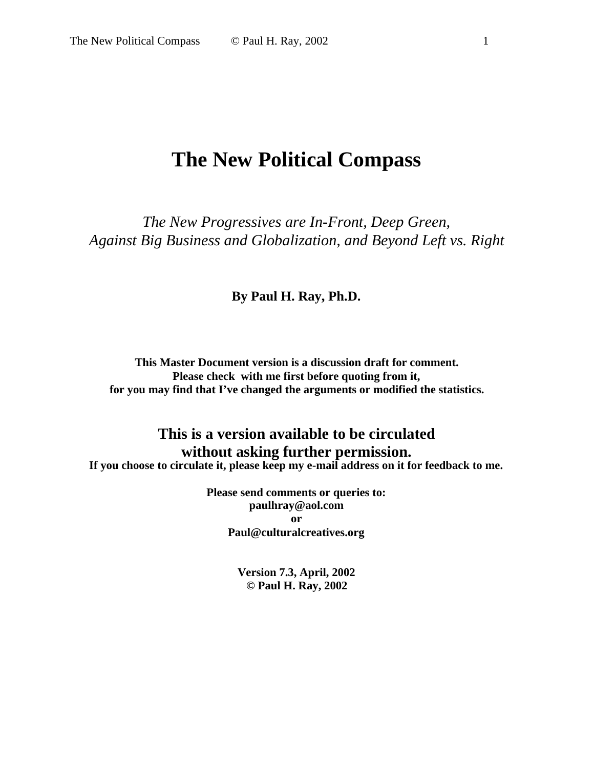## **The New Political Compass**

*The New Progressives are In-Front, Deep Green, Against Big Business and Globalization, and Beyond Left vs. Right*

#### **By Paul H. Ray, Ph.D.**

**This Master Document version is a discussion draft for comment. Please check with me first before quoting from it, for you may find that I've changed the arguments or modified the statistics.**

## **This is a version available to be circulated without asking further permission.**

**If you choose to circulate it, please keep my e-mail address on it for feedback to me.**

**Please send comments or queries to: [paulhray@aol.com](mailto:paulhray@aol.com) or [Paul@culturalcreatives.org](mailto:Paul@culturalcreatives.org)**

> **Version 7.3, April, 2002 © Paul H. Ray, 2002**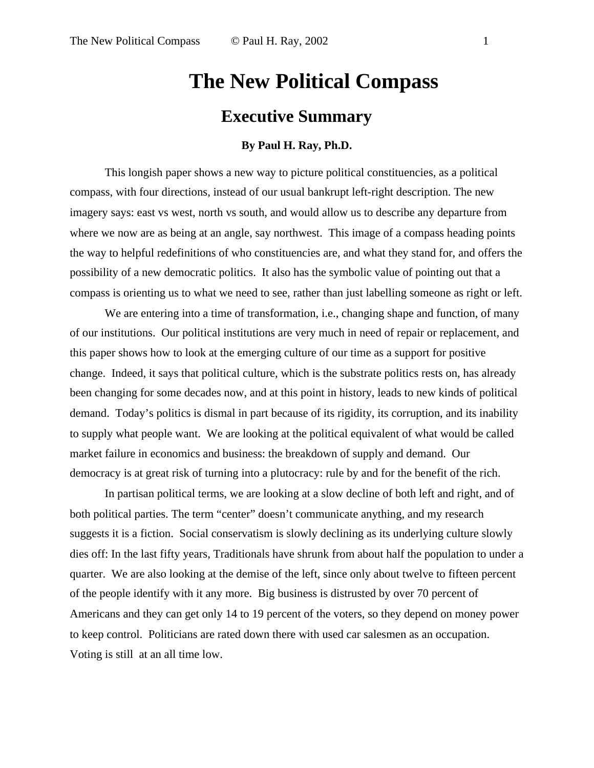# **The New Political Compass Executive Summary**

#### **By Paul H. Ray, Ph.D.**

This longish paper shows a new way to picture political constituencies, as a political compass, with four directions, instead of our usual bankrupt left-right description. The new imagery says: east vs west, north vs south, and would allow us to describe any departure from where we now are as being at an angle, say northwest. This image of a compass heading points the way to helpful redefinitions of who constituencies are, and what they stand for, and offers the possibility of a new democratic politics. It also has the symbolic value of pointing out that a compass is orienting us to what we need to see, rather than just labelling someone as right or left.

We are entering into a time of transformation, i.e., changing shape and function, of many of our institutions. Our political institutions are very much in need of repair or replacement, and this paper shows how to look at the emerging culture of our time as a support for positive change. Indeed, it says that political culture, which is the substrate politics rests on, has already been changing for some decades now, and at this point in history, leads to new kinds of political demand. Today's politics is dismal in part because of its rigidity, its corruption, and its inability to supply what people want. We are looking at the political equivalent of what would be called market failure in economics and business: the breakdown of supply and demand. Our democracy is at great risk of turning into a plutocracy: rule by and for the benefit of the rich.

In partisan political terms, we are looking at a slow decline of both left and right, and of both political parties. The term "center" doesn't communicate anything, and my research suggests it is a fiction. Social conservatism is slowly declining as its underlying culture slowly dies off: In the last fifty years, Traditionals have shrunk from about half the population to under a quarter. We are also looking at the demise of the left, since only about twelve to fifteen percent of the people identify with it any more. Big business is distrusted by over 70 percent of Americans and they can get only 14 to 19 percent of the voters, so they depend on money power to keep control. Politicians are rated down there with used car salesmen as an occupation. Voting is still at an all time low.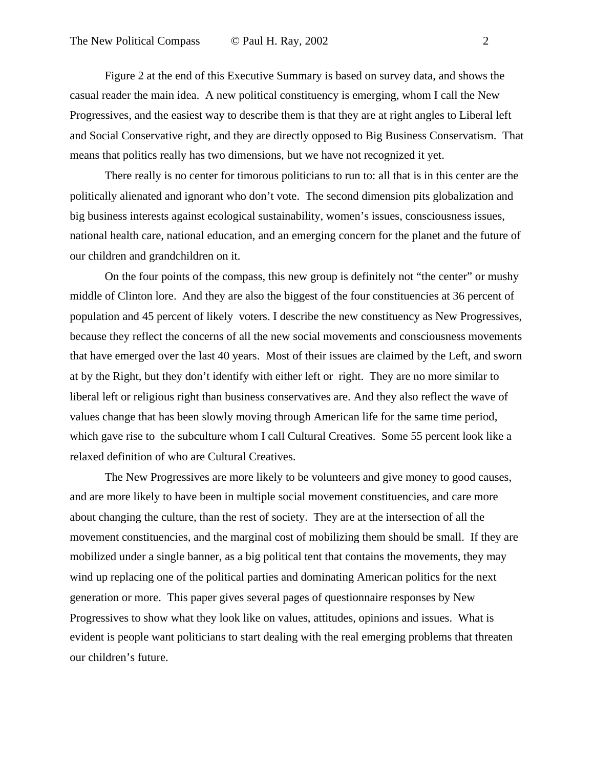Figure 2 at the end of this Executive Summary is based on survey data, and shows the casual reader the main idea. A new political constituency is emerging, whom I call the New Progressives, and the easiest way to describe them is that they are at right angles to Liberal left and Social Conservative right, and they are directly opposed to Big Business Conservatism. That means that politics really has two dimensions, but we have not recognized it yet.

There really is no center for timorous politicians to run to: all that is in this center are the politically alienated and ignorant who don't vote. The second dimension pits globalization and big business interests against ecological sustainability, women's issues, consciousness issues, national health care, national education, and an emerging concern for the planet and the future of our children and grandchildren on it.

On the four points of the compass, this new group is definitely not "the center" or mushy middle of Clinton lore. And they are also the biggest of the four constituencies at 36 percent of population and 45 percent of likely voters. I describe the new constituency as New Progressives, because they reflect the concerns of all the new social movements and consciousness movements that have emerged over the last 40 years. Most of their issues are claimed by the Left, and sworn at by the Right, but they don't identify with either left or right. They are no more similar to liberal left or religious right than business conservatives are. And they also reflect the wave of values change that has been slowly moving through American life for the same time period, which gave rise to the subculture whom I call Cultural Creatives. Some 55 percent look like a relaxed definition of who are Cultural Creatives.

The New Progressives are more likely to be volunteers and give money to good causes, and are more likely to have been in multiple social movement constituencies, and care more about changing the culture, than the rest of society. They are at the intersection of all the movement constituencies, and the marginal cost of mobilizing them should be small. If they are mobilized under a single banner, as a big political tent that contains the movements, they may wind up replacing one of the political parties and dominating American politics for the next generation or more. This paper gives several pages of questionnaire responses by New Progressives to show what they look like on values, attitudes, opinions and issues. What is evident is people want politicians to start dealing with the real emerging problems that threaten our children's future.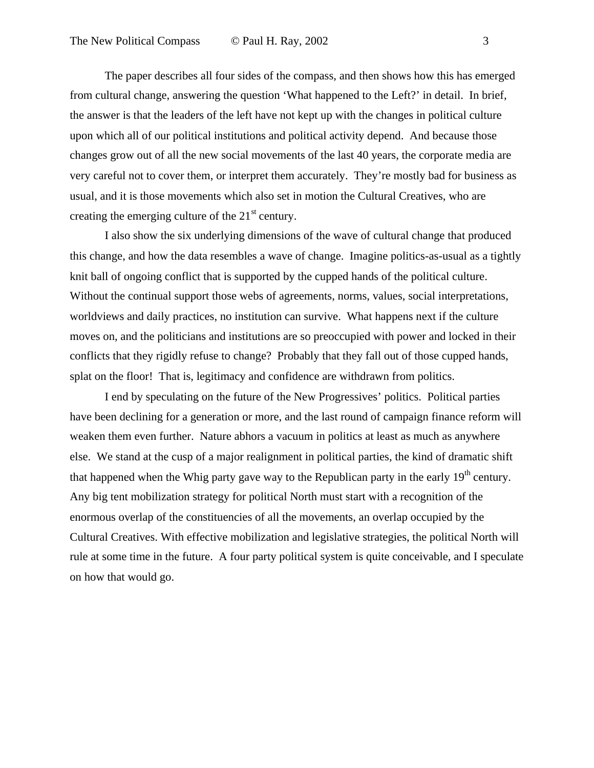The paper describes all four sides of the compass, and then shows how this has emerged from cultural change, answering the question 'What happened to the Left?' in detail. In brief, the answer is that the leaders of the left have not kept up with the changes in political culture upon which all of our political institutions and political activity depend. And because those changes grow out of all the new social movements of the last 40 years, the corporate media are very careful not to cover them, or interpret them accurately. They're mostly bad for business as usual, and it is those movements which also set in motion the Cultural Creatives, who are creating the emerging culture of the  $21<sup>st</sup>$  century.

I also show the six underlying dimensions of the wave of cultural change that produced this change, and how the data resembles a wave of change. Imagine politics-as-usual as a tightly knit ball of ongoing conflict that is supported by the cupped hands of the political culture. Without the continual support those webs of agreements, norms, values, social interpretations, worldviews and daily practices, no institution can survive. What happens next if the culture moves on, and the politicians and institutions are so preoccupied with power and locked in their conflicts that they rigidly refuse to change? Probably that they fall out of those cupped hands, splat on the floor! That is, legitimacy and confidence are withdrawn from politics.

I end by speculating on the future of the New Progressives' politics. Political parties have been declining for a generation or more, and the last round of campaign finance reform will weaken them even further. Nature abhors a vacuum in politics at least as much as anywhere else. We stand at the cusp of a major realignment in political parties, the kind of dramatic shift that happened when the Whig party gave way to the Republican party in the early  $19<sup>th</sup>$  century. Any big tent mobilization strategy for political North must start with a recognition of the enormous overlap of the constituencies of all the movements, an overlap occupied by the Cultural Creatives. With effective mobilization and legislative strategies, the political North will rule at some time in the future. A four party political system is quite conceivable, and I speculate on how that would go.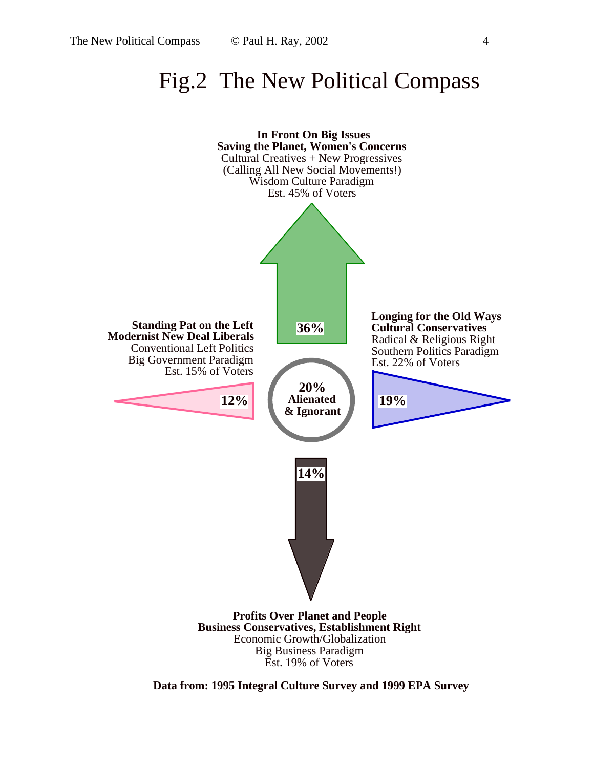## Fig.2 The New Political Compass



**Data from: 1995 Integral Culture Survey and 1999 EPA Survey**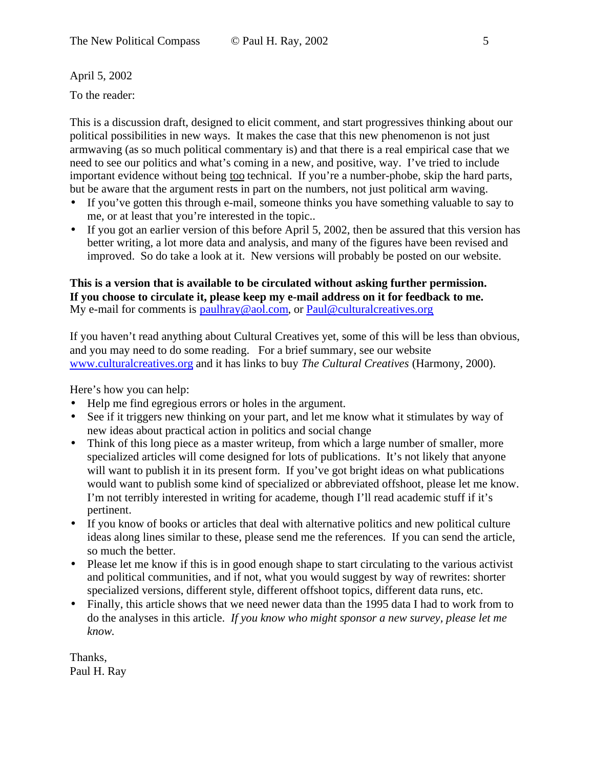April 5, 2002

To the reader:

This is a discussion draft, designed to elicit comment, and start progressives thinking about our political possibilities in new ways. It makes the case that this new phenomenon is not just armwaving (as so much political commentary is) and that there is a real empirical case that we need to see our politics and what's coming in a new, and positive, way. I've tried to include important evidence without being too technical. If you're a number-phobe, skip the hard parts, but be aware that the argument rests in part on the numbers, not just political arm waving.

- If you've gotten this through e-mail, someone thinks you have something valuable to say to me, or at least that you're interested in the topic..
- If you got an earlier version of this before April 5, 2002, then be assured that this version has better writing, a lot more data and analysis, and many of the figures have been revised and improved. So do take a look at it. New versions will probably be posted on our website.

#### **This is a version that is available to be circulated without asking further permission. If you choose to circulate it, please keep my e-mail address on it for feedback to me.** My e-mail for comments is [paulhray@aol.com](mailto:paulhray@aol.com), or [Paul@culturalcreatives.org](mailto:Paul@culturalcreatives.org)

If you haven't read anything about Cultural Creatives yet, some of this will be less than obvious, and you may need to do some reading. For a brief summary, see our website www.culturalcreatives.org and it has links to buy *The Cultural Creatives* (Harmony, 2000).

Here's how you can help:

- Help me find egregious errors or holes in the argument.
- See if it triggers new thinking on your part, and let me know what it stimulates by way of new ideas about practical action in politics and social change
- Think of this long piece as a master writeup, from which a large number of smaller, more specialized articles will come designed for lots of publications. It's not likely that anyone will want to publish it in its present form. If you've got bright ideas on what publications would want to publish some kind of specialized or abbreviated offshoot, please let me know. I'm not terribly interested in writing for academe, though I'll read academic stuff if it's pertinent.
- If you know of books or articles that deal with alternative politics and new political culture ideas along lines similar to these, please send me the references. If you can send the article, so much the better.
- Please let me know if this is in good enough shape to start circulating to the various activist and political communities, and if not, what you would suggest by way of rewrites: shorter specialized versions, different style, different offshoot topics, different data runs, etc.
- Finally, this article shows that we need newer data than the 1995 data I had to work from to do the analyses in this article. *If you know who might sponsor a new survey, please let me know.*

Thanks, Paul H. Ray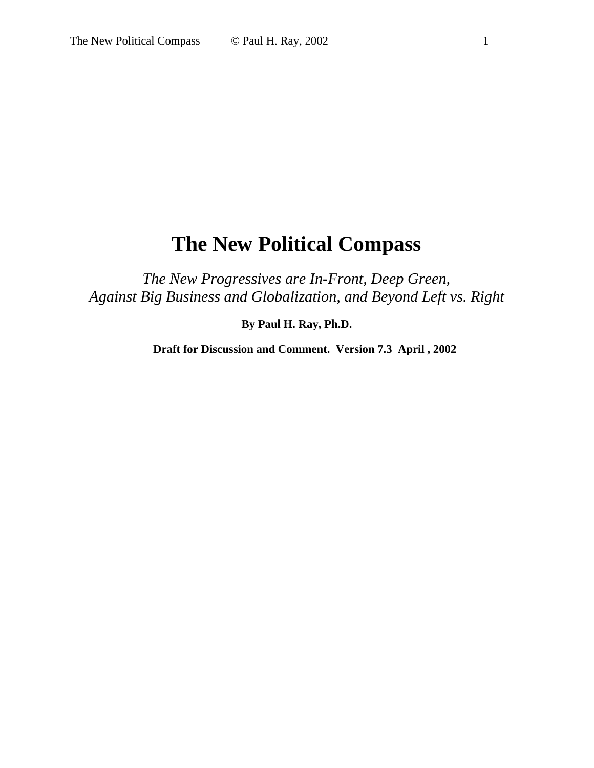## **The New Political Compass**

*The New Progressives are In-Front, Deep Green, Against Big Business and Globalization, and Beyond Left vs. Right*

**By Paul H. Ray, Ph.D.**

**Draft for Discussion and Comment. Version 7.3 April , 2002**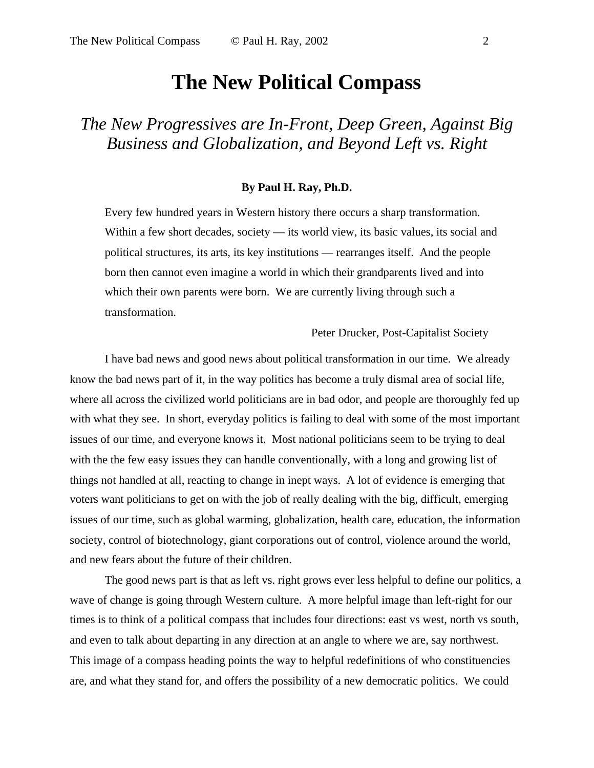## **The New Political Compass**

*The New Progressives are In-Front, Deep Green, Against Big Business and Globalization, and Beyond Left vs. Right*

#### **By Paul H. Ray, Ph.D.**

Every few hundred years in Western history there occurs a sharp transformation. Within a few short decades, society — its world view, its basic values, its social and political structures, its arts, its key institutions — rearranges itself. And the people born then cannot even imagine a world in which their grandparents lived and into which their own parents were born. We are currently living through such a transformation.

Peter Drucker, Post-Capitalist Society

I have bad news and good news about political transformation in our time. We already know the bad news part of it, in the way politics has become a truly dismal area of social life, where all across the civilized world politicians are in bad odor, and people are thoroughly fed up with what they see. In short, everyday politics is failing to deal with some of the most important issues of our time, and everyone knows it. Most national politicians seem to be trying to deal with the the few easy issues they can handle conventionally, with a long and growing list of things not handled at all, reacting to change in inept ways. A lot of evidence is emerging that voters want politicians to get on with the job of really dealing with the big, difficult, emerging issues of our time, such as global warming, globalization, health care, education, the information society, control of biotechnology, giant corporations out of control, violence around the world, and new fears about the future of their children.

The good news part is that as left vs. right grows ever less helpful to define our politics, a wave of change is going through Western culture. A more helpful image than left-right for our times is to think of a political compass that includes four directions: east vs west, north vs south, and even to talk about departing in any direction at an angle to where we are, say northwest. This image of a compass heading points the way to helpful redefinitions of who constituencies are, and what they stand for, and offers the possibility of a new democratic politics. We could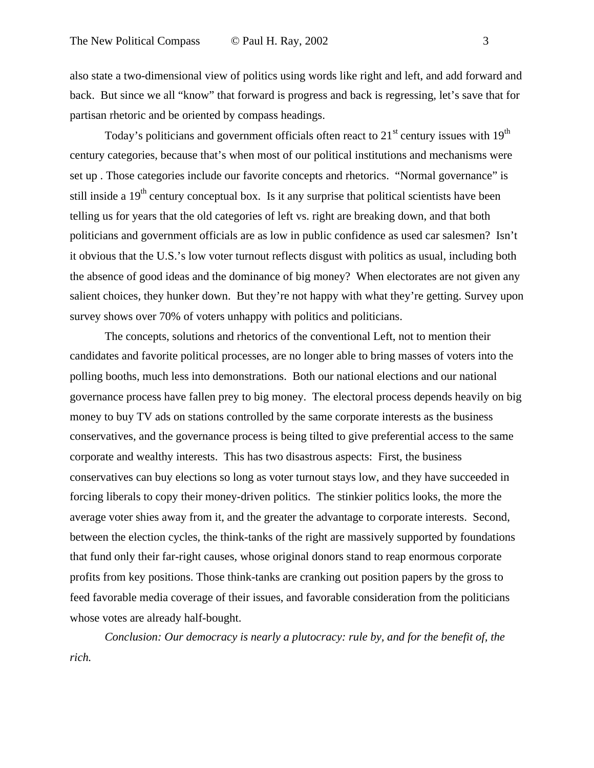also state a two-dimensional view of politics using words like right and left, and add forward and back. But since we all "know" that forward is progress and back is regressing, let's save that for partisan rhetoric and be oriented by compass headings.

Today's politicians and government officials often react to  $21<sup>st</sup>$  century issues with  $19<sup>th</sup>$ century categories, because that's when most of our political institutions and mechanisms were set up . Those categories include our favorite concepts and rhetorics. "Normal governance" is still inside a  $19<sup>th</sup>$  century conceptual box. Is it any surprise that political scientists have been telling us for years that the old categories of left vs. right are breaking down, and that both politicians and government officials are as low in public confidence as used car salesmen? Isn't it obvious that the U.S.'s low voter turnout reflects disgust with politics as usual, including both the absence of good ideas and the dominance of big money? When electorates are not given any salient choices, they hunker down. But they're not happy with what they're getting. Survey upon survey shows over 70% of voters unhappy with politics and politicians.

The concepts, solutions and rhetorics of the conventional Left, not to mention their candidates and favorite political processes, are no longer able to bring masses of voters into the polling booths, much less into demonstrations. Both our national elections and our national governance process have fallen prey to big money. The electoral process depends heavily on big money to buy TV ads on stations controlled by the same corporate interests as the business conservatives, and the governance process is being tilted to give preferential access to the same corporate and wealthy interests. This has two disastrous aspects: First, the business conservatives can buy elections so long as voter turnout stays low, and they have succeeded in forcing liberals to copy their money-driven politics. The stinkier politics looks, the more the average voter shies away from it, and the greater the advantage to corporate interests. Second, between the election cycles, the think-tanks of the right are massively supported by foundations that fund only their far-right causes, whose original donors stand to reap enormous corporate profits from key positions. Those think-tanks are cranking out position papers by the gross to feed favorable media coverage of their issues, and favorable consideration from the politicians whose votes are already half-bought.

*Conclusion: Our democracy is nearly a plutocracy: rule by, and for the benefit of, the rich.*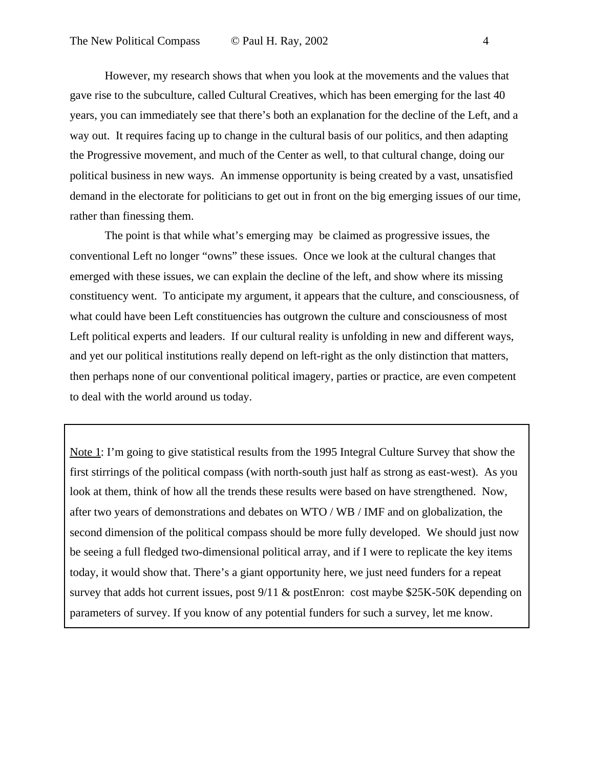However, my research shows that when you look at the movements and the values that gave rise to the subculture, called Cultural Creatives, which has been emerging for the last 40 years, you can immediately see that there's both an explanation for the decline of the Left, and a way out. It requires facing up to change in the cultural basis of our politics, and then adapting the Progressive movement, and much of the Center as well, to that cultural change, doing our political business in new ways. An immense opportunity is being created by a vast, unsatisfied demand in the electorate for politicians to get out in front on the big emerging issues of our time, rather than finessing them.

The point is that while what's emerging may be claimed as progressive issues, the conventional Left no longer "owns" these issues. Once we look at the cultural changes that emerged with these issues, we can explain the decline of the left, and show where its missing constituency went. To anticipate my argument, it appears that the culture, and consciousness, of what could have been Left constituencies has outgrown the culture and consciousness of most Left political experts and leaders. If our cultural reality is unfolding in new and different ways, and yet our political institutions really depend on left-right as the only distinction that matters, then perhaps none of our conventional political imagery, parties or practice, are even competent to deal with the world around us today.

Note 1: I'm going to give statistical results from the 1995 Integral Culture Survey that show the first stirrings of the political compass (with north-south just half as strong as east-west). As you look at them, think of how all the trends these results were based on have strengthened. Now, after two years of demonstrations and debates on WTO / WB / IMF and on globalization, the second dimension of the political compass should be more fully developed. We should just now be seeing a full fledged two-dimensional political array, and if I were to replicate the key items today, it would show that. There's a giant opportunity here, we just need funders for a repeat survey that adds hot current issues, post  $9/11$  & postEnron: cost maybe \$25K-50K depending on parameters of survey. If you know of any potential funders for such a survey, let me know.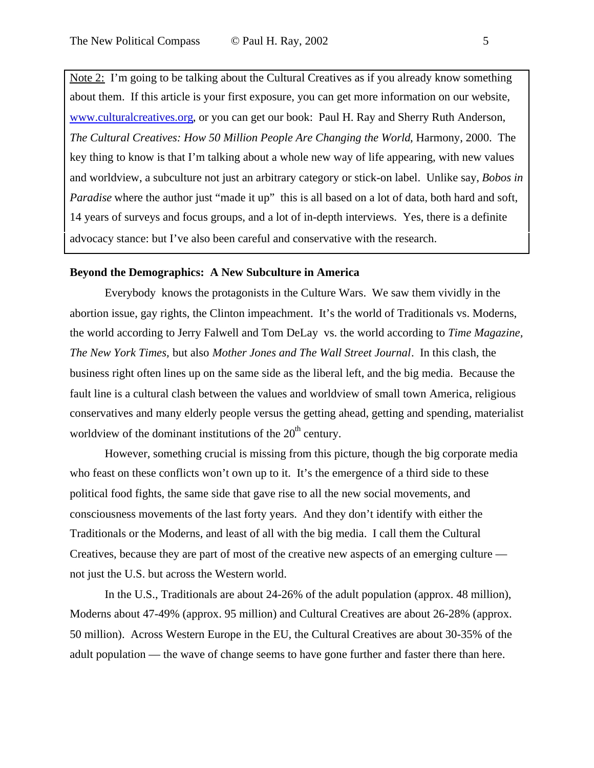Note 2: I'm going to be talking about the Cultural Creatives as if you already know something about them. If this article is your first exposure, you can get more information on our website, www.culturalcreatives.org, or you can get our book: Paul H. Ray and Sherry Ruth Anderson, *The Cultural Creatives: How 50 Million People Are Changing the World*, Harmony, 2000. The key thing to know is that I'm talking about a whole new way of life appearing, with new values and worldview, a subculture not just an arbitrary category or stick-on label. Unlike say, *Bobos in Paradise* where the author just "made it up" this is all based on a lot of data, both hard and soft, 14 years of surveys and focus groups, and a lot of in-depth interviews. Yes, there is a definite advocacy stance: but I've also been careful and conservative with the research.

#### **Beyond the Demographics: A New Subculture in America**

Everybody knows the protagonists in the Culture Wars. We saw them vividly in the abortion issue, gay rights, the Clinton impeachment. It's the world of Traditionals vs. Moderns, the world according to Jerry Falwell and Tom DeLay vs. the world according to *Time Magazine, The New York Times,* but also *Mother Jones and The Wall Street Journal*. In this clash, the business right often lines up on the same side as the liberal left, and the big media. Because the fault line is a cultural clash between the values and worldview of small town America, religious conservatives and many elderly people versus the getting ahead, getting and spending, materialist worldview of the dominant institutions of the  $20<sup>th</sup>$  century.

However, something crucial is missing from this picture, though the big corporate media who feast on these conflicts won't own up to it. It's the emergence of a third side to these political food fights, the same side that gave rise to all the new social movements, and consciousness movements of the last forty years. And they don't identify with either the Traditionals or the Moderns, and least of all with the big media. I call them the Cultural Creatives, because they are part of most of the creative new aspects of an emerging culture not just the U.S. but across the Western world.

In the U.S., Traditionals are about 24-26% of the adult population (approx. 48 million), Moderns about 47-49% (approx. 95 million) and Cultural Creatives are about 26-28% (approx. 50 million). Across Western Europe in the EU, the Cultural Creatives are about 30-35% of the adult population — the wave of change seems to have gone further and faster there than here.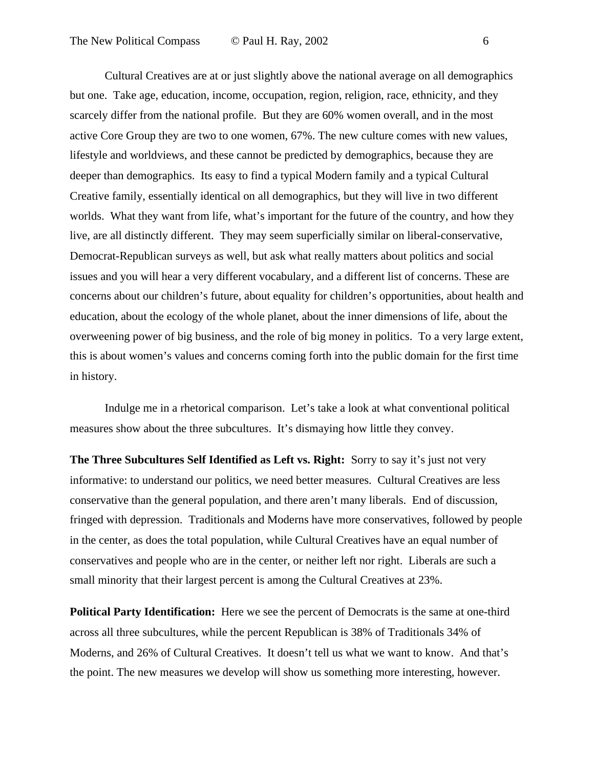Cultural Creatives are at or just slightly above the national average on all demographics but one. Take age, education, income, occupation, region, religion, race, ethnicity, and they scarcely differ from the national profile. But they are 60% women overall, and in the most active Core Group they are two to one women, 67%. The new culture comes with new values, lifestyle and worldviews, and these cannot be predicted by demographics, because they are deeper than demographics. Its easy to find a typical Modern family and a typical Cultural Creative family, essentially identical on all demographics, but they will live in two different worlds. What they want from life, what's important for the future of the country, and how they live, are all distinctly different. They may seem superficially similar on liberal-conservative, Democrat-Republican surveys as well, but ask what really matters about politics and social issues and you will hear a very different vocabulary, and a different list of concerns. These are concerns about our children's future, about equality for children's opportunities, about health and education, about the ecology of the whole planet, about the inner dimensions of life, about the overweening power of big business, and the role of big money in politics. To a very large extent, this is about women's values and concerns coming forth into the public domain for the first time in history.

Indulge me in a rhetorical comparison. Let's take a look at what conventional political measures show about the three subcultures. It's dismaying how little they convey.

**The Three Subcultures Self Identified as Left vs. Right:** Sorry to say it's just not very informative: to understand our politics, we need better measures. Cultural Creatives are less conservative than the general population, and there aren't many liberals. End of discussion, fringed with depression. Traditionals and Moderns have more conservatives, followed by people in the center, as does the total population, while Cultural Creatives have an equal number of conservatives and people who are in the center, or neither left nor right. Liberals are such a small minority that their largest percent is among the Cultural Creatives at 23%.

**Political Party Identification:** Here we see the percent of Democrats is the same at one-third across all three subcultures, while the percent Republican is 38% of Traditionals 34% of Moderns, and 26% of Cultural Creatives. It doesn't tell us what we want to know. And that's the point. The new measures we develop will show us something more interesting, however.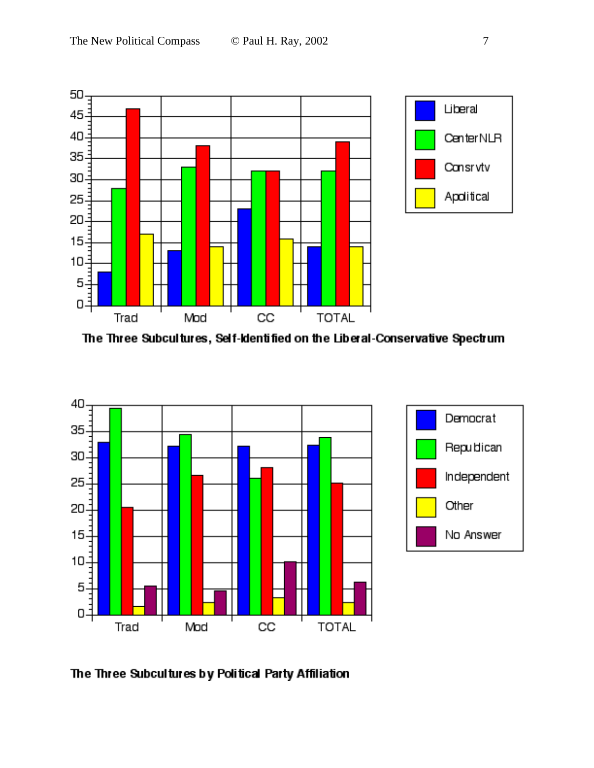

The Three Subcultures, Self-Identified on the Liberal-Conservative Spectrum



The Three Subcultures by Political Party Affiliation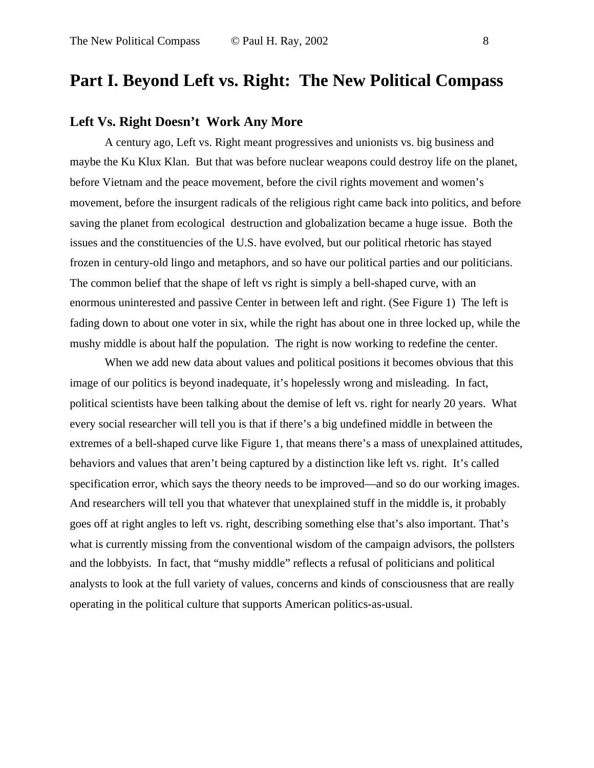### **Part I. Beyond Left vs. Right: The New Political Compass**

#### **Left Vs. Right Doesn't Work Any More**

A century ago, Left vs. Right meant progressives and unionists vs. big business and maybe the Ku Klux Klan. But that was before nuclear weapons could destroy life on the planet, before Vietnam and the peace movement, before the civil rights movement and women's movement, before the insurgent radicals of the religious right came back into politics, and before saving the planet from ecological destruction and globalization became a huge issue. Both the issues and the constituencies of the U.S. have evolved, but our political rhetoric has stayed frozen in century-old lingo and metaphors, and so have our political parties and our politicians. The common belief that the shape of left vs right is simply a bell-shaped curve, with an enormous uninterested and passive Center in between left and right. (See Figure 1) The left is fading down to about one voter in six, while the right has about one in three locked up, while the mushy middle is about half the population. The right is now working to redefine the center.

When we add new data about values and political positions it becomes obvious that this image of our politics is beyond inadequate, it's hopelessly wrong and misleading. In fact, political scientists have been talking about the demise of left vs. right for nearly 20 years. What every social researcher will tell you is that if there's a big undefined middle in between the extremes of a bell-shaped curve like Figure 1, that means there's a mass of unexplained attitudes, behaviors and values that aren't being captured by a distinction like left vs. right. It's called specification error, which says the theory needs to be improved—and so do our working images. And researchers will tell you that whatever that unexplained stuff in the middle is, it probably goes off at right angles to left vs. right, describing something else that's also important. That's what is currently missing from the conventional wisdom of the campaign advisors, the pollsters and the lobbyists. In fact, that "mushy middle" reflects a refusal of politicians and political analysts to look at the full variety of values, concerns and kinds of consciousness that are really operating in the political culture that supports American politics-as-usual.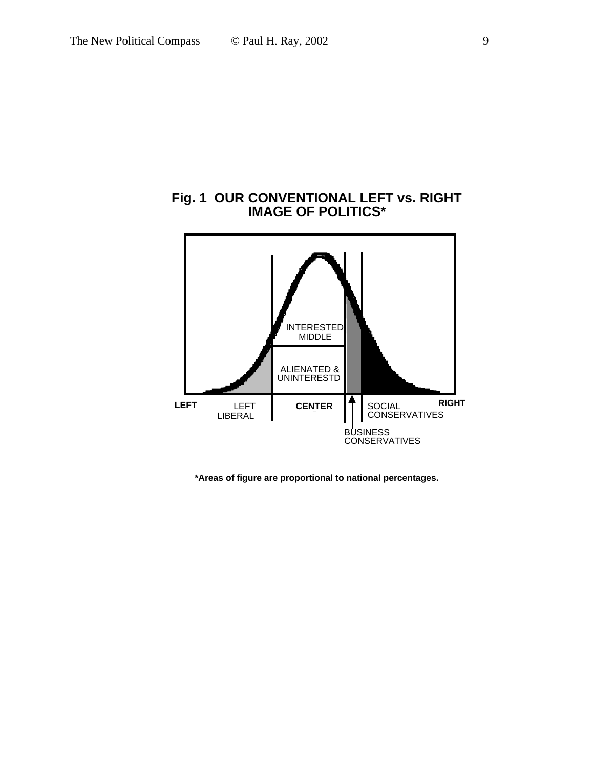#### **Fig. 1 OUR CONVENTIONAL LEFT vs. RIGHT IMAGE OF POLITICS\***



**\*Areas of figure are proportional to national percentages.**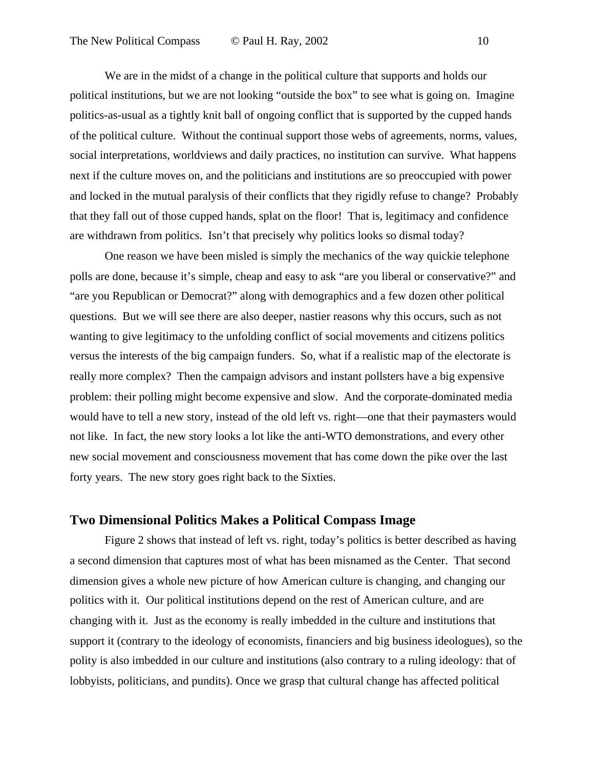We are in the midst of a change in the political culture that supports and holds our political institutions, but we are not looking "outside the box" to see what is going on. Imagine politics-as-usual as a tightly knit ball of ongoing conflict that is supported by the cupped hands of the political culture. Without the continual support those webs of agreements, norms, values, social interpretations, worldviews and daily practices, no institution can survive. What happens next if the culture moves on, and the politicians and institutions are so preoccupied with power and locked in the mutual paralysis of their conflicts that they rigidly refuse to change? Probably that they fall out of those cupped hands, splat on the floor! That is, legitimacy and confidence are withdrawn from politics. Isn't that precisely why politics looks so dismal today?

One reason we have been misled is simply the mechanics of the way quickie telephone polls are done, because it's simple, cheap and easy to ask "are you liberal or conservative?" and "are you Republican or Democrat?" along with demographics and a few dozen other political questions. But we will see there are also deeper, nastier reasons why this occurs, such as not wanting to give legitimacy to the unfolding conflict of social movements and citizens politics versus the interests of the big campaign funders. So, what if a realistic map of the electorate is really more complex? Then the campaign advisors and instant pollsters have a big expensive problem: their polling might become expensive and slow. And the corporate-dominated media would have to tell a new story, instead of the old left vs. right—one that their paymasters would not like. In fact, the new story looks a lot like the anti-WTO demonstrations, and every other new social movement and consciousness movement that has come down the pike over the last forty years. The new story goes right back to the Sixties.

#### **Two Dimensional Politics Makes a Political Compass Image**

Figure 2 shows that instead of left vs. right, today's politics is better described as having a second dimension that captures most of what has been misnamed as the Center. That second dimension gives a whole new picture of how American culture is changing, and changing our politics with it. Our political institutions depend on the rest of American culture, and are changing with it. Just as the economy is really imbedded in the culture and institutions that support it (contrary to the ideology of economists, financiers and big business ideologues), so the polity is also imbedded in our culture and institutions (also contrary to a ruling ideology: that of lobbyists, politicians, and pundits). Once we grasp that cultural change has affected political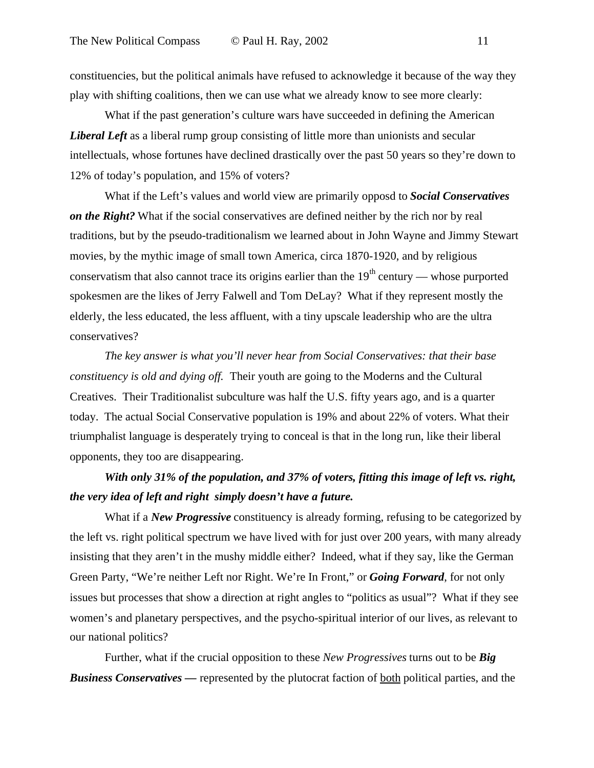constituencies, but the political animals have refused to acknowledge it because of the way they play with shifting coalitions, then we can use what we already know to see more clearly:

What if the past generation's culture wars have succeeded in defining the American *Liberal Left* as a liberal rump group consisting of little more than unionists and secular intellectuals, whose fortunes have declined drastically over the past 50 years so they're down to 12% of today's population, and 15% of voters?

What if the Left's values and world view are primarily opposd to *Social Conservatives on the Right?* What if the social conservatives are defined neither by the rich nor by real traditions, but by the pseudo-traditionalism we learned about in John Wayne and Jimmy Stewart movies, by the mythic image of small town America, circa 1870-1920, and by religious conservatism that also cannot trace its origins earlier than the  $19<sup>th</sup>$  century — whose purported spokesmen are the likes of Jerry Falwell and Tom DeLay? What if they represent mostly the elderly, the less educated, the less affluent, with a tiny upscale leadership who are the ultra conservatives?

*The key answer is what you'll never hear from Social Conservatives: that their base constituency is old and dying off.* Their youth are going to the Moderns and the Cultural Creatives. Their Traditionalist subculture was half the U.S. fifty years ago, and is a quarter today. The actual Social Conservative population is 19% and about 22% of voters. What their triumphalist language is desperately trying to conceal is that in the long run, like their liberal opponents, they too are disappearing.

### *With only 31% of the population, and 37% of voters, fitting this image of left vs. right, the very idea of left and right simply doesn't have a future.*

What if a *New Progressive* constituency is already forming, refusing to be categorized by the left vs. right political spectrum we have lived with for just over 200 years, with many already insisting that they aren't in the mushy middle either? Indeed, what if they say, like the German Green Party, "We're neither Left nor Right. We're In Front," or *Going Forward*, for not only issues but processes that show a direction at right angles to "politics as usual"? What if they see women's and planetary perspectives, and the psycho-spiritual interior of our lives, as relevant to our national politics?

Further, what if the crucial opposition to these *New Progressives* turns out to be *Big Business Conservatives —* represented by the plutocrat faction of both political parties, and the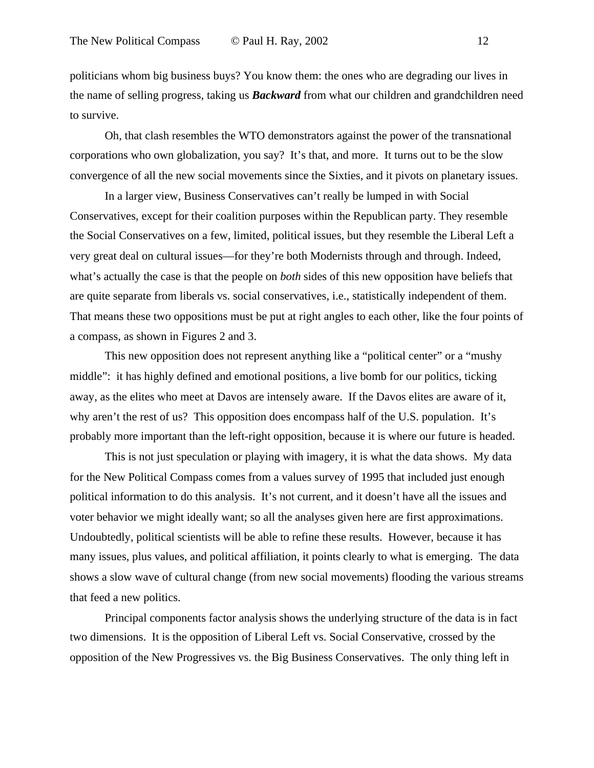politicians whom big business buys? You know them: the ones who are degrading our lives in the name of selling progress, taking us *Backward* from what our children and grandchildren need to survive.

Oh, that clash resembles the WTO demonstrators against the power of the transnational corporations who own globalization, you say? It's that, and more. It turns out to be the slow convergence of all the new social movements since the Sixties, and it pivots on planetary issues.

In a larger view, Business Conservatives can't really be lumped in with Social Conservatives, except for their coalition purposes within the Republican party. They resemble the Social Conservatives on a few, limited, political issues, but they resemble the Liberal Left a very great deal on cultural issues—for they're both Modernists through and through. Indeed, what's actually the case is that the people on *both* sides of this new opposition have beliefs that are quite separate from liberals vs. social conservatives, i.e., statistically independent of them. That means these two oppositions must be put at right angles to each other, like the four points of a compass, as shown in Figures 2 and 3.

This new opposition does not represent anything like a "political center" or a "mushy middle": it has highly defined and emotional positions, a live bomb for our politics, ticking away, as the elites who meet at Davos are intensely aware. If the Davos elites are aware of it, why aren't the rest of us? This opposition does encompass half of the U.S. population. It's probably more important than the left-right opposition, because it is where our future is headed.

This is not just speculation or playing with imagery, it is what the data shows. My data for the New Political Compass comes from a values survey of 1995 that included just enough political information to do this analysis. It's not current, and it doesn't have all the issues and voter behavior we might ideally want; so all the analyses given here are first approximations. Undoubtedly, political scientists will be able to refine these results. However, because it has many issues, plus values, and political affiliation, it points clearly to what is emerging. The data shows a slow wave of cultural change (from new social movements) flooding the various streams that feed a new politics.

Principal components factor analysis shows the underlying structure of the data is in fact two dimensions. It is the opposition of Liberal Left vs. Social Conservative, crossed by the opposition of the New Progressives vs. the Big Business Conservatives. The only thing left in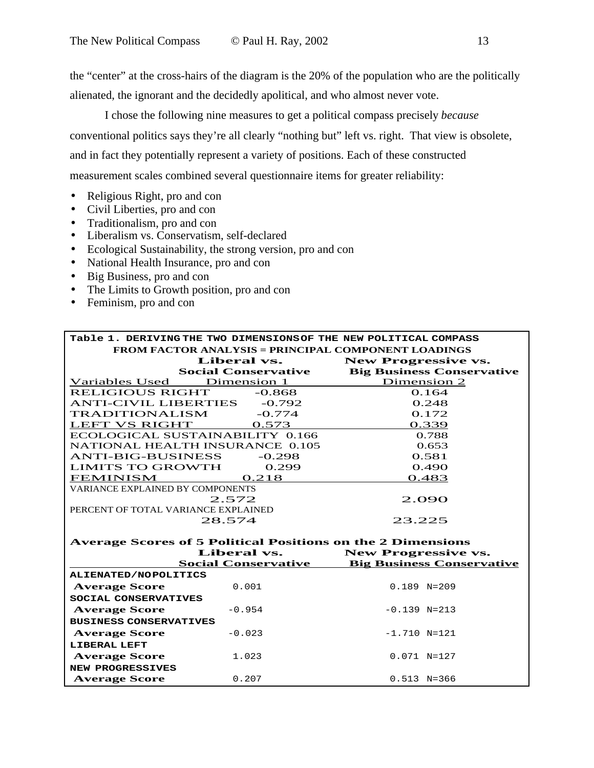the "center" at the cross-hairs of the diagram is the 20% of the population who are the politically alienated, the ignorant and the decidedly apolitical, and who almost never vote.

I chose the following nine measures to get a political compass precisely *because* conventional politics says they're all clearly "nothing but" left vs. right. That view is obsolete, and in fact they potentially represent a variety of positions. Each of these constructed measurement scales combined several questionnaire items for greater reliability:

- Religious Right, pro and con
- Civil Liberties, pro and con
- Traditionalism, pro and con
- Liberalism vs. Conservatism, self-declared
- Ecological Sustainability, the strong version, pro and con
- National Health Insurance, pro and con
- Big Business, pro and con
- The Limits to Growth position, pro and con
- Feminism, pro and con

| Table 1. DERIVING THE TWO DIMENSIONS OF THE NEW POLITICAL COMPASS  |                                  |  |  |  |  |
|--------------------------------------------------------------------|----------------------------------|--|--|--|--|
| <b>FROM FACTOR ANALYSIS = PRINCIPAL COMPONENT LOADINGS</b>         |                                  |  |  |  |  |
| Liberal vs.                                                        | <b>New Progressive vs.</b>       |  |  |  |  |
| <b>Social Conservative</b>                                         | <b>Big Business Conservative</b> |  |  |  |  |
| Variables Used Dimension 1                                         | Dimension 2                      |  |  |  |  |
| <b>RELIGIOUS RIGHT</b><br>$-0.868$                                 | 0.164                            |  |  |  |  |
| <b>ANTI-CIVIL LIBERTIES</b> -0.792                                 | 0.248                            |  |  |  |  |
| <b>TRADITIONALISM</b><br>$-0.774$                                  | 0.172                            |  |  |  |  |
| LEFT VS RIGHT<br>0.573                                             | 0.339                            |  |  |  |  |
| ECOLOGICAL SUSTAINABILITY 0.166                                    | 0.788                            |  |  |  |  |
| <b>NATIONAL HEALTH INSURANCE 0.105</b>                             | 0.653                            |  |  |  |  |
| <b>ANTI-BIG-BUSINESS</b><br>$-0.298$                               | 0.581                            |  |  |  |  |
| <b>LIMITS TO GROWTH</b><br>0.299                                   | 0.490                            |  |  |  |  |
| <b>FEMINISM</b><br>0.218                                           | 0.483                            |  |  |  |  |
| <b>VARIANCE EXPLAINED BY COMPONENTS</b>                            |                                  |  |  |  |  |
| 2.572                                                              | 2.090                            |  |  |  |  |
| PERCENT OF TOTAL VARIANCE EXPLAINED                                |                                  |  |  |  |  |
| 28.574                                                             | 23.225                           |  |  |  |  |
|                                                                    |                                  |  |  |  |  |
| <b>Average Scores of 5 Political Positions on the 2 Dimensions</b> |                                  |  |  |  |  |
| Liberal vs.                                                        | <b>New Progressive vs.</b>       |  |  |  |  |
| <b>Social Conservative</b>                                         | <b>Big Business Conservative</b> |  |  |  |  |
| ALIENATED/NOPOLITICS                                               |                                  |  |  |  |  |
| <b>Average Score</b><br>0.001                                      | $0.189$ N=209                    |  |  |  |  |
| SOCIAL CONSERVATIVES                                               |                                  |  |  |  |  |
| <b>Average Score</b><br>$-0.954$                                   | $-0.139$ N=213                   |  |  |  |  |
| <b>BUSINESS CONSERVATIVES</b>                                      |                                  |  |  |  |  |
| <b>Average Score</b><br>$-0.023$                                   | $-1.710$ N=121                   |  |  |  |  |
| <b>LIBERAL LEFT</b>                                                |                                  |  |  |  |  |
| <b>Average Score</b><br>1.023                                      | $0.071$ N=127                    |  |  |  |  |
| <b>NEW PROGRESSIVES</b>                                            |                                  |  |  |  |  |
| <b>Average Score</b><br>0.207                                      | $0.513$ N=366                    |  |  |  |  |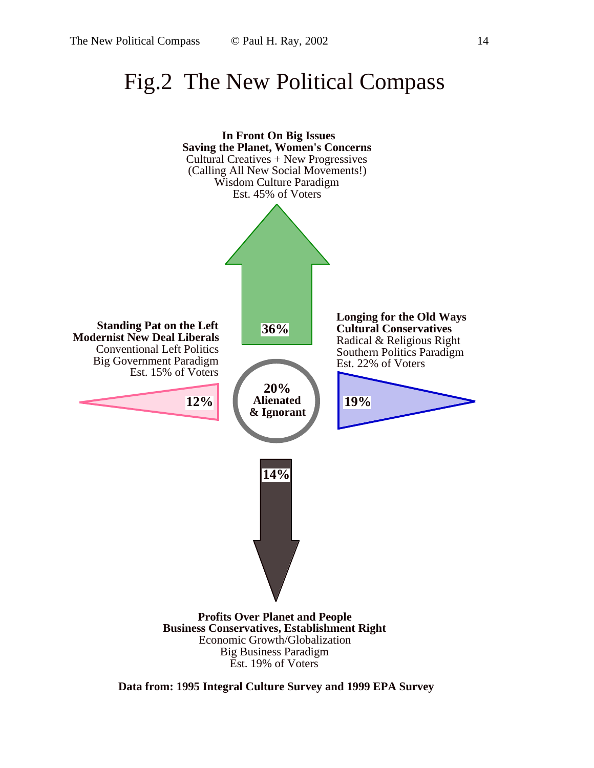## Fig.2 The New Political Compass



**Data from: 1995 Integral Culture Survey and 1999 EPA Survey**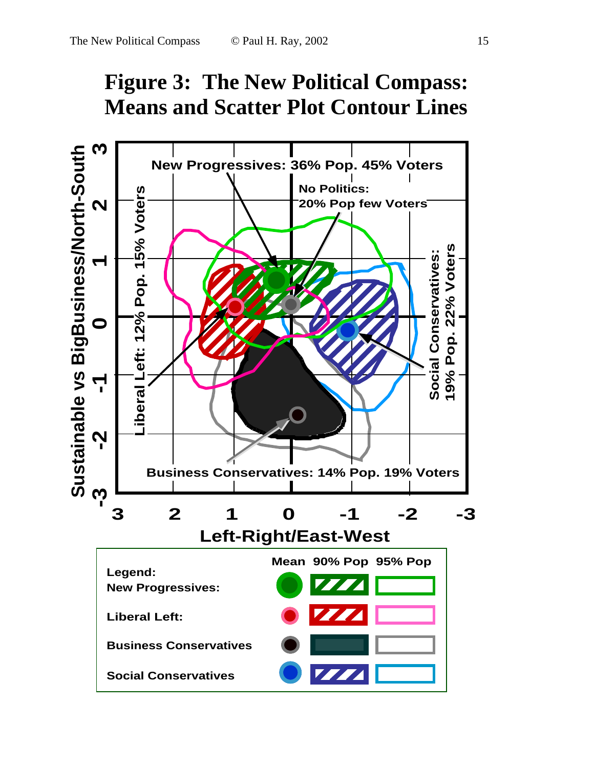

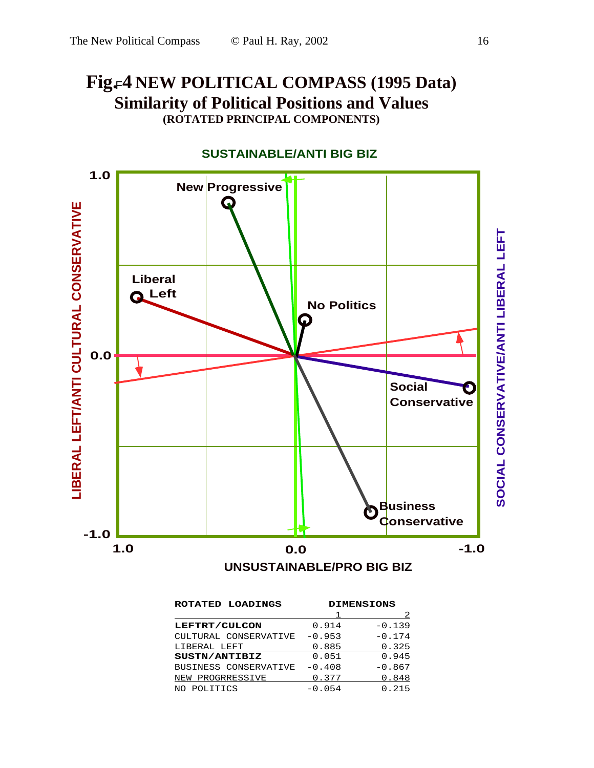## **Fig. 4 NEW POLITICAL COMPASS (1995 Data)** F**Similarity of Political Positions and Values (ROTATED PRINCIPAL COMPONENTS)**



| ROTATED LOADINGS      | <b>DIMENSIONS</b> |          |  |
|-----------------------|-------------------|----------|--|
|                       |                   |          |  |
| LEFTRT/CULCON         | 0.914             | $-0.139$ |  |
| CULTURAL CONSERVATIVE | $-0.953$          | $-0.174$ |  |
| LIBERAL LEFT          | 0.885             | 0.325    |  |
| SUSTN/ANTIBIZ         | 0.051             | 0.945    |  |
| BUSINESS CONSERVATIVE | $-0.408$          | $-0.867$ |  |
| PROGRRESSIVE<br>NEW   | 0.377             | 0.848    |  |
| POLITICS              | $-0.054$          | 0.215    |  |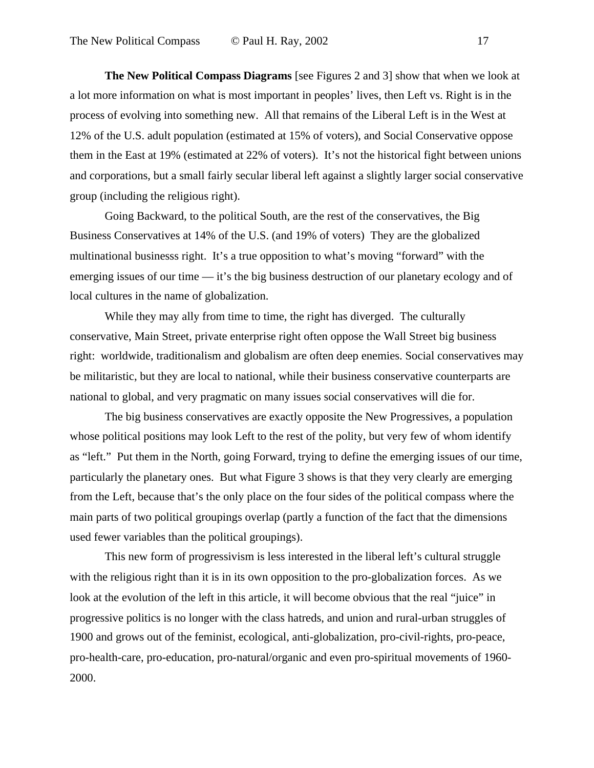**The New Political Compass Diagrams** [see Figures 2 and 3] show that when we look at a lot more information on what is most important in peoples' lives, then Left vs. Right is in the process of evolving into something new. All that remains of the Liberal Left is in the West at 12% of the U.S. adult population (estimated at 15% of voters), and Social Conservative oppose them in the East at 19% (estimated at 22% of voters). It's not the historical fight between unions and corporations, but a small fairly secular liberal left against a slightly larger social conservative group (including the religious right).

Going Backward, to the political South, are the rest of the conservatives, the Big Business Conservatives at 14% of the U.S. (and 19% of voters) They are the globalized multinational businesss right. It's a true opposition to what's moving "forward" with the emerging issues of our time — it's the big business destruction of our planetary ecology and of local cultures in the name of globalization.

While they may ally from time to time, the right has diverged. The culturally conservative, Main Street, private enterprise right often oppose the Wall Street big business right: worldwide, traditionalism and globalism are often deep enemies. Social conservatives may be militaristic, but they are local to national, while their business conservative counterparts are national to global, and very pragmatic on many issues social conservatives will die for.

The big business conservatives are exactly opposite the New Progressives, a population whose political positions may look Left to the rest of the polity, but very few of whom identify as "left." Put them in the North, going Forward, trying to define the emerging issues of our time, particularly the planetary ones. But what Figure 3 shows is that they very clearly are emerging from the Left, because that's the only place on the four sides of the political compass where the main parts of two political groupings overlap (partly a function of the fact that the dimensions used fewer variables than the political groupings).

This new form of progressivism is less interested in the liberal left's cultural struggle with the religious right than it is in its own opposition to the pro-globalization forces. As we look at the evolution of the left in this article, it will become obvious that the real "juice" in progressive politics is no longer with the class hatreds, and union and rural-urban struggles of 1900 and grows out of the feminist, ecological, anti-globalization, pro-civil-rights, pro-peace, pro-health-care, pro-education, pro-natural/organic and even pro-spiritual movements of 1960- 2000.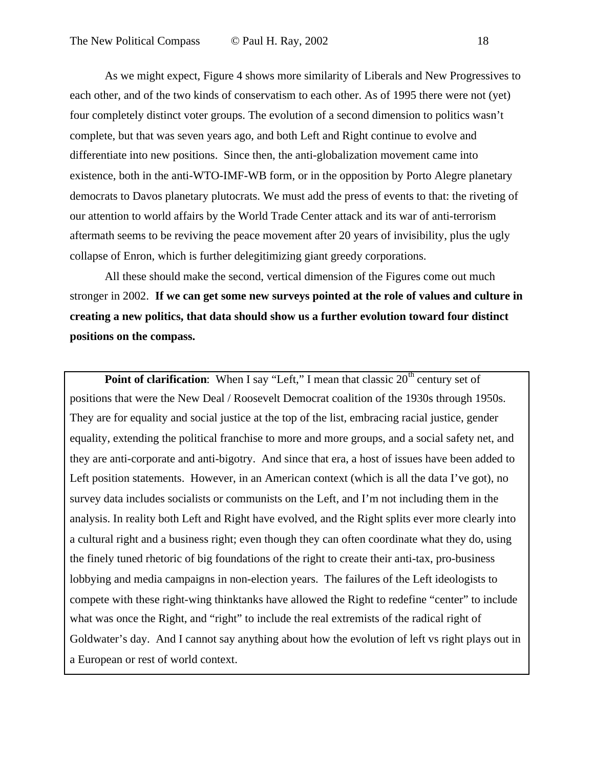As we might expect, Figure 4 shows more similarity of Liberals and New Progressives to each other, and of the two kinds of conservatism to each other. As of 1995 there were not (yet) four completely distinct voter groups. The evolution of a second dimension to politics wasn't complete, but that was seven years ago, and both Left and Right continue to evolve and differentiate into new positions. Since then, the anti-globalization movement came into existence, both in the anti-WTO-IMF-WB form, or in the opposition by Porto Alegre planetary democrats to Davos planetary plutocrats. We must add the press of events to that: the riveting of our attention to world affairs by the World Trade Center attack and its war of anti-terrorism aftermath seems to be reviving the peace movement after 20 years of invisibility, plus the ugly collapse of Enron, which is further delegitimizing giant greedy corporations.

All these should make the second, vertical dimension of the Figures come out much stronger in 2002. **If we can get some new surveys pointed at the role of values and culture in creating a new politics, that data should show us a further evolution toward four distinct positions on the compass.**

**Point of clarification:** When I say "Left," I mean that classic 20<sup>th</sup> century set of positions that were the New Deal / Roosevelt Democrat coalition of the 1930s through 1950s. They are for equality and social justice at the top of the list, embracing racial justice, gender equality, extending the political franchise to more and more groups, and a social safety net, and they are anti-corporate and anti-bigotry. And since that era, a host of issues have been added to Left position statements. However, in an American context (which is all the data I've got), no survey data includes socialists or communists on the Left, and I'm not including them in the analysis. In reality both Left and Right have evolved, and the Right splits ever more clearly into a cultural right and a business right; even though they can often coordinate what they do, using the finely tuned rhetoric of big foundations of the right to create their anti-tax, pro-business lobbying and media campaigns in non-election years. The failures of the Left ideologists to compete with these right-wing thinktanks have allowed the Right to redefine "center" to include what was once the Right, and "right" to include the real extremists of the radical right of Goldwater's day. And I cannot say anything about how the evolution of left vs right plays out in a European or rest of world context.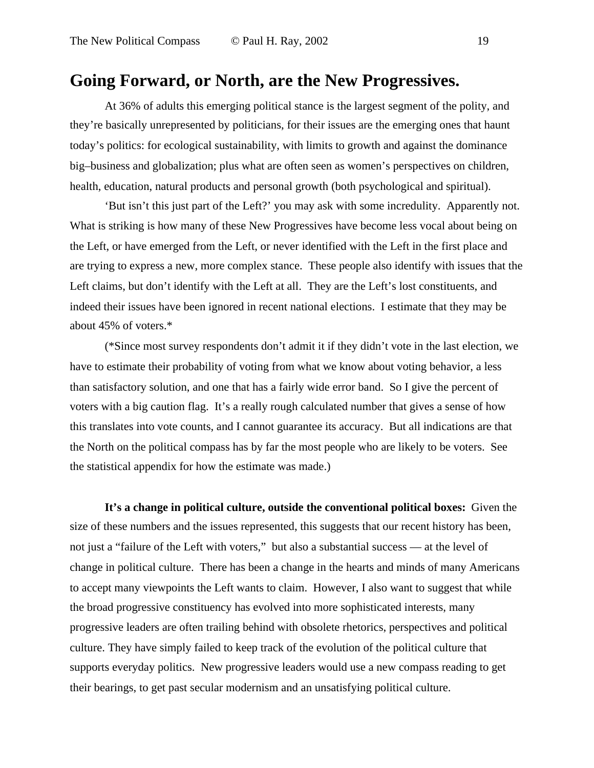### **Going Forward, or North, are the New Progressives.**

At 36% of adults this emerging political stance is the largest segment of the polity, and they're basically unrepresented by politicians, for their issues are the emerging ones that haunt today's politics: for ecological sustainability, with limits to growth and against the dominance big–business and globalization; plus what are often seen as women's perspectives on children, health, education, natural products and personal growth (both psychological and spiritual).

'But isn't this just part of the Left?' you may ask with some incredulity. Apparently not. What is striking is how many of these New Progressives have become less vocal about being on the Left, or have emerged from the Left, or never identified with the Left in the first place and are trying to express a new, more complex stance. These people also identify with issues that the Left claims, but don't identify with the Left at all. They are the Left's lost constituents, and indeed their issues have been ignored in recent national elections. I estimate that they may be about 45% of voters.\*

(\*Since most survey respondents don't admit it if they didn't vote in the last election, we have to estimate their probability of voting from what we know about voting behavior, a less than satisfactory solution, and one that has a fairly wide error band. So I give the percent of voters with a big caution flag. It's a really rough calculated number that gives a sense of how this translates into vote counts, and I cannot guarantee its accuracy. But all indications are that the North on the political compass has by far the most people who are likely to be voters. See the statistical appendix for how the estimate was made.)

**It's a change in political culture, outside the conventional political boxes:** Given the size of these numbers and the issues represented, this suggests that our recent history has been, not just a "failure of the Left with voters," but also a substantial success — at the level of change in political culture. There has been a change in the hearts and minds of many Americans to accept many viewpoints the Left wants to claim. However, I also want to suggest that while the broad progressive constituency has evolved into more sophisticated interests, many progressive leaders are often trailing behind with obsolete rhetorics, perspectives and political culture. They have simply failed to keep track of the evolution of the political culture that supports everyday politics. New progressive leaders would use a new compass reading to get their bearings, to get past secular modernism and an unsatisfying political culture.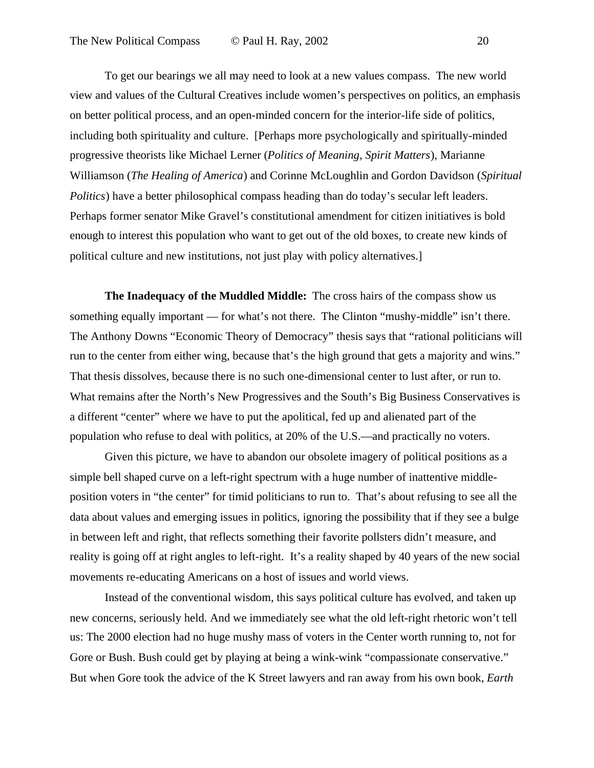To get our bearings we all may need to look at a new values compass. The new world view and values of the Cultural Creatives include women's perspectives on politics, an emphasis on better political process, and an open-minded concern for the interior-life side of politics, including both spirituality and culture. [Perhaps more psychologically and spiritually-minded progressive theorists like Michael Lerner (*Politics of Meaning, Spirit Matters*), Marianne Williamson (*The Healing of America*) and Corinne McLoughlin and Gordon Davidson (*Spiritual Politics*) have a better philosophical compass heading than do today's secular left leaders. Perhaps former senator Mike Gravel's constitutional amendment for citizen initiatives is bold enough to interest this population who want to get out of the old boxes, to create new kinds of political culture and new institutions, not just play with policy alternatives.]

**The Inadequacy of the Muddled Middle:** The cross hairs of the compass show us something equally important — for what's not there. The Clinton "mushy-middle" isn't there. The Anthony Downs "Economic Theory of Democracy" thesis says that "rational politicians will run to the center from either wing, because that's the high ground that gets a majority and wins." That thesis dissolves, because there is no such one-dimensional center to lust after, or run to. What remains after the North's New Progressives and the South's Big Business Conservatives is a different "center" where we have to put the apolitical, fed up and alienated part of the population who refuse to deal with politics, at 20% of the U.S.—and practically no voters.

Given this picture, we have to abandon our obsolete imagery of political positions as a simple bell shaped curve on a left-right spectrum with a huge number of inattentive middleposition voters in "the center" for timid politicians to run to. That's about refusing to see all the data about values and emerging issues in politics, ignoring the possibility that if they see a bulge in between left and right, that reflects something their favorite pollsters didn't measure, and reality is going off at right angles to left-right. It's a reality shaped by 40 years of the new social movements re-educating Americans on a host of issues and world views.

Instead of the conventional wisdom, this says political culture has evolved, and taken up new concerns, seriously held. And we immediately see what the old left-right rhetoric won't tell us: The 2000 election had no huge mushy mass of voters in the Center worth running to, not for Gore or Bush. Bush could get by playing at being a wink-wink "compassionate conservative." But when Gore took the advice of the K Street lawyers and ran away from his own book, *Earth*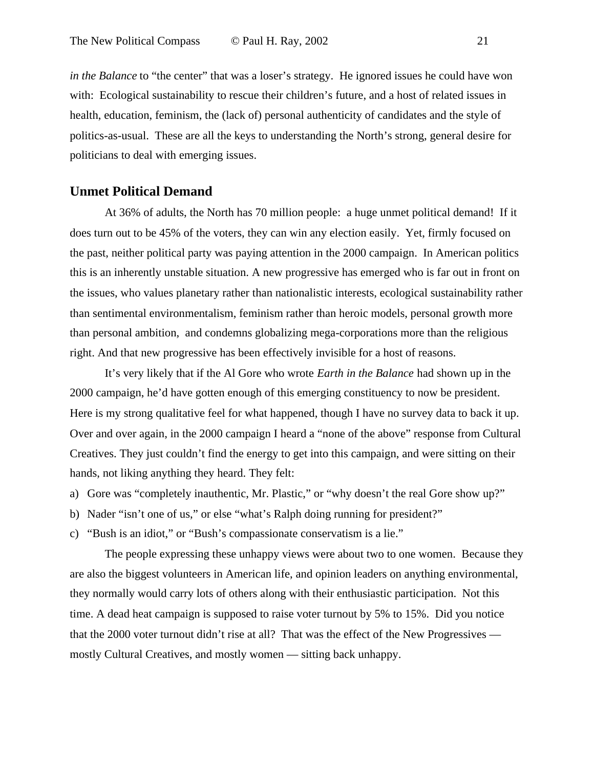*in the Balance* to "the center" that was a loser's strategy. He ignored issues he could have won with: Ecological sustainability to rescue their children's future, and a host of related issues in health, education, feminism, the (lack of) personal authenticity of candidates and the style of politics-as-usual. These are all the keys to understanding the North's strong, general desire for politicians to deal with emerging issues.

#### **Unmet Political Demand**

At 36% of adults, the North has 70 million people: a huge unmet political demand! If it does turn out to be 45% of the voters, they can win any election easily. Yet, firmly focused on the past, neither political party was paying attention in the 2000 campaign. In American politics this is an inherently unstable situation. A new progressive has emerged who is far out in front on the issues, who values planetary rather than nationalistic interests, ecological sustainability rather than sentimental environmentalism, feminism rather than heroic models, personal growth more than personal ambition, and condemns globalizing mega-corporations more than the religious right. And that new progressive has been effectively invisible for a host of reasons.

It's very likely that if the Al Gore who wrote *Earth in the Balance* had shown up in the 2000 campaign, he'd have gotten enough of this emerging constituency to now be president. Here is my strong qualitative feel for what happened, though I have no survey data to back it up. Over and over again, in the 2000 campaign I heard a "none of the above" response from Cultural Creatives. They just couldn't find the energy to get into this campaign, and were sitting on their hands, not liking anything they heard. They felt:

- a) Gore was "completely inauthentic, Mr. Plastic," or "why doesn't the real Gore show up?"
- b) Nader "isn't one of us," or else "what's Ralph doing running for president?"
- c) "Bush is an idiot," or "Bush's compassionate conservatism is a lie."

The people expressing these unhappy views were about two to one women. Because they are also the biggest volunteers in American life, and opinion leaders on anything environmental, they normally would carry lots of others along with their enthusiastic participation. Not this time. A dead heat campaign is supposed to raise voter turnout by 5% to 15%. Did you notice that the 2000 voter turnout didn't rise at all? That was the effect of the New Progressives mostly Cultural Creatives, and mostly women — sitting back unhappy.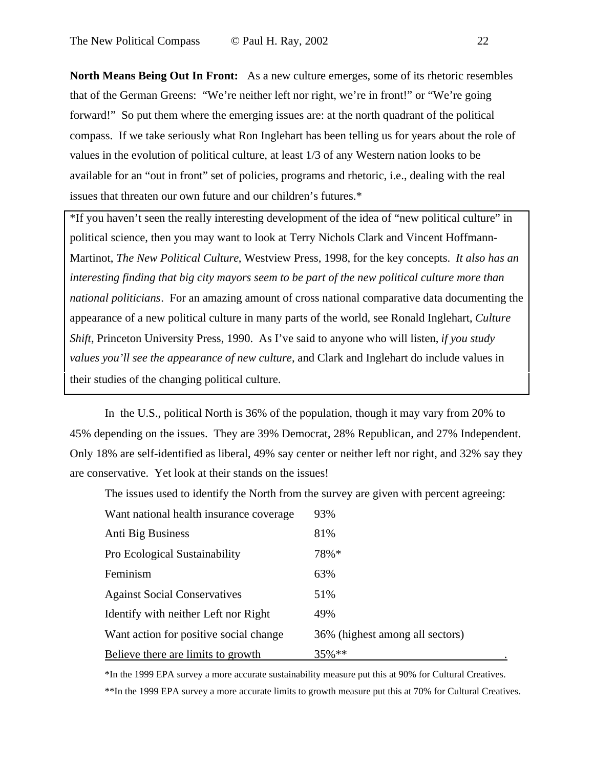**North Means Being Out In Front:** As a new culture emerges, some of its rhetoric resembles that of the German Greens: "We're neither left nor right, we're in front!" or "We're going forward!" So put them where the emerging issues are: at the north quadrant of the political compass. If we take seriously what Ron Inglehart has been telling us for years about the role of values in the evolution of political culture, at least 1/3 of any Western nation looks to be available for an "out in front" set of policies, programs and rhetoric, i.e., dealing with the real issues that threaten our own future and our children's futures.\*

\*If you haven't seen the really interesting development of the idea of "new political culture" in political science, then you may want to look at Terry Nichols Clark and Vincent Hoffmann-Martinot, *The New Political Culture*, Westview Press, 1998, for the key concepts. *It also has an interesting finding that big city mayors seem to be part of the new political culture more than national politicians*. For an amazing amount of cross national comparative data documenting the appearance of a new political culture in many parts of the world, see Ronald Inglehart, *Culture Shift*, Princeton University Press, 1990. As I've said to anyone who will listen, *if you study values you'll see the appearance of new culture*, and Clark and Inglehart do include values in their studies of the changing political culture.

In the U.S., political North is 36% of the population, though it may vary from 20% to 45% depending on the issues. They are 39% Democrat, 28% Republican, and 27% Independent. Only 18% are self-identified as liberal, 49% say center or neither left nor right, and 32% say they are conservative. Yet look at their stands on the issues!

The issues used to identify the North from the survey are given with percent agreeing:

| Want national health insurance coverage   | 93%                             |
|-------------------------------------------|---------------------------------|
| Anti Big Business                         | 81%                             |
| Pro Ecological Sustainability             | 78%*                            |
| Feminism                                  | 63%                             |
| <b>Against Social Conservatives</b>       | 51%                             |
| Identify with neither Left nor Right      | 49%                             |
| Want action for positive social change    | 36% (highest among all sectors) |
| <u>Believe there are limits to growth</u> | $35\%$ **                       |

\*In the 1999 EPA survey a more accurate sustainability measure put this at 90% for Cultural Creatives.

\*\*In the 1999 EPA survey a more accurate limits to growth measure put this at 70% for Cultural Creatives.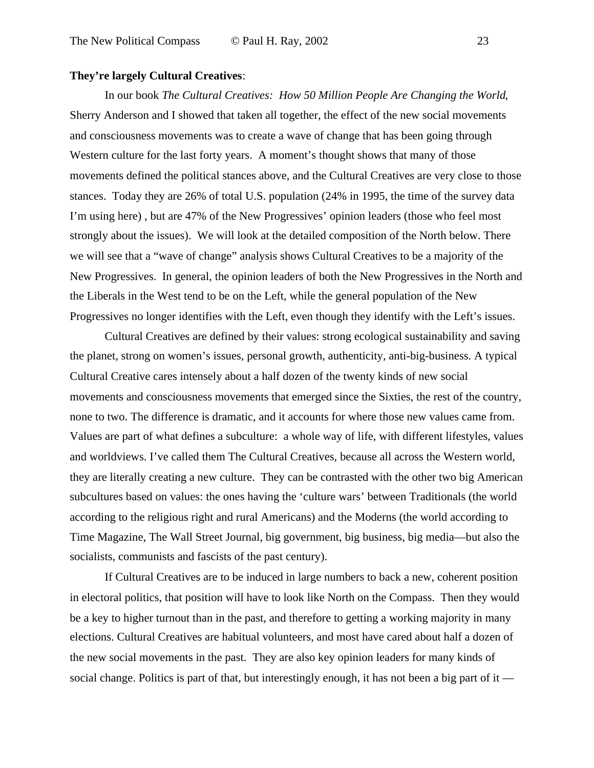#### **They're largely Cultural Creatives**:

In our book *The Cultural Creatives: How 50 Million People Are Changing the World*, Sherry Anderson and I showed that taken all together, the effect of the new social movements and consciousness movements was to create a wave of change that has been going through Western culture for the last forty years. A moment's thought shows that many of those movements defined the political stances above, and the Cultural Creatives are very close to those stances. Today they are 26% of total U.S. population (24% in 1995, the time of the survey data I'm using here) , but are 47% of the New Progressives' opinion leaders (those who feel most strongly about the issues). We will look at the detailed composition of the North below. There we will see that a "wave of change" analysis shows Cultural Creatives to be a majority of the New Progressives. In general, the opinion leaders of both the New Progressives in the North and the Liberals in the West tend to be on the Left, while the general population of the New Progressives no longer identifies with the Left, even though they identify with the Left's issues.

Cultural Creatives are defined by their values: strong ecological sustainability and saving the planet, strong on women's issues, personal growth, authenticity, anti-big-business. A typical Cultural Creative cares intensely about a half dozen of the twenty kinds of new social movements and consciousness movements that emerged since the Sixties, the rest of the country, none to two. The difference is dramatic, and it accounts for where those new values came from. Values are part of what defines a subculture: a whole way of life, with different lifestyles, values and worldviews. I've called them The Cultural Creatives, because all across the Western world, they are literally creating a new culture. They can be contrasted with the other two big American subcultures based on values: the ones having the 'culture wars' between Traditionals (the world according to the religious right and rural Americans) and the Moderns (the world according to Time Magazine, The Wall Street Journal, big government, big business, big media—but also the socialists, communists and fascists of the past century).

If Cultural Creatives are to be induced in large numbers to back a new, coherent position in electoral politics, that position will have to look like North on the Compass. Then they would be a key to higher turnout than in the past, and therefore to getting a working majority in many elections. Cultural Creatives are habitual volunteers, and most have cared about half a dozen of the new social movements in the past. They are also key opinion leaders for many kinds of social change. Politics is part of that, but interestingly enough, it has not been a big part of it —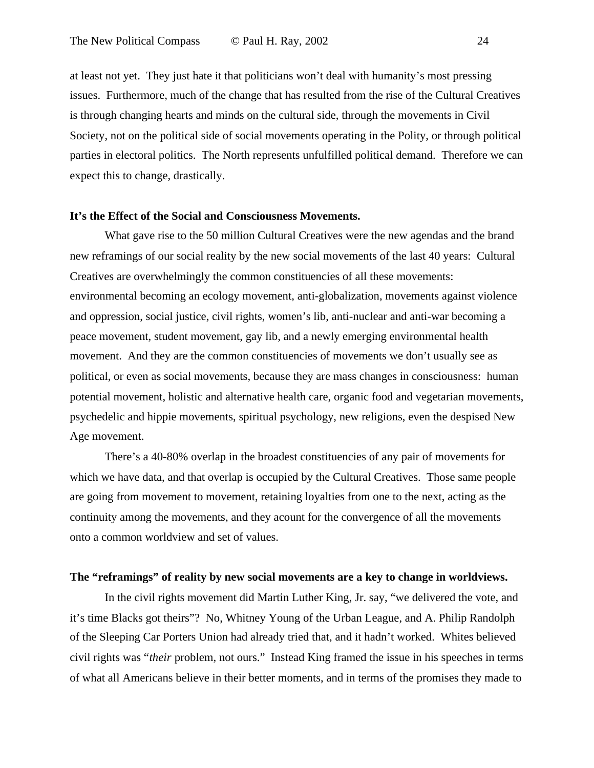at least not yet. They just hate it that politicians won't deal with humanity's most pressing issues. Furthermore, much of the change that has resulted from the rise of the Cultural Creatives is through changing hearts and minds on the cultural side, through the movements in Civil Society, not on the political side of social movements operating in the Polity, or through political parties in electoral politics. The North represents unfulfilled political demand. Therefore we can expect this to change, drastically.

#### **It's the Effect of the Social and Consciousness Movements.**

What gave rise to the 50 million Cultural Creatives were the new agendas and the brand new reframings of our social reality by the new social movements of the last 40 years: Cultural Creatives are overwhelmingly the common constituencies of all these movements: environmental becoming an ecology movement, anti-globalization, movements against violence and oppression, social justice, civil rights, women's lib, anti-nuclear and anti-war becoming a peace movement, student movement, gay lib, and a newly emerging environmental health movement. And they are the common constituencies of movements we don't usually see as political, or even as social movements, because they are mass changes in consciousness: human potential movement, holistic and alternative health care, organic food and vegetarian movements, psychedelic and hippie movements, spiritual psychology, new religions, even the despised New Age movement.

There's a 40-80% overlap in the broadest constituencies of any pair of movements for which we have data, and that overlap is occupied by the Cultural Creatives. Those same people are going from movement to movement, retaining loyalties from one to the next, acting as the continuity among the movements, and they acount for the convergence of all the movements onto a common worldview and set of values.

#### **The "reframings" of reality by new social movements are a key to change in worldviews.**

In the civil rights movement did Martin Luther King, Jr. say, "we delivered the vote, and it's time Blacks got theirs"? No, Whitney Young of the Urban League, and A. Philip Randolph of the Sleeping Car Porters Union had already tried that, and it hadn't worked. Whites believed civil rights was "*their* problem, not ours." Instead King framed the issue in his speeches in terms of what all Americans believe in their better moments, and in terms of the promises they made to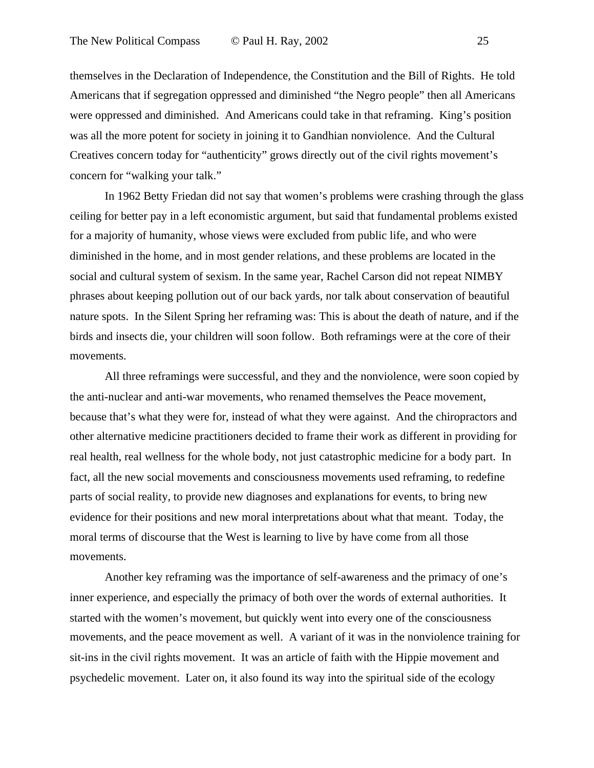themselves in the Declaration of Independence, the Constitution and the Bill of Rights. He told Americans that if segregation oppressed and diminished "the Negro people" then all Americans were oppressed and diminished. And Americans could take in that reframing. King's position was all the more potent for society in joining it to Gandhian nonviolence. And the Cultural Creatives concern today for "authenticity" grows directly out of the civil rights movement's concern for "walking your talk."

In 1962 Betty Friedan did not say that women's problems were crashing through the glass ceiling for better pay in a left economistic argument, but said that fundamental problems existed for a majority of humanity, whose views were excluded from public life, and who were diminished in the home, and in most gender relations, and these problems are located in the social and cultural system of sexism. In the same year, Rachel Carson did not repeat NIMBY phrases about keeping pollution out of our back yards, nor talk about conservation of beautiful nature spots. In the Silent Spring her reframing was: This is about the death of nature, and if the birds and insects die, your children will soon follow. Both reframings were at the core of their movements.

All three reframings were successful, and they and the nonviolence, were soon copied by the anti-nuclear and anti-war movements, who renamed themselves the Peace movement, because that's what they were for, instead of what they were against. And the chiropractors and other alternative medicine practitioners decided to frame their work as different in providing for real health, real wellness for the whole body, not just catastrophic medicine for a body part. In fact, all the new social movements and consciousness movements used reframing, to redefine parts of social reality, to provide new diagnoses and explanations for events, to bring new evidence for their positions and new moral interpretations about what that meant. Today, the moral terms of discourse that the West is learning to live by have come from all those movements.

Another key reframing was the importance of self-awareness and the primacy of one's inner experience, and especially the primacy of both over the words of external authorities. It started with the women's movement, but quickly went into every one of the consciousness movements, and the peace movement as well. A variant of it was in the nonviolence training for sit-ins in the civil rights movement. It was an article of faith with the Hippie movement and psychedelic movement. Later on, it also found its way into the spiritual side of the ecology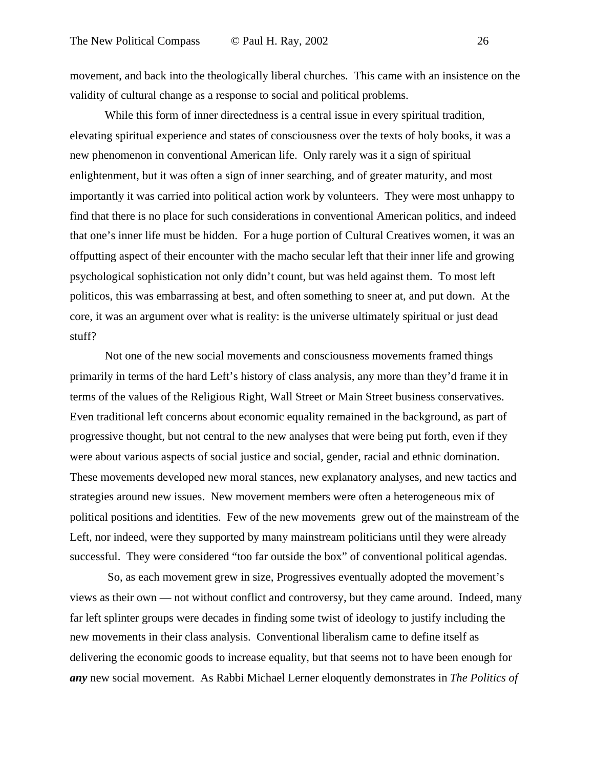movement, and back into the theologically liberal churches. This came with an insistence on the validity of cultural change as a response to social and political problems.

While this form of inner directedness is a central issue in every spiritual tradition, elevating spiritual experience and states of consciousness over the texts of holy books, it was a new phenomenon in conventional American life. Only rarely was it a sign of spiritual enlightenment, but it was often a sign of inner searching, and of greater maturity, and most importantly it was carried into political action work by volunteers. They were most unhappy to find that there is no place for such considerations in conventional American politics, and indeed that one's inner life must be hidden. For a huge portion of Cultural Creatives women, it was an offputting aspect of their encounter with the macho secular left that their inner life and growing psychological sophistication not only didn't count, but was held against them. To most left politicos, this was embarrassing at best, and often something to sneer at, and put down. At the core, it was an argument over what is reality: is the universe ultimately spiritual or just dead stuff?

Not one of the new social movements and consciousness movements framed things primarily in terms of the hard Left's history of class analysis, any more than they'd frame it in terms of the values of the Religious Right, Wall Street or Main Street business conservatives. Even traditional left concerns about economic equality remained in the background, as part of progressive thought, but not central to the new analyses that were being put forth, even if they were about various aspects of social justice and social, gender, racial and ethnic domination. These movements developed new moral stances, new explanatory analyses, and new tactics and strategies around new issues. New movement members were often a heterogeneous mix of political positions and identities. Few of the new movements grew out of the mainstream of the Left, nor indeed, were they supported by many mainstream politicians until they were already successful. They were considered "too far outside the box" of conventional political agendas.

 So, as each movement grew in size, Progressives eventually adopted the movement's views as their own — not without conflict and controversy, but they came around. Indeed, many far left splinter groups were decades in finding some twist of ideology to justify including the new movements in their class analysis. Conventional liberalism came to define itself as delivering the economic goods to increase equality, but that seems not to have been enough for *any* new social movement. As Rabbi Michael Lerner eloquently demonstrates in *The Politics of*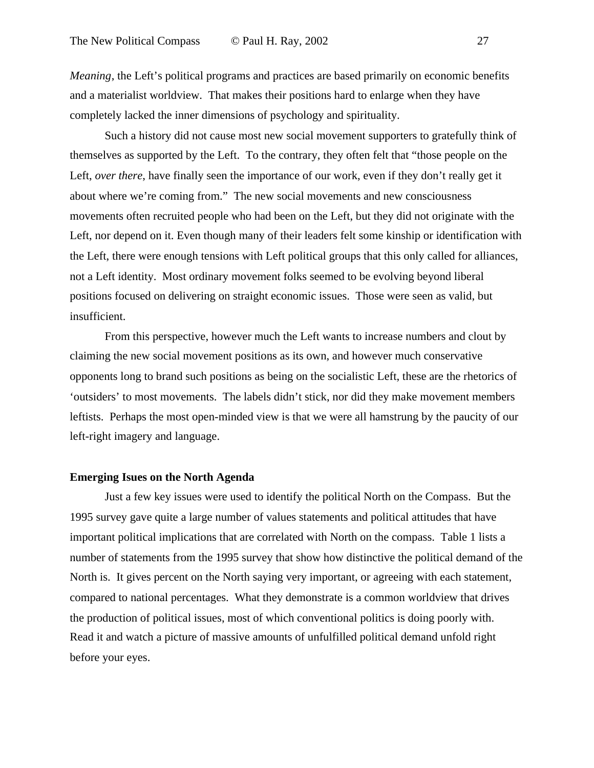*Meaning*, the Left's political programs and practices are based primarily on economic benefits and a materialist worldview. That makes their positions hard to enlarge when they have completely lacked the inner dimensions of psychology and spirituality.

Such a history did not cause most new social movement supporters to gratefully think of themselves as supported by the Left. To the contrary, they often felt that "those people on the Left, *over there*, have finally seen the importance of our work, even if they don't really get it about where we're coming from." The new social movements and new consciousness movements often recruited people who had been on the Left, but they did not originate with the Left, nor depend on it. Even though many of their leaders felt some kinship or identification with the Left, there were enough tensions with Left political groups that this only called for alliances, not a Left identity. Most ordinary movement folks seemed to be evolving beyond liberal positions focused on delivering on straight economic issues. Those were seen as valid, but insufficient.

From this perspective, however much the Left wants to increase numbers and clout by claiming the new social movement positions as its own, and however much conservative opponents long to brand such positions as being on the socialistic Left, these are the rhetorics of 'outsiders' to most movements. The labels didn't stick, nor did they make movement members leftists. Perhaps the most open-minded view is that we were all hamstrung by the paucity of our left-right imagery and language.

#### **Emerging Isues on the North Agenda**

Just a few key issues were used to identify the political North on the Compass. But the 1995 survey gave quite a large number of values statements and political attitudes that have important political implications that are correlated with North on the compass. Table 1 lists a number of statements from the 1995 survey that show how distinctive the political demand of the North is. It gives percent on the North saying very important, or agreeing with each statement, compared to national percentages. What they demonstrate is a common worldview that drives the production of political issues, most of which conventional politics is doing poorly with. Read it and watch a picture of massive amounts of unfulfilled political demand unfold right before your eyes.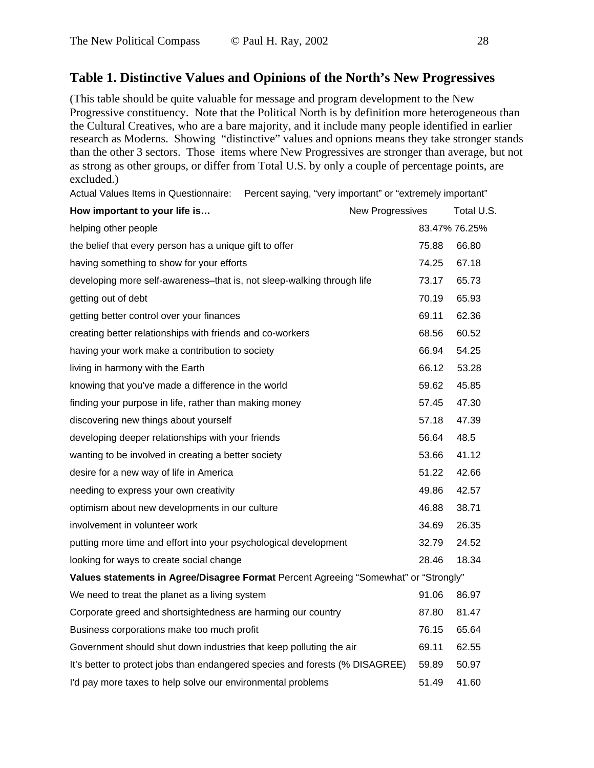#### **Table 1. Distinctive Values and Opinions of the North's New Progressives**

(This table should be quite valuable for message and program development to the New Progressive constituency. Note that the Political North is by definition more heterogeneous than the Cultural Creatives, who are a bare majority, and it include many people identified in earlier research as Moderns. Showing "distinctive" values and opnions means they take stronger stands than the other 3 sectors. Those items where New Progressives are stronger than average, but not as strong as other groups, or differ from Total U.S. by only a couple of percentage points, are excluded.)

Actual Values Items in Questionnaire: Percent saying, "very important" or "extremely important"

| How important to your life is                                                        | <b>New Progressives</b> |       | Total U.S.    |
|--------------------------------------------------------------------------------------|-------------------------|-------|---------------|
| helping other people                                                                 |                         |       | 83.47% 76.25% |
| the belief that every person has a unique gift to offer                              |                         | 75.88 | 66.80         |
| having something to show for your efforts                                            |                         | 74.25 | 67.18         |
| developing more self-awareness-that is, not sleep-walking through life               |                         | 73.17 | 65.73         |
| getting out of debt                                                                  |                         | 70.19 | 65.93         |
| getting better control over your finances                                            |                         | 69.11 | 62.36         |
| creating better relationships with friends and co-workers                            |                         | 68.56 | 60.52         |
| having your work make a contribution to society                                      |                         | 66.94 | 54.25         |
| living in harmony with the Earth                                                     |                         | 66.12 | 53.28         |
| knowing that you've made a difference in the world                                   |                         | 59.62 | 45.85         |
| finding your purpose in life, rather than making money                               |                         | 57.45 | 47.30         |
| discovering new things about yourself                                                |                         | 57.18 | 47.39         |
| developing deeper relationships with your friends                                    |                         | 56.64 | 48.5          |
| wanting to be involved in creating a better society                                  |                         | 53.66 | 41.12         |
| desire for a new way of life in America                                              |                         | 51.22 | 42.66         |
| needing to express your own creativity                                               |                         | 49.86 | 42.57         |
| optimism about new developments in our culture                                       |                         | 46.88 | 38.71         |
| involvement in volunteer work                                                        |                         | 34.69 | 26.35         |
| putting more time and effort into your psychological development                     |                         | 32.79 | 24.52         |
| looking for ways to create social change                                             |                         | 28.46 | 18.34         |
| Values statements in Agree/Disagree Format Percent Agreeing "Somewhat" or "Strongly" |                         |       |               |
| We need to treat the planet as a living system                                       |                         | 91.06 | 86.97         |
| Corporate greed and shortsightedness are harming our country                         |                         | 87.80 | 81.47         |
| Business corporations make too much profit                                           |                         | 76.15 | 65.64         |
| Government should shut down industries that keep polluting the air                   |                         | 69.11 | 62.55         |
| It's better to protect jobs than endangered species and forests (% DISAGREE)         |                         | 59.89 | 50.97         |
| I'd pay more taxes to help solve our environmental problems                          |                         | 51.49 | 41.60         |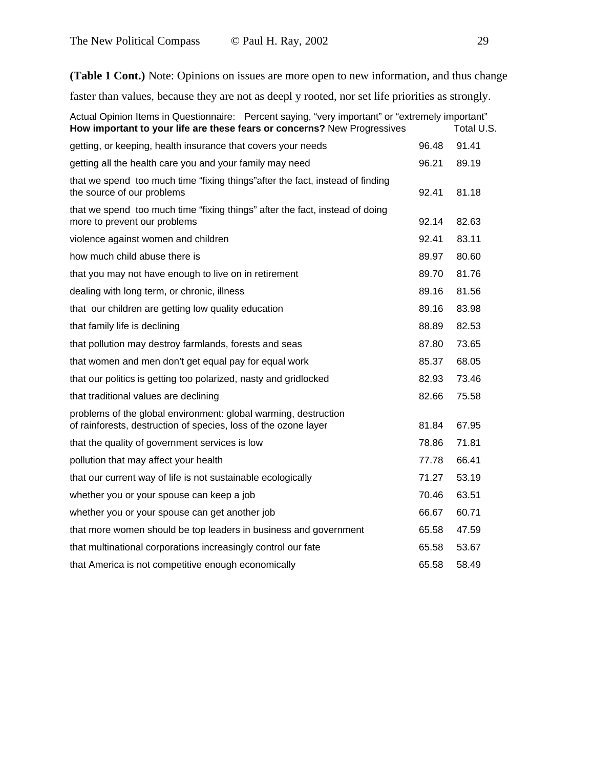**(Table 1 Cont.)** Note: Opinions on issues are more open to new information, and thus change

faster than values, because they are not as deepl y rooted, nor set life priorities as strongly.

| Actual Opinion Items in Questionnaire: Percent saying, "very important" or "extremely important"<br>How important to your life are these fears or concerns? New Progressives |       | Total U.S. |
|------------------------------------------------------------------------------------------------------------------------------------------------------------------------------|-------|------------|
| getting, or keeping, health insurance that covers your needs                                                                                                                 | 96.48 | 91.41      |
| getting all the health care you and your family may need                                                                                                                     | 96.21 | 89.19      |
| that we spend too much time "fixing things" after the fact, instead of finding<br>the source of our problems                                                                 | 92.41 | 81.18      |
| that we spend too much time "fixing things" after the fact, instead of doing<br>more to prevent our problems                                                                 | 92.14 | 82.63      |
| violence against women and children                                                                                                                                          | 92.41 | 83.11      |
| how much child abuse there is                                                                                                                                                | 89.97 | 80.60      |
| that you may not have enough to live on in retirement                                                                                                                        | 89.70 | 81.76      |
| dealing with long term, or chronic, illness                                                                                                                                  | 89.16 | 81.56      |
| that our children are getting low quality education                                                                                                                          | 89.16 | 83.98      |
| that family life is declining                                                                                                                                                | 88.89 | 82.53      |
| that pollution may destroy farmlands, forests and seas                                                                                                                       | 87.80 | 73.65      |
| that women and men don't get equal pay for equal work                                                                                                                        | 85.37 | 68.05      |
| that our politics is getting too polarized, nasty and gridlocked                                                                                                             | 82.93 | 73.46      |
| that traditional values are declining                                                                                                                                        | 82.66 | 75.58      |
| problems of the global environment: global warming, destruction<br>of rainforests, destruction of species, loss of the ozone layer                                           | 81.84 | 67.95      |
| that the quality of government services is low                                                                                                                               | 78.86 | 71.81      |
| pollution that may affect your health                                                                                                                                        | 77.78 | 66.41      |
| that our current way of life is not sustainable ecologically                                                                                                                 | 71.27 | 53.19      |
| whether you or your spouse can keep a job                                                                                                                                    | 70.46 | 63.51      |
| whether you or your spouse can get another job                                                                                                                               | 66.67 | 60.71      |
| that more women should be top leaders in business and government                                                                                                             | 65.58 | 47.59      |
| that multinational corporations increasingly control our fate                                                                                                                | 65.58 | 53.67      |
| that America is not competitive enough economically                                                                                                                          | 65.58 | 58.49      |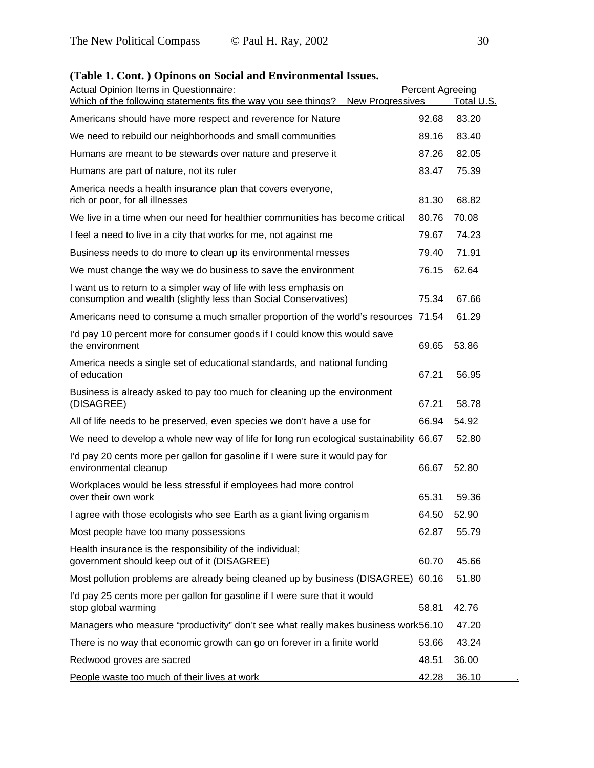### Actual Opinion Items in Questionnaire: Percent Agreeing Which of the following statements fits the way you see things? New Progressives Total U.S. Americans should have more respect and reverence for Nature 92.68 83.20 We need to rebuild our neighborhoods and small communities 89.16 83.40 Humans are meant to be stewards over nature and preserve it 87.26 82.05 Humans are part of nature, not its ruler 83.47 75.39 America needs a health insurance plan that covers everyone, rich or poor, for all illnesses 81.30 68.82 We live in a time when our need for healthier communities has become critical 80.76 70.08 I feel a need to live in a city that works for me, not against me 79.67 74.23 Business needs to do more to clean up its environmental messes 79.40 71.91 We must change the way we do business to save the environment 76.15 62.64 I want us to return to a simpler way of life with less emphasis on consumption and wealth (slightly less than Social Conservatives) 75.34 67.66 Americans need to consume a much smaller proportion of the world's resources 71.54 61.29 I'd pay 10 percent more for consumer goods if I could know this would save the environment 69.65 53.86 America needs a single set of educational standards, and national funding of education 67.21 56.95 Business is already asked to pay too much for cleaning up the environment (DISAGREE) 67.21 58.78 All of life needs to be preserved, even species we don't have a use for 66.94 54.92 We need to develop a whole new way of life for long run ecological sustainability 66.67 52.80 I'd pay 20 cents more per gallon for gasoline if I were sure it would pay for environmental cleanup 66.67 52.80 Workplaces would be less stressful if employees had more control over their own work and the set of the set of the set of the set of the set of the set of the set of the set of the set of the set of the set of the set of the set of the set of the set of the set of the set of the set of I agree with those ecologists who see Earth as a giant living organism 64.50 52.90 Most people have too many possessions and the state of the control of the 62.87 55.79 Health insurance is the responsibility of the individual; government should keep out of it (DISAGREE) 60.70 45.66 Most pollution problems are already being cleaned up by business (DISAGREE) 60.16 51.80 I'd pay 25 cents more per gallon for gasoline if I were sure that it would stop global warming 68.81 42.76 Managers who measure "productivity" don't see what really makes business work56.10 47.20 There is no way that economic growth can go on forever in a finite world 53.66 43.24 Redwood groves are sacred **48.51** 36.00 People waste too much of their lives at work 42.28 36.10

#### **(Table 1. Cont. ) Opinons on Social and Environmental Issues.**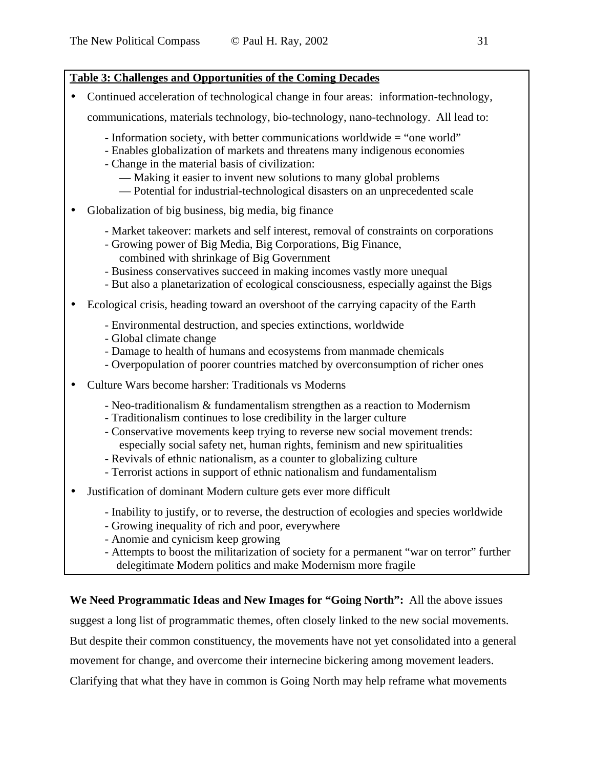### **Table 3: Challenges and Opportunities of the Coming Decades**

- Continued acceleration of technological change in four areas: information-technology, communications, materials technology, bio-technology, nano-technology. All lead to:
	-
	- Information society, with better communications worldwide = "one world" - Enables globalization of markets and threatens many indigenous economies
	- Change in the material basis of civilization:
		- Making it easier to invent new solutions to many global problems
		- Potential for industrial-technological disasters on an unprecedented scale
- Globalization of big business, big media, big finance
	- Market takeover: markets and self interest, removal of constraints on corporations
	- Growing power of Big Media, Big Corporations, Big Finance, combined with shrinkage of Big Government
	- Business conservatives succeed in making incomes vastly more unequal
	- But also a planetarization of ecological consciousness, especially against the Bigs
- Ecological crisis, heading toward an overshoot of the carrying capacity of the Earth
	- Environmental destruction, and species extinctions, worldwide
	- Global climate change
	- Damage to health of humans and ecosystems from manmade chemicals
	- Overpopulation of poorer countries matched by overconsumption of richer ones
- Culture Wars become harsher: Traditionals vs Moderns
	- Neo-traditionalism & fundamentalism strengthen as a reaction to Modernism
	- Traditionalism continues to lose credibility in the larger culture
	- Conservative movements keep trying to reverse new social movement trends: especially social safety net, human rights, feminism and new spiritualities
	- Revivals of ethnic nationalism, as a counter to globalizing culture
	- Terrorist actions in support of ethnic nationalism and fundamentalism
- Justification of dominant Modern culture gets ever more difficult
	- Inability to justify, or to reverse, the destruction of ecologies and species worldwide
	- Growing inequality of rich and poor, everywhere
	- Anomie and cynicism keep growing
	- Attempts to boost the militarization of society for a permanent "war on terror" further delegitimate Modern politics and make Modernism more fragile

**We Need Programmatic Ideas and New Images for "Going North":** All the above issues

suggest a long list of programmatic themes, often closely linked to the new social movements.

But despite their common constituency, the movements have not yet consolidated into a general

movement for change, and overcome their internecine bickering among movement leaders.

Clarifying that what they have in common is Going North may help reframe what movements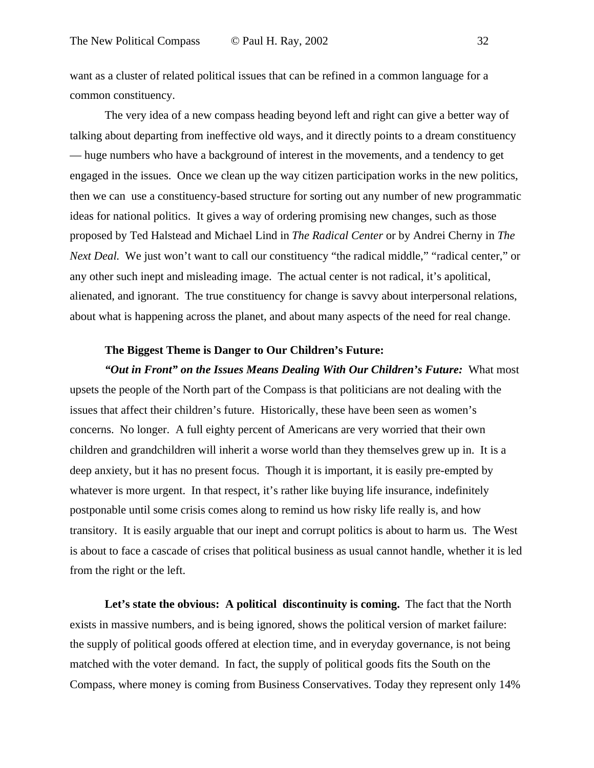want as a cluster of related political issues that can be refined in a common language for a common constituency.

The very idea of a new compass heading beyond left and right can give a better way of talking about departing from ineffective old ways, and it directly points to a dream constituency — huge numbers who have a background of interest in the movements, and a tendency to get engaged in the issues. Once we clean up the way citizen participation works in the new politics, then we can use a constituency-based structure for sorting out any number of new programmatic ideas for national politics. It gives a way of ordering promising new changes, such as those proposed by Ted Halstead and Michael Lind in *The Radical Center* or by Andrei Cherny in *The Next Deal*. We just won't want to call our constituency "the radical middle," "radical center," or any other such inept and misleading image. The actual center is not radical, it's apolitical, alienated, and ignorant. The true constituency for change is savvy about interpersonal relations, about what is happening across the planet, and about many aspects of the need for real change.

### **The Biggest Theme is Danger to Our Children's Future:**

*"Out in Front" on the Issues Means Dealing With Our Children's Future:* What most upsets the people of the North part of the Compass is that politicians are not dealing with the issues that affect their children's future. Historically, these have been seen as women's concerns. No longer. A full eighty percent of Americans are very worried that their own children and grandchildren will inherit a worse world than they themselves grew up in. It is a deep anxiety, but it has no present focus. Though it is important, it is easily pre-empted by whatever is more urgent. In that respect, it's rather like buying life insurance, indefinitely postponable until some crisis comes along to remind us how risky life really is, and how transitory. It is easily arguable that our inept and corrupt politics is about to harm us. The West is about to face a cascade of crises that political business as usual cannot handle, whether it is led from the right or the left.

Let's state the obvious: A political discontinuity is coming. The fact that the North exists in massive numbers, and is being ignored, shows the political version of market failure: the supply of political goods offered at election time, and in everyday governance, is not being matched with the voter demand. In fact, the supply of political goods fits the South on the Compass, where money is coming from Business Conservatives. Today they represent only 14%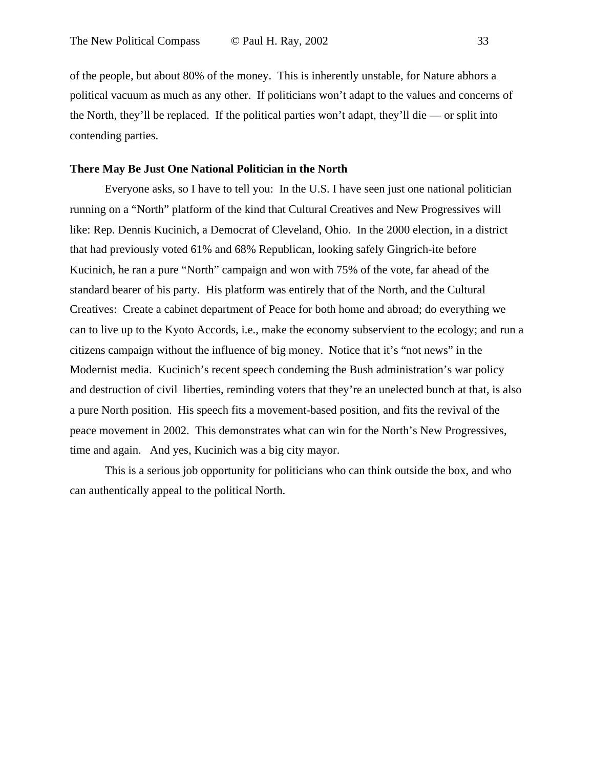of the people, but about 80% of the money. This is inherently unstable, for Nature abhors a political vacuum as much as any other. If politicians won't adapt to the values and concerns of the North, they'll be replaced. If the political parties won't adapt, they'll die — or split into contending parties.

### **There May Be Just One National Politician in the North**

Everyone asks, so I have to tell you: In the U.S. I have seen just one national politician running on a "North" platform of the kind that Cultural Creatives and New Progressives will like: Rep. Dennis Kucinich, a Democrat of Cleveland, Ohio. In the 2000 election, in a district that had previously voted 61% and 68% Republican, looking safely Gingrich-ite before Kucinich, he ran a pure "North" campaign and won with 75% of the vote, far ahead of the standard bearer of his party. His platform was entirely that of the North, and the Cultural Creatives: Create a cabinet department of Peace for both home and abroad; do everything we can to live up to the Kyoto Accords, i.e., make the economy subservient to the ecology; and run a citizens campaign without the influence of big money. Notice that it's "not news" in the Modernist media. Kucinich's recent speech condeming the Bush administration's war policy and destruction of civil liberties, reminding voters that they're an unelected bunch at that, is also a pure North position. His speech fits a movement-based position, and fits the revival of the peace movement in 2002. This demonstrates what can win for the North's New Progressives, time and again. And yes, Kucinich was a big city mayor.

This is a serious job opportunity for politicians who can think outside the box, and who can authentically appeal to the political North.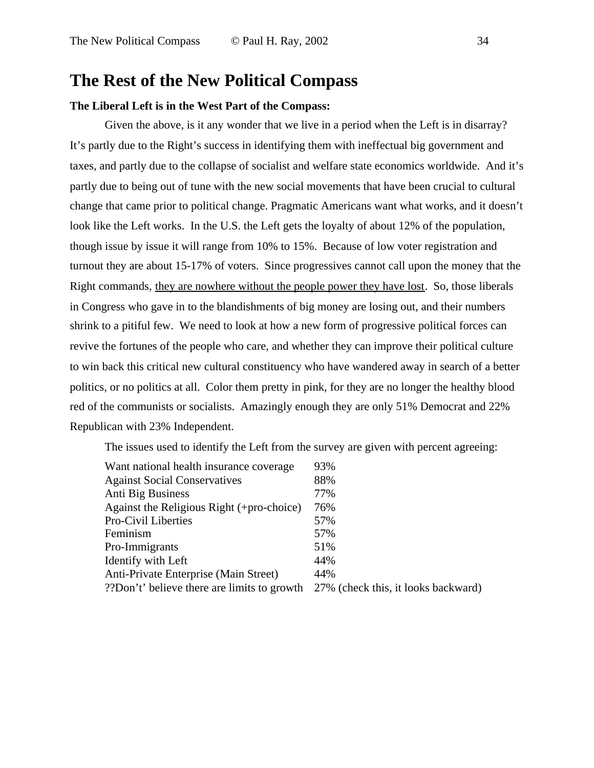# **The Rest of the New Political Compass**

### **The Liberal Left is in the West Part of the Compass:**

Given the above, is it any wonder that we live in a period when the Left is in disarray? It's partly due to the Right's success in identifying them with ineffectual big government and taxes, and partly due to the collapse of socialist and welfare state economics worldwide. And it's partly due to being out of tune with the new social movements that have been crucial to cultural change that came prior to political change. Pragmatic Americans want what works, and it doesn't look like the Left works. In the U.S. the Left gets the loyalty of about 12% of the population, though issue by issue it will range from 10% to 15%. Because of low voter registration and turnout they are about 15-17% of voters. Since progressives cannot call upon the money that the Right commands, they are nowhere without the people power they have lost. So, those liberals in Congress who gave in to the blandishments of big money are losing out, and their numbers shrink to a pitiful few. We need to look at how a new form of progressive political forces can revive the fortunes of the people who care, and whether they can improve their political culture to win back this critical new cultural constituency who have wandered away in search of a better politics, or no politics at all. Color them pretty in pink, for they are no longer the healthy blood red of the communists or socialists. Amazingly enough they are only 51% Democrat and 22% Republican with 23% Independent.

The issues used to identify the Left from the survey are given with percent agreeing:

| Want national health insurance coverage     | 93%                                 |
|---------------------------------------------|-------------------------------------|
| <b>Against Social Conservatives</b>         | 88%                                 |
| Anti Big Business                           | 77%                                 |
| Against the Religious Right (+pro-choice)   | 76%                                 |
| Pro-Civil Liberties                         | 57%                                 |
| Feminism                                    | 57%                                 |
| Pro-Immigrants                              | 51%                                 |
| Identify with Left                          | 44%                                 |
| Anti-Private Enterprise (Main Street)       | 44%                                 |
| ??Don't' believe there are limits to growth | 27% (check this, it looks backward) |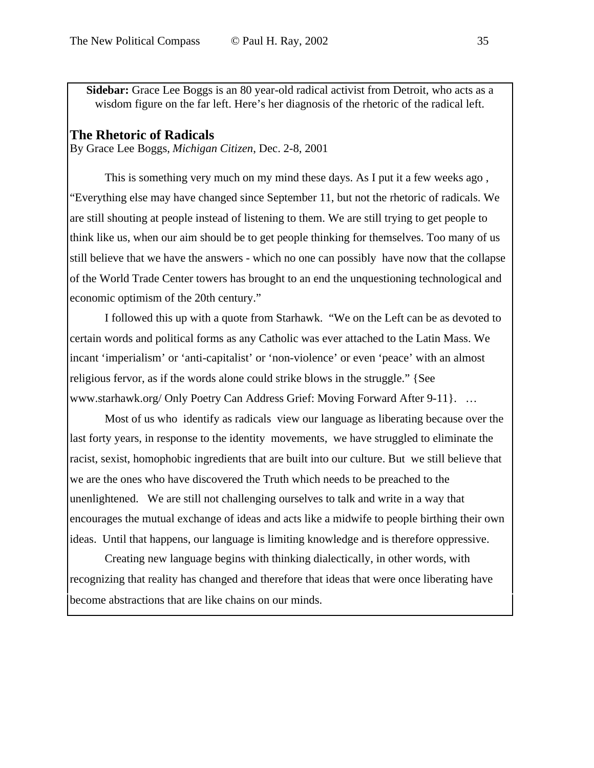**Sidebar:** Grace Lee Boggs is an 80 year-old radical activist from Detroit, who acts as a wisdom figure on the far left. Here's her diagnosis of the rhetoric of the radical left.

### **The Rhetoric of Radicals**

By Grace Lee Boggs, *Michigan Citizen*, Dec. 2-8, 2001

This is something very much on my mind these days. As I put it a few weeks ago , "Everything else may have changed since September 11, but not the rhetoric of radicals. We are still shouting at people instead of listening to them. We are still trying to get people to think like us, when our aim should be to get people thinking for themselves. Too many of us still believe that we have the answers - which no one can possibly have now that the collapse of the World Trade Center towers has brought to an end the unquestioning technological and economic optimism of the 20th century."

I followed this up with a quote from Starhawk. "We on the Left can be as devoted to certain words and political forms as any Catholic was ever attached to the Latin Mass. We incant 'imperialism' or 'anti-capitalist' or 'non-violence' or even 'peace' with an almost religious fervor, as if the words alone could strike blows in the struggle." {See www.starhawk.org/ Only Poetry Can Address Grief: Moving Forward After 9-11}. …

Most of us who identify as radicals view our language as liberating because over the last forty years, in response to the identity movements, we have struggled to eliminate the racist, sexist, homophobic ingredients that are built into our culture. But we still believe that we are the ones who have discovered the Truth which needs to be preached to the unenlightened. We are still not challenging ourselves to talk and write in a way that encourages the mutual exchange of ideas and acts like a midwife to people birthing their own ideas. Until that happens, our language is limiting knowledge and is therefore oppressive.

Creating new language begins with thinking dialectically, in other words, with recognizing that reality has changed and therefore that ideas that were once liberating have become abstractions that are like chains on our minds.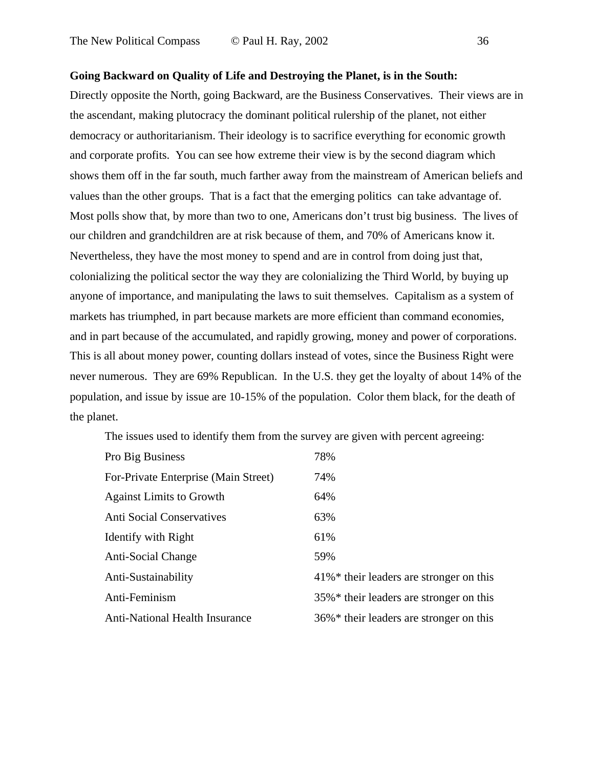### **Going Backward on Quality of Life and Destroying the Planet, is in the South:**

Directly opposite the North, going Backward, are the Business Conservatives. Their views are in the ascendant, making plutocracy the dominant political rulership of the planet, not either democracy or authoritarianism. Their ideology is to sacrifice everything for economic growth and corporate profits. You can see how extreme their view is by the second diagram which shows them off in the far south, much farther away from the mainstream of American beliefs and values than the other groups. That is a fact that the emerging politics can take advantage of. Most polls show that, by more than two to one, Americans don't trust big business. The lives of our children and grandchildren are at risk because of them, and 70% of Americans know it. Nevertheless, they have the most money to spend and are in control from doing just that, colonializing the political sector the way they are colonializing the Third World, by buying up anyone of importance, and manipulating the laws to suit themselves. Capitalism as a system of markets has triumphed, in part because markets are more efficient than command economies, and in part because of the accumulated, and rapidly growing, money and power of corporations. This is all about money power, counting dollars instead of votes, since the Business Right were never numerous. They are 69% Republican. In the U.S. they get the loyalty of about 14% of the population, and issue by issue are 10-15% of the population. Color them black, for the death of the planet.

The issues used to identify them from the survey are given with percent agreeing:

| Pro Big Business                      | 78%                                                    |
|---------------------------------------|--------------------------------------------------------|
| For-Private Enterprise (Main Street)  | 74%                                                    |
| <b>Against Limits to Growth</b>       | 64%                                                    |
| <b>Anti Social Conservatives</b>      | 63%                                                    |
| Identify with Right                   | 61%                                                    |
| Anti-Social Change                    | 59%                                                    |
| Anti-Sustainability                   | $41\%$ * their leaders are stronger on this            |
| Anti-Feminism                         | 35%* their leaders are stronger on this                |
| <b>Anti-National Health Insurance</b> | $36\%$ <sup>*</sup> their leaders are stronger on this |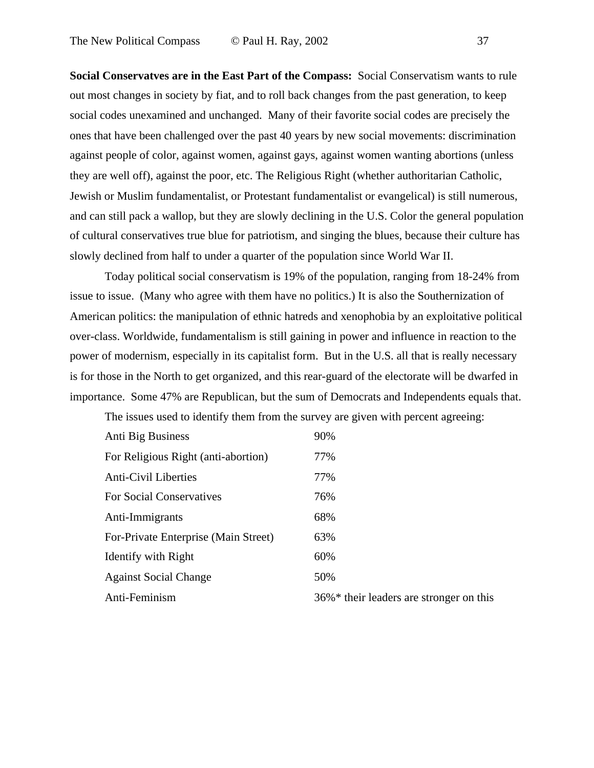**Social Conservatves are in the East Part of the Compass:** Social Conservatism wants to rule out most changes in society by fiat, and to roll back changes from the past generation, to keep social codes unexamined and unchanged. Many of their favorite social codes are precisely the ones that have been challenged over the past 40 years by new social movements: discrimination against people of color, against women, against gays, against women wanting abortions (unless they are well off), against the poor, etc. The Religious Right (whether authoritarian Catholic, Jewish or Muslim fundamentalist, or Protestant fundamentalist or evangelical) is still numerous, and can still pack a wallop, but they are slowly declining in the U.S. Color the general population of cultural conservatives true blue for patriotism, and singing the blues, because their culture has slowly declined from half to under a quarter of the population since World War II.

Today political social conservatism is 19% of the population, ranging from 18-24% from issue to issue. (Many who agree with them have no politics.) It is also the Southernization of American politics: the manipulation of ethnic hatreds and xenophobia by an exploitative political over-class. Worldwide, fundamentalism is still gaining in power and influence in reaction to the power of modernism, especially in its capitalist form. But in the U.S. all that is really necessary is for those in the North to get organized, and this rear-guard of the electorate will be dwarfed in importance. Some 47% are Republican, but the sum of Democrats and Independents equals that.

The issues used to identify them from the survey are given with percent agreeing:

| Anti Big Business                    | 90%                                                    |
|--------------------------------------|--------------------------------------------------------|
| For Religious Right (anti-abortion)  | 77%                                                    |
| <b>Anti-Civil Liberties</b>          | 77%                                                    |
| <b>For Social Conservatives</b>      | 76%                                                    |
| Anti-Immigrants                      | 68%                                                    |
| For-Private Enterprise (Main Street) | 63%                                                    |
| <b>Identify with Right</b>           | 60%                                                    |
| <b>Against Social Change</b>         | 50%                                                    |
| Anti-Feminism                        | $36\%$ <sup>*</sup> their leaders are stronger on this |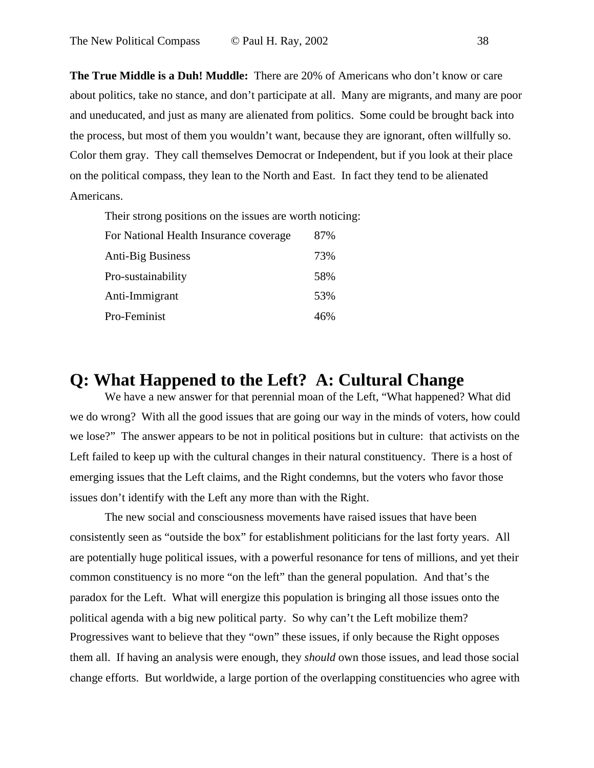**The True Middle is a Duh! Muddle:** There are 20% of Americans who don't know or care about politics, take no stance, and don't participate at all. Many are migrants, and many are poor and uneducated, and just as many are alienated from politics. Some could be brought back into the process, but most of them you wouldn't want, because they are ignorant, often willfully so. Color them gray. They call themselves Democrat or Independent, but if you look at their place on the political compass, they lean to the North and East. In fact they tend to be alienated Americans.

Their strong positions on the issues are worth noticing:

| For National Health Insurance coverage | 87% |
|----------------------------------------|-----|
| <b>Anti-Big Business</b>               | 73% |
| Pro-sustainability                     | 58% |
| Anti-Immigrant                         | 53% |
| Pro-Feminist                           | 46% |

# **Q: What Happened to the Left? A: Cultural Change**

We have a new answer for that perennial moan of the Left, "What happened? What did we do wrong? With all the good issues that are going our way in the minds of voters, how could we lose?" The answer appears to be not in political positions but in culture: that activists on the Left failed to keep up with the cultural changes in their natural constituency. There is a host of emerging issues that the Left claims, and the Right condemns, but the voters who favor those issues don't identify with the Left any more than with the Right.

The new social and consciousness movements have raised issues that have been consistently seen as "outside the box" for establishment politicians for the last forty years. All are potentially huge political issues, with a powerful resonance for tens of millions, and yet their common constituency is no more "on the left" than the general population. And that's the paradox for the Left. What will energize this population is bringing all those issues onto the political agenda with a big new political party. So why can't the Left mobilize them? Progressives want to believe that they "own" these issues, if only because the Right opposes them all. If having an analysis were enough, they *should* own those issues, and lead those social change efforts. But worldwide, a large portion of the overlapping constituencies who agree with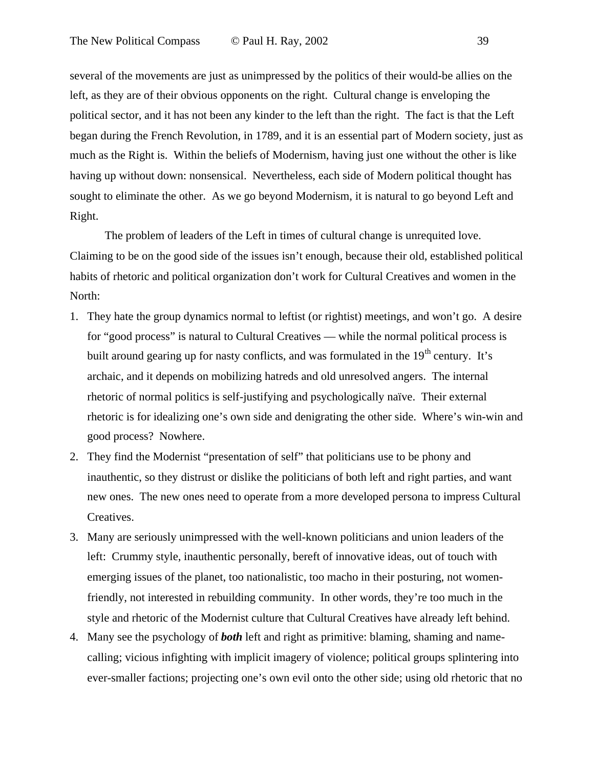several of the movements are just as unimpressed by the politics of their would-be allies on the left, as they are of their obvious opponents on the right. Cultural change is enveloping the political sector, and it has not been any kinder to the left than the right. The fact is that the Left began during the French Revolution, in 1789, and it is an essential part of Modern society, just as much as the Right is. Within the beliefs of Modernism, having just one without the other is like having up without down: nonsensical. Nevertheless, each side of Modern political thought has sought to eliminate the other. As we go beyond Modernism, it is natural to go beyond Left and Right.

The problem of leaders of the Left in times of cultural change is unrequited love. Claiming to be on the good side of the issues isn't enough, because their old, established political habits of rhetoric and political organization don't work for Cultural Creatives and women in the North:

- 1. They hate the group dynamics normal to leftist (or rightist) meetings, and won't go. A desire for "good process" is natural to Cultural Creatives — while the normal political process is built around gearing up for nasty conflicts, and was formulated in the  $19<sup>th</sup>$  century. It's archaic, and it depends on mobilizing hatreds and old unresolved angers. The internal rhetoric of normal politics is self-justifying and psychologically naïve. Their external rhetoric is for idealizing one's own side and denigrating the other side. Where's win-win and good process? Nowhere.
- 2. They find the Modernist "presentation of self" that politicians use to be phony and inauthentic, so they distrust or dislike the politicians of both left and right parties, and want new ones. The new ones need to operate from a more developed persona to impress Cultural Creatives.
- 3. Many are seriously unimpressed with the well-known politicians and union leaders of the left: Crummy style, inauthentic personally, bereft of innovative ideas, out of touch with emerging issues of the planet, too nationalistic, too macho in their posturing, not womenfriendly, not interested in rebuilding community. In other words, they're too much in the style and rhetoric of the Modernist culture that Cultural Creatives have already left behind.
- 4. Many see the psychology of *both* left and right as primitive: blaming, shaming and namecalling; vicious infighting with implicit imagery of violence; political groups splintering into ever-smaller factions; projecting one's own evil onto the other side; using old rhetoric that no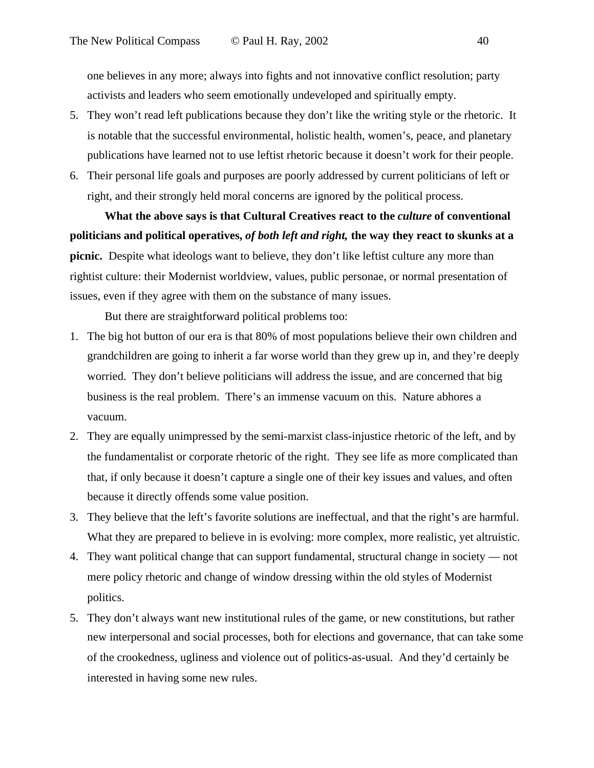one believes in any more; always into fights and not innovative conflict resolution; party activists and leaders who seem emotionally undeveloped and spiritually empty.

- 5. They won't read left publications because they don't like the writing style or the rhetoric. It is notable that the successful environmental, holistic health, women's, peace, and planetary publications have learned not to use leftist rhetoric because it doesn't work for their people.
- 6. Their personal life goals and purposes are poorly addressed by current politicians of left or right, and their strongly held moral concerns are ignored by the political process.

What the above says is that Cultural Creatives react to the *culture* of conventional **politicians and political operatives,** *of both left and right,* **the way they react to skunks at a picnic.** Despite what ideologs want to believe, they don't like leftist culture any more than rightist culture: their Modernist worldview, values, public personae, or normal presentation of issues, even if they agree with them on the substance of many issues.

But there are straightforward political problems too:

- 1. The big hot button of our era is that 80% of most populations believe their own children and grandchildren are going to inherit a far worse world than they grew up in, and they're deeply worried. They don't believe politicians will address the issue, and are concerned that big business is the real problem. There's an immense vacuum on this. Nature abhores a vacuum.
- 2. They are equally unimpressed by the semi-marxist class-injustice rhetoric of the left, and by the fundamentalist or corporate rhetoric of the right. They see life as more complicated than that, if only because it doesn't capture a single one of their key issues and values, and often because it directly offends some value position.
- 3. They believe that the left's favorite solutions are ineffectual, and that the right's are harmful. What they are prepared to believe in is evolving: more complex, more realistic, yet altruistic.
- 4. They want political change that can support fundamental, structural change in society not mere policy rhetoric and change of window dressing within the old styles of Modernist politics.
- 5. They don't always want new institutional rules of the game, or new constitutions, but rather new interpersonal and social processes, both for elections and governance, that can take some of the crookedness, ugliness and violence out of politics-as-usual. And they'd certainly be interested in having some new rules.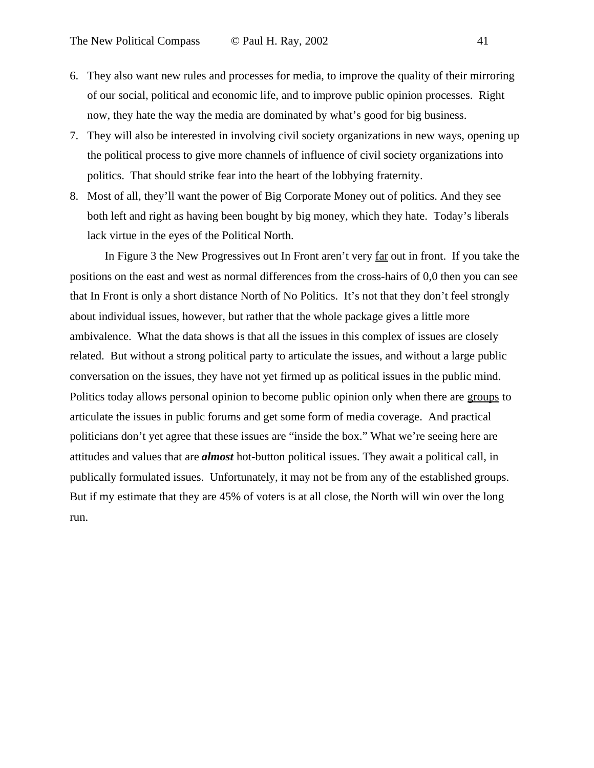- 6. They also want new rules and processes for media, to improve the quality of their mirroring of our social, political and economic life, and to improve public opinion processes. Right now, they hate the way the media are dominated by what's good for big business.
- 7. They will also be interested in involving civil society organizations in new ways, opening up the political process to give more channels of influence of civil society organizations into politics. That should strike fear into the heart of the lobbying fraternity.
- 8. Most of all, they'll want the power of Big Corporate Money out of politics. And they see both left and right as having been bought by big money, which they hate. Today's liberals lack virtue in the eyes of the Political North.

In Figure 3 the New Progressives out In Front aren't very far out in front. If you take the positions on the east and west as normal differences from the cross-hairs of 0,0 then you can see that In Front is only a short distance North of No Politics. It's not that they don't feel strongly about individual issues, however, but rather that the whole package gives a little more ambivalence. What the data shows is that all the issues in this complex of issues are closely related. But without a strong political party to articulate the issues, and without a large public conversation on the issues, they have not yet firmed up as political issues in the public mind. Politics today allows personal opinion to become public opinion only when there are groups to articulate the issues in public forums and get some form of media coverage. And practical politicians don't yet agree that these issues are "inside the box." What we're seeing here are attitudes and values that are *almost* hot-button political issues. They await a political call, in publically formulated issues. Unfortunately, it may not be from any of the established groups. But if my estimate that they are 45% of voters is at all close, the North will win over the long run.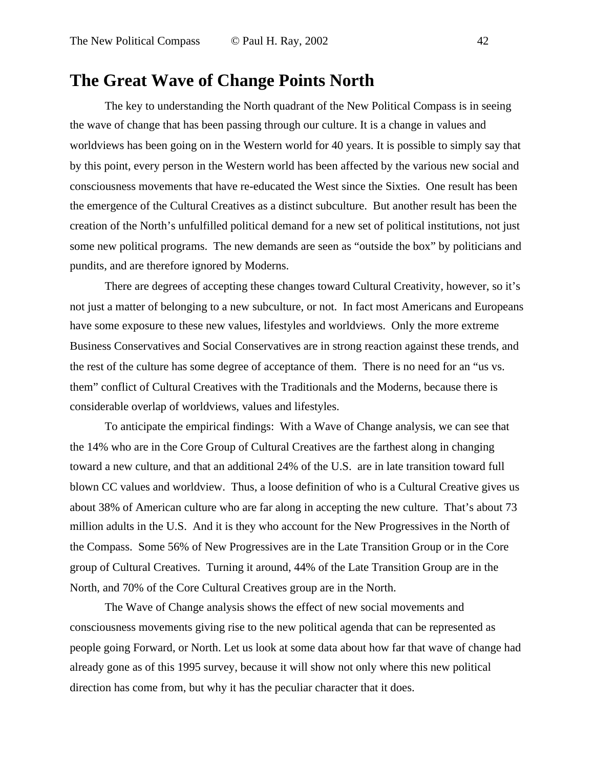# **The Great Wave of Change Points North**

The key to understanding the North quadrant of the New Political Compass is in seeing the wave of change that has been passing through our culture. It is a change in values and worldviews has been going on in the Western world for 40 years. It is possible to simply say that by this point, every person in the Western world has been affected by the various new social and consciousness movements that have re-educated the West since the Sixties. One result has been the emergence of the Cultural Creatives as a distinct subculture. But another result has been the creation of the North's unfulfilled political demand for a new set of political institutions, not just some new political programs. The new demands are seen as "outside the box" by politicians and pundits, and are therefore ignored by Moderns.

There are degrees of accepting these changes toward Cultural Creativity, however, so it's not just a matter of belonging to a new subculture, or not. In fact most Americans and Europeans have some exposure to these new values, lifestyles and worldviews. Only the more extreme Business Conservatives and Social Conservatives are in strong reaction against these trends, and the rest of the culture has some degree of acceptance of them. There is no need for an "us vs. them" conflict of Cultural Creatives with the Traditionals and the Moderns, because there is considerable overlap of worldviews, values and lifestyles.

To anticipate the empirical findings: With a Wave of Change analysis, we can see that the 14% who are in the Core Group of Cultural Creatives are the farthest along in changing toward a new culture, and that an additional 24% of the U.S. are in late transition toward full blown CC values and worldview. Thus, a loose definition of who is a Cultural Creative gives us about 38% of American culture who are far along in accepting the new culture. That's about 73 million adults in the U.S. And it is they who account for the New Progressives in the North of the Compass. Some 56% of New Progressives are in the Late Transition Group or in the Core group of Cultural Creatives. Turning it around, 44% of the Late Transition Group are in the North, and 70% of the Core Cultural Creatives group are in the North.

The Wave of Change analysis shows the effect of new social movements and consciousness movements giving rise to the new political agenda that can be represented as people going Forward, or North. Let us look at some data about how far that wave of change had already gone as of this 1995 survey, because it will show not only where this new political direction has come from, but why it has the peculiar character that it does.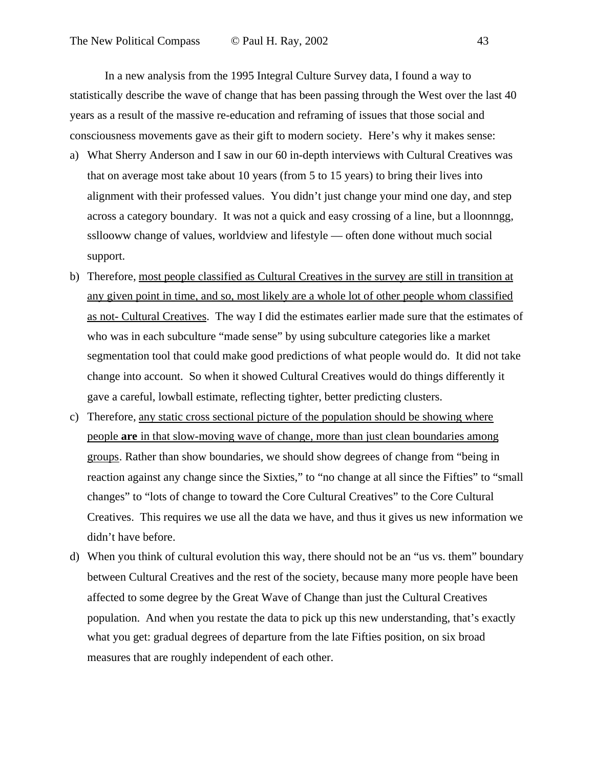In a new analysis from the 1995 Integral Culture Survey data, I found a way to statistically describe the wave of change that has been passing through the West over the last 40 years as a result of the massive re-education and reframing of issues that those social and consciousness movements gave as their gift to modern society. Here's why it makes sense:

- a) What Sherry Anderson and I saw in our 60 in-depth interviews with Cultural Creatives was that on average most take about 10 years (from 5 to 15 years) to bring their lives into alignment with their professed values. You didn't just change your mind one day, and step across a category boundary. It was not a quick and easy crossing of a line, but a lloonnngg, ssllooww change of values, worldview and lifestyle — often done without much social support.
- b) Therefore, most people classified as Cultural Creatives in the survey are still in transition at any given point in time, and so, most likely are a whole lot of other people whom classified as not- Cultural Creatives. The way I did the estimates earlier made sure that the estimates of who was in each subculture "made sense" by using subculture categories like a market segmentation tool that could make good predictions of what people would do. It did not take change into account. So when it showed Cultural Creatives would do things differently it gave a careful, lowball estimate, reflecting tighter, better predicting clusters.
- c) Therefore, any static cross sectional picture of the population should be showing where people **are** in that slow-moving wave of change, more than just clean boundaries among groups. Rather than show boundaries, we should show degrees of change from "being in reaction against any change since the Sixties," to "no change at all since the Fifties" to "small changes" to "lots of change to toward the Core Cultural Creatives" to the Core Cultural Creatives. This requires we use all the data we have, and thus it gives us new information we didn't have before.
- d) When you think of cultural evolution this way, there should not be an "us vs. them" boundary between Cultural Creatives and the rest of the society, because many more people have been affected to some degree by the Great Wave of Change than just the Cultural Creatives population. And when you restate the data to pick up this new understanding, that's exactly what you get: gradual degrees of departure from the late Fifties position, on six broad measures that are roughly independent of each other.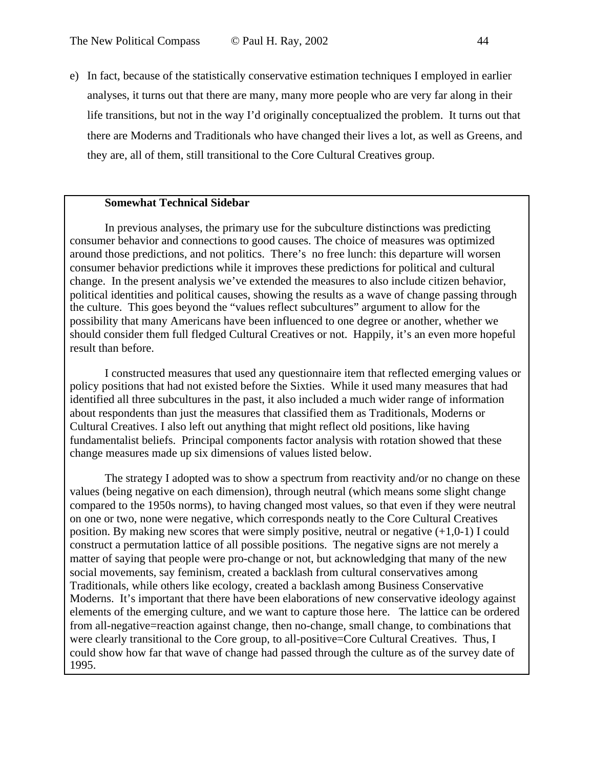e) In fact, because of the statistically conservative estimation techniques I employed in earlier analyses, it turns out that there are many, many more people who are very far along in their life transitions, but not in the way I'd originally conceptualized the problem. It turns out that there are Moderns and Traditionals who have changed their lives a lot, as well as Greens, and they are, all of them, still transitional to the Core Cultural Creatives group.

### **Somewhat Technical Sidebar**

In previous analyses, the primary use for the subculture distinctions was predicting consumer behavior and connections to good causes. The choice of measures was optimized around those predictions, and not politics. There's no free lunch: this departure will worsen consumer behavior predictions while it improves these predictions for political and cultural change. In the present analysis we've extended the measures to also include citizen behavior, political identities and political causes, showing the results as a wave of change passing through the culture. This goes beyond the "values reflect subcultures" argument to allow for the possibility that many Americans have been influenced to one degree or another, whether we should consider them full fledged Cultural Creatives or not. Happily, it's an even more hopeful result than before.

I constructed measures that used any questionnaire item that reflected emerging values or policy positions that had not existed before the Sixties. While it used many measures that had identified all three subcultures in the past, it also included a much wider range of information about respondents than just the measures that classified them as Traditionals, Moderns or Cultural Creatives. I also left out anything that might reflect old positions, like having fundamentalist beliefs. Principal components factor analysis with rotation showed that these change measures made up six dimensions of values listed below.

The strategy I adopted was to show a spectrum from reactivity and/or no change on these values (being negative on each dimension), through neutral (which means some slight change compared to the 1950s norms), to having changed most values, so that even if they were neutral on one or two, none were negative, which corresponds neatly to the Core Cultural Creatives position. By making new scores that were simply positive, neutral or negative  $(+1,0-1)$  I could construct a permutation lattice of all possible positions. The negative signs are not merely a matter of saying that people were pro-change or not, but acknowledging that many of the new social movements, say feminism, created a backlash from cultural conservatives among Traditionals, while others like ecology, created a backlash among Business Conservative Moderns. It's important that there have been elaborations of new conservative ideology against elements of the emerging culture, and we want to capture those here. The lattice can be ordered from all-negative=reaction against change, then no-change, small change, to combinations that were clearly transitional to the Core group, to all-positive=Core Cultural Creatives. Thus, I could show how far that wave of change had passed through the culture as of the survey date of 1995.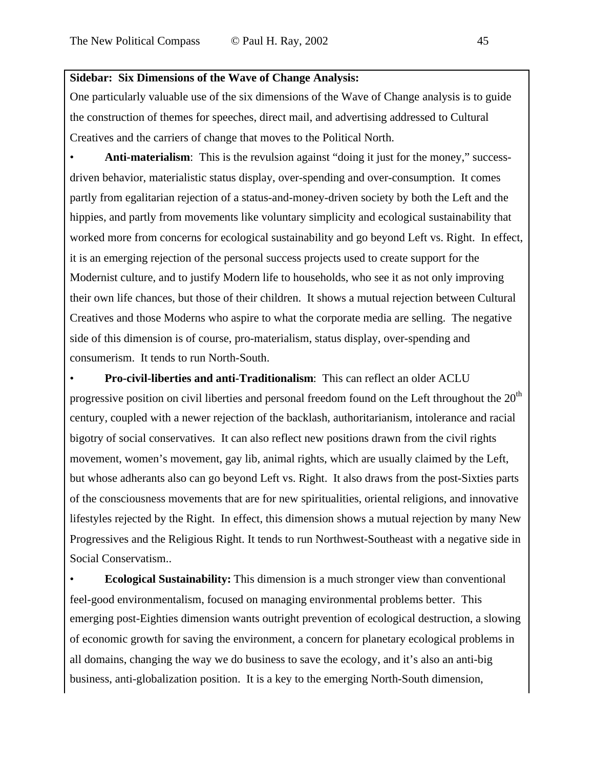### **Sidebar: Six Dimensions of the Wave of Change Analysis:**

One particularly valuable use of the six dimensions of the Wave of Change analysis is to guide the construction of themes for speeches, direct mail, and advertising addressed to Cultural Creatives and the carriers of change that moves to the Political North.

Anti-materialism: This is the revulsion against "doing it just for the money," successdriven behavior, materialistic status display, over-spending and over-consumption. It comes partly from egalitarian rejection of a status-and-money-driven society by both the Left and the hippies, and partly from movements like voluntary simplicity and ecological sustainability that worked more from concerns for ecological sustainability and go beyond Left vs. Right. In effect, it is an emerging rejection of the personal success projects used to create support for the Modernist culture, and to justify Modern life to households, who see it as not only improving their own life chances, but those of their children. It shows a mutual rejection between Cultural Creatives and those Moderns who aspire to what the corporate media are selling. The negative side of this dimension is of course, pro-materialism, status display, over-spending and consumerism. It tends to run North-South.

• **Pro-civil-liberties and anti-Traditionalism**: This can reflect an older ACLU progressive position on civil liberties and personal freedom found on the Left throughout the  $20<sup>th</sup>$ century, coupled with a newer rejection of the backlash, authoritarianism, intolerance and racial bigotry of social conservatives. It can also reflect new positions drawn from the civil rights movement, women's movement, gay lib, animal rights, which are usually claimed by the Left, but whose adherants also can go beyond Left vs. Right. It also draws from the post-Sixties parts of the consciousness movements that are for new spiritualities, oriental religions, and innovative lifestyles rejected by the Right. In effect, this dimension shows a mutual rejection by many New Progressives and the Religious Right. It tends to run Northwest-Southeast with a negative side in Social Conservatism..

• **Ecological Sustainability:** This dimension is a much stronger view than conventional feel-good environmentalism, focused on managing environmental problems better. This emerging post-Eighties dimension wants outright prevention of ecological destruction, a slowing of economic growth for saving the environment, a concern for planetary ecological problems in all domains, changing the way we do business to save the ecology, and it's also an anti-big business, anti-globalization position. It is a key to the emerging North-South dimension,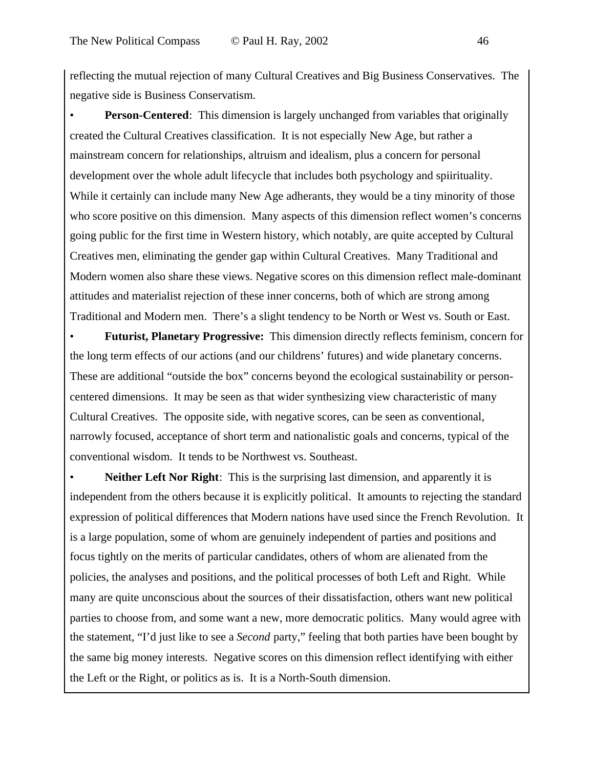reflecting the mutual rejection of many Cultural Creatives and Big Business Conservatives. The negative side is Business Conservatism.

**Person-Centered**: This dimension is largely unchanged from variables that originally created the Cultural Creatives classification. It is not especially New Age, but rather a mainstream concern for relationships, altruism and idealism, plus a concern for personal development over the whole adult lifecycle that includes both psychology and spiirituality. While it certainly can include many New Age adherants, they would be a tiny minority of those who score positive on this dimension. Many aspects of this dimension reflect women's concerns going public for the first time in Western history, which notably, are quite accepted by Cultural Creatives men, eliminating the gender gap within Cultural Creatives. Many Traditional and Modern women also share these views. Negative scores on this dimension reflect male-dominant attitudes and materialist rejection of these inner concerns, both of which are strong among Traditional and Modern men. There's a slight tendency to be North or West vs. South or East.

• **Futurist, Planetary Progressive:** This dimension directly reflects feminism, concern for the long term effects of our actions (and our childrens' futures) and wide planetary concerns. These are additional "outside the box" concerns beyond the ecological sustainability or personcentered dimensions. It may be seen as that wider synthesizing view characteristic of many Cultural Creatives. The opposite side, with negative scores, can be seen as conventional, narrowly focused, acceptance of short term and nationalistic goals and concerns, typical of the conventional wisdom. It tends to be Northwest vs. Southeast.

**Neither Left Nor Right:** This is the surprising last dimension, and apparently it is independent from the others because it is explicitly political. It amounts to rejecting the standard expression of political differences that Modern nations have used since the French Revolution. It is a large population, some of whom are genuinely independent of parties and positions and focus tightly on the merits of particular candidates, others of whom are alienated from the policies, the analyses and positions, and the political processes of both Left and Right. While many are quite unconscious about the sources of their dissatisfaction, others want new political parties to choose from, and some want a new, more democratic politics. Many would agree with the statement, "I'd just like to see a *Second* party," feeling that both parties have been bought by the same big money interests. Negative scores on this dimension reflect identifying with either the Left or the Right, or politics as is. It is a North-South dimension.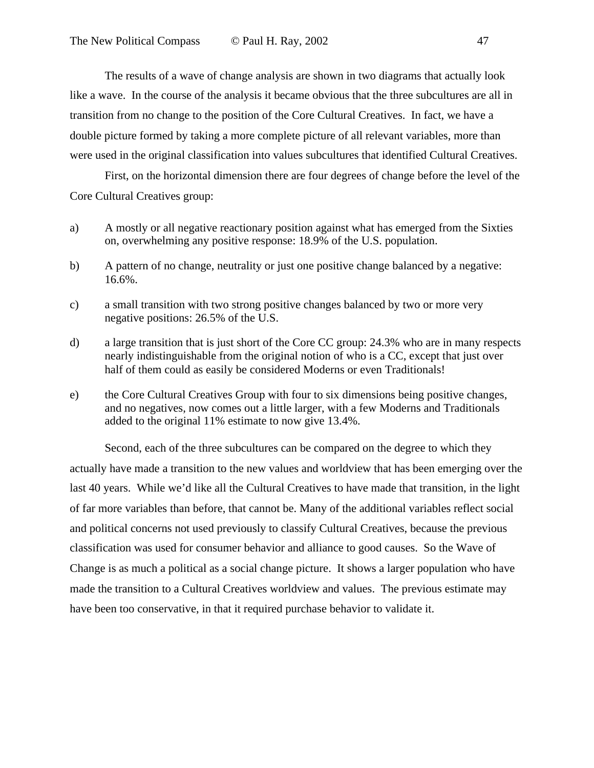The results of a wave of change analysis are shown in two diagrams that actually look like a wave. In the course of the analysis it became obvious that the three subcultures are all in transition from no change to the position of the Core Cultural Creatives. In fact, we have a double picture formed by taking a more complete picture of all relevant variables, more than were used in the original classification into values subcultures that identified Cultural Creatives.

First, on the horizontal dimension there are four degrees of change before the level of the Core Cultural Creatives group:

- a) A mostly or all negative reactionary position against what has emerged from the Sixties on, overwhelming any positive response: 18.9% of the U.S. population.
- b) A pattern of no change, neutrality or just one positive change balanced by a negative: 16.6%.
- c) a small transition with two strong positive changes balanced by two or more very negative positions: 26.5% of the U.S.
- d) a large transition that is just short of the Core CC group: 24.3% who are in many respects nearly indistinguishable from the original notion of who is a CC, except that just over half of them could as easily be considered Moderns or even Traditionals!
- e) the Core Cultural Creatives Group with four to six dimensions being positive changes, and no negatives, now comes out a little larger, with a few Moderns and Traditionals added to the original 11% estimate to now give 13.4%.

Second, each of the three subcultures can be compared on the degree to which they actually have made a transition to the new values and worldview that has been emerging over the last 40 years. While we'd like all the Cultural Creatives to have made that transition, in the light of far more variables than before, that cannot be. Many of the additional variables reflect social and political concerns not used previously to classify Cultural Creatives, because the previous classification was used for consumer behavior and alliance to good causes. So the Wave of Change is as much a political as a social change picture. It shows a larger population who have made the transition to a Cultural Creatives worldview and values. The previous estimate may have been too conservative, in that it required purchase behavior to validate it.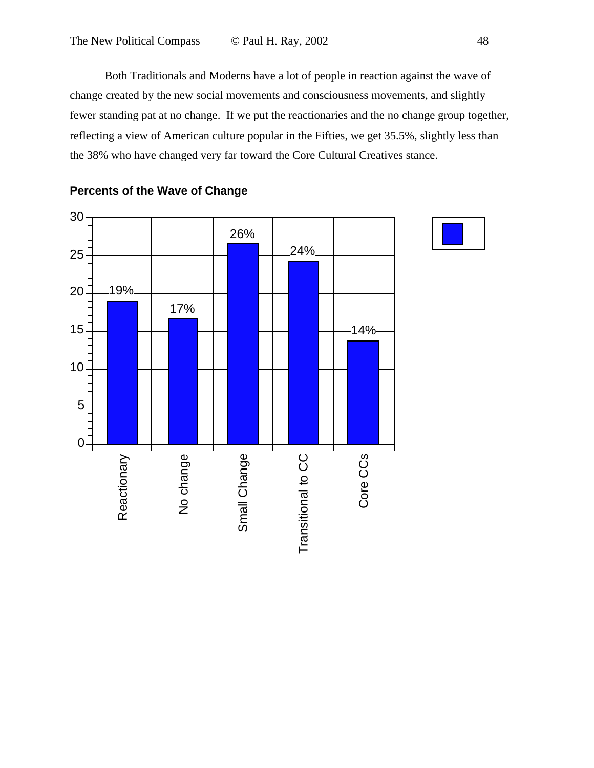Both Traditionals and Moderns have a lot of people in reaction against the wave of change created by the new social movements and consciousness movements, and slightly fewer standing pat at no change. If we put the reactionaries and the no change group together, reflecting a view of American culture popular in the Fifties, we get 35.5%, slightly less than the 38% who have changed very far toward the Core Cultural Creatives stance.



### **Percents of the Wave of Change**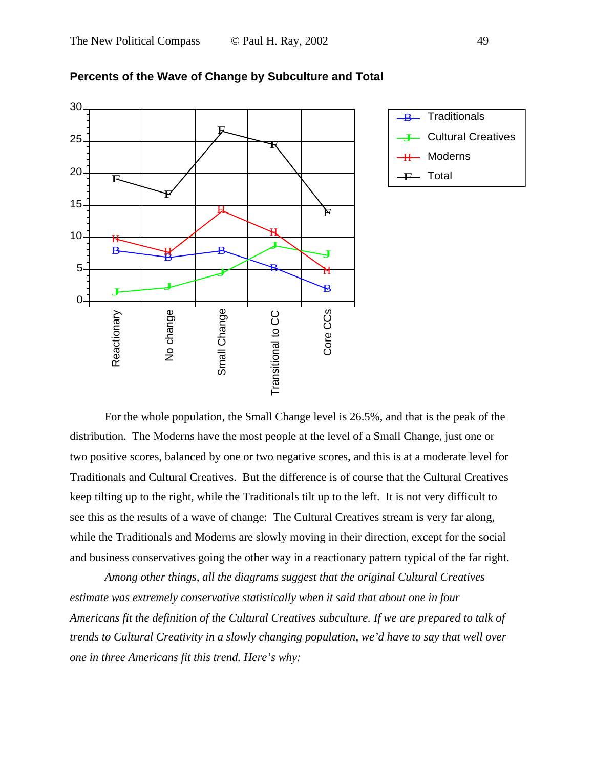





For the whole population, the Small Change level is 26.5%, and that is the peak of the distribution. The Moderns have the most people at the level of a Small Change, just one or two positive scores, balanced by one or two negative scores, and this is at a moderate level for Traditionals and Cultural Creatives. But the difference is of course that the Cultural Creatives keep tilting up to the right, while the Traditionals tilt up to the left. It is not very difficult to see this as the results of a wave of change: The Cultural Creatives stream is very far along, while the Traditionals and Moderns are slowly moving in their direction, except for the social and business conservatives going the other way in a reactionary pattern typical of the far right.

*Among other things, all the diagrams suggest that the original Cultural Creatives estimate was extremely conservative statistically when it said that about one in four Americans fit the definition of the Cultural Creatives subculture. If we are prepared to talk of trends to Cultural Creativity in a slowly changing population, we'd have to say that well over one in three Americans fit this trend. Here's why:*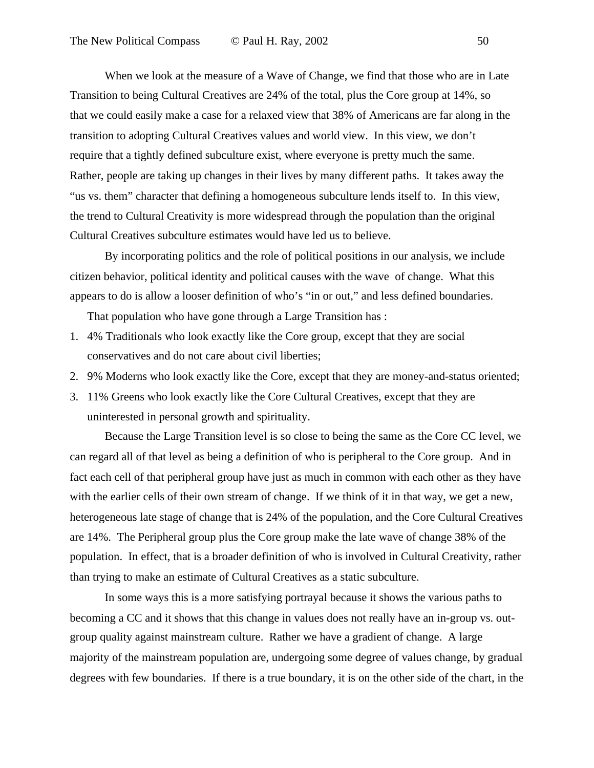When we look at the measure of a Wave of Change, we find that those who are in Late Transition to being Cultural Creatives are 24% of the total, plus the Core group at 14%, so that we could easily make a case for a relaxed view that 38% of Americans are far along in the transition to adopting Cultural Creatives values and world view. In this view, we don't require that a tightly defined subculture exist, where everyone is pretty much the same. Rather, people are taking up changes in their lives by many different paths. It takes away the "us vs. them" character that defining a homogeneous subculture lends itself to. In this view, the trend to Cultural Creativity is more widespread through the population than the original Cultural Creatives subculture estimates would have led us to believe.

By incorporating politics and the role of political positions in our analysis, we include citizen behavior, political identity and political causes with the wave of change. What this appears to do is allow a looser definition of who's "in or out," and less defined boundaries.

That population who have gone through a Large Transition has :

- 1. 4% Traditionals who look exactly like the Core group, except that they are social conservatives and do not care about civil liberties;
- 2. 9% Moderns who look exactly like the Core, except that they are money-and-status oriented;
- 3. 11% Greens who look exactly like the Core Cultural Creatives, except that they are uninterested in personal growth and spirituality.

Because the Large Transition level is so close to being the same as the Core CC level, we can regard all of that level as being a definition of who is peripheral to the Core group. And in fact each cell of that peripheral group have just as much in common with each other as they have with the earlier cells of their own stream of change. If we think of it in that way, we get a new, heterogeneous late stage of change that is 24% of the population, and the Core Cultural Creatives are 14%. The Peripheral group plus the Core group make the late wave of change 38% of the population. In effect, that is a broader definition of who is involved in Cultural Creativity, rather than trying to make an estimate of Cultural Creatives as a static subculture.

In some ways this is a more satisfying portrayal because it shows the various paths to becoming a CC and it shows that this change in values does not really have an in-group vs. outgroup quality against mainstream culture. Rather we have a gradient of change. A large majority of the mainstream population are, undergoing some degree of values change, by gradual degrees with few boundaries. If there is a true boundary, it is on the other side of the chart, in the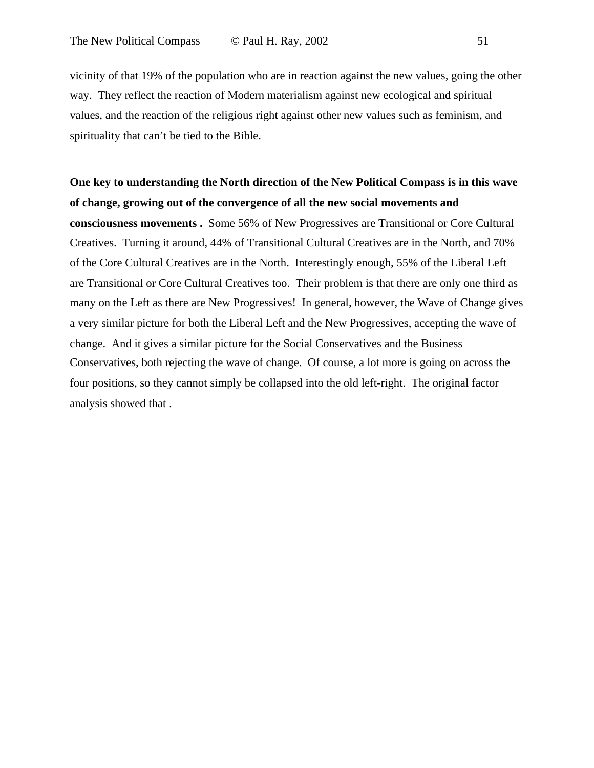vicinity of that 19% of the population who are in reaction against the new values, going the other way. They reflect the reaction of Modern materialism against new ecological and spiritual values, and the reaction of the religious right against other new values such as feminism, and spirituality that can't be tied to the Bible.

**One key to understanding the North direction of the New Political Compass is in this wave of change, growing out of the convergence of all the new social movements and consciousness movements .** Some 56% of New Progressives are Transitional or Core Cultural Creatives. Turning it around, 44% of Transitional Cultural Creatives are in the North, and 70% of the Core Cultural Creatives are in the North. Interestingly enough, 55% of the Liberal Left are Transitional or Core Cultural Creatives too. Their problem is that there are only one third as many on the Left as there are New Progressives! In general, however, the Wave of Change gives a very similar picture for both the Liberal Left and the New Progressives, accepting the wave of change. And it gives a similar picture for the Social Conservatives and the Business Conservatives, both rejecting the wave of change. Of course, a lot more is going on across the four positions, so they cannot simply be collapsed into the old left-right. The original factor analysis showed that .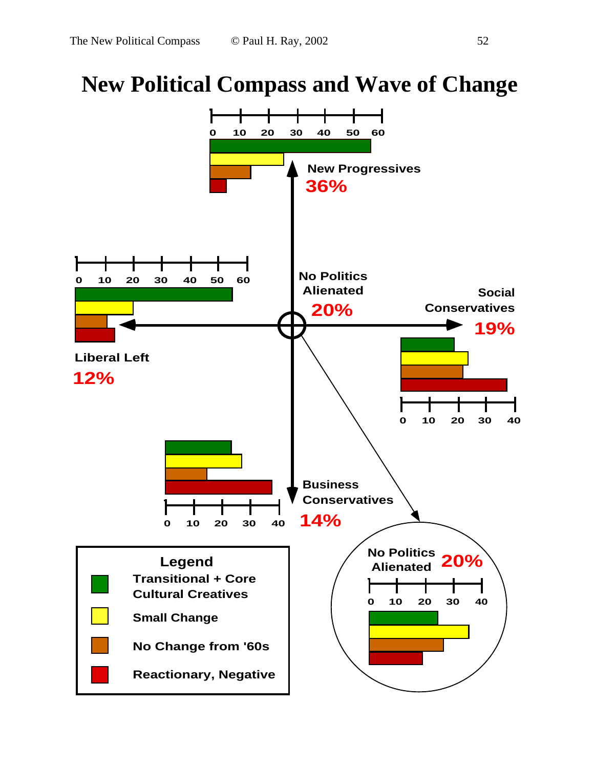# **New Political Compass and Wave of Change**

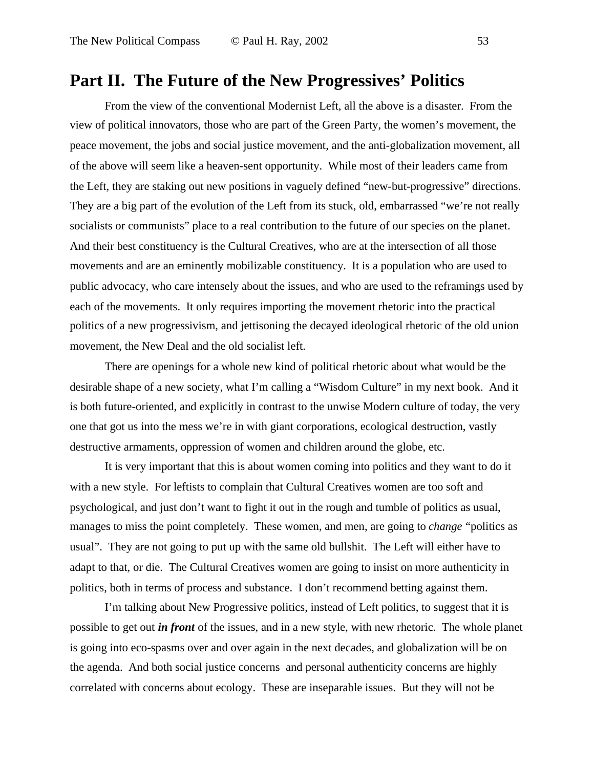# **Part II. The Future of the New Progressives' Politics**

From the view of the conventional Modernist Left, all the above is a disaster. From the view of political innovators, those who are part of the Green Party, the women's movement, the peace movement, the jobs and social justice movement, and the anti-globalization movement, all of the above will seem like a heaven-sent opportunity. While most of their leaders came from the Left, they are staking out new positions in vaguely defined "new-but-progressive" directions. They are a big part of the evolution of the Left from its stuck, old, embarrassed "we're not really socialists or communists" place to a real contribution to the future of our species on the planet. And their best constituency is the Cultural Creatives, who are at the intersection of all those movements and are an eminently mobilizable constituency. It is a population who are used to public advocacy, who care intensely about the issues, and who are used to the reframings used by each of the movements. It only requires importing the movement rhetoric into the practical politics of a new progressivism, and jettisoning the decayed ideological rhetoric of the old union movement, the New Deal and the old socialist left.

There are openings for a whole new kind of political rhetoric about what would be the desirable shape of a new society, what I'm calling a "Wisdom Culture" in my next book. And it is both future-oriented, and explicitly in contrast to the unwise Modern culture of today, the very one that got us into the mess we're in with giant corporations, ecological destruction, vastly destructive armaments, oppression of women and children around the globe, etc.

It is very important that this is about women coming into politics and they want to do it with a new style. For leftists to complain that Cultural Creatives women are too soft and psychological, and just don't want to fight it out in the rough and tumble of politics as usual, manages to miss the point completely. These women, and men, are going to *change* "politics as usual". They are not going to put up with the same old bullshit. The Left will either have to adapt to that, or die. The Cultural Creatives women are going to insist on more authenticity in politics, both in terms of process and substance. I don't recommend betting against them.

I'm talking about New Progressive politics, instead of Left politics, to suggest that it is possible to get out *in front* of the issues, and in a new style, with new rhetoric. The whole planet is going into eco-spasms over and over again in the next decades, and globalization will be on the agenda. And both social justice concerns and personal authenticity concerns are highly correlated with concerns about ecology. These are inseparable issues. But they will not be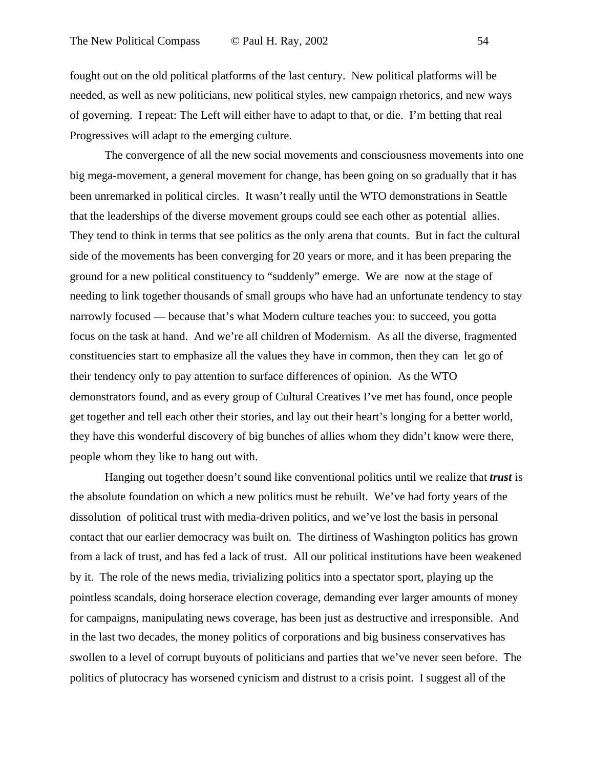fought out on the old political platforms of the last century. New political platforms will be needed, as well as new politicians, new political styles, new campaign rhetorics, and new ways of governing. I repeat: The Left will either have to adapt to that, or die. I'm betting that real Progressives will adapt to the emerging culture.

The convergence of all the new social movements and consciousness movements into one big mega-movement, a general movement for change, has been going on so gradually that it has been unremarked in political circles. It wasn't really until the WTO demonstrations in Seattle that the leaderships of the diverse movement groups could see each other as potential allies. They tend to think in terms that see politics as the only arena that counts. But in fact the cultural side of the movements has been converging for 20 years or more, and it has been preparing the ground for a new political constituency to "suddenly" emerge. We are now at the stage of needing to link together thousands of small groups who have had an unfortunate tendency to stay narrowly focused — because that's what Modern culture teaches you: to succeed, you gotta focus on the task at hand. And we're all children of Modernism. As all the diverse, fragmented constituencies start to emphasize all the values they have in common, then they can let go of their tendency only to pay attention to surface differences of opinion. As the WTO demonstrators found, and as every group of Cultural Creatives I've met has found, once people get together and tell each other their stories, and lay out their heart's longing for a better world, they have this wonderful discovery of big bunches of allies whom they didn't know were there, people whom they like to hang out with.

Hanging out together doesn't sound like conventional politics until we realize that *trust* is the absolute foundation on which a new politics must be rebuilt. We've had forty years of the dissolution of political trust with media-driven politics, and we've lost the basis in personal contact that our earlier democracy was built on. The dirtiness of Washington politics has grown from a lack of trust, and has fed a lack of trust. All our political institutions have been weakened by it. The role of the news media, trivializing politics into a spectator sport, playing up the pointless scandals, doing horserace election coverage, demanding ever larger amounts of money for campaigns, manipulating news coverage, has been just as destructive and irresponsible. And in the last two decades, the money politics of corporations and big business conservatives has swollen to a level of corrupt buyouts of politicians and parties that we've never seen before. The politics of plutocracy has worsened cynicism and distrust to a crisis point. I suggest all of the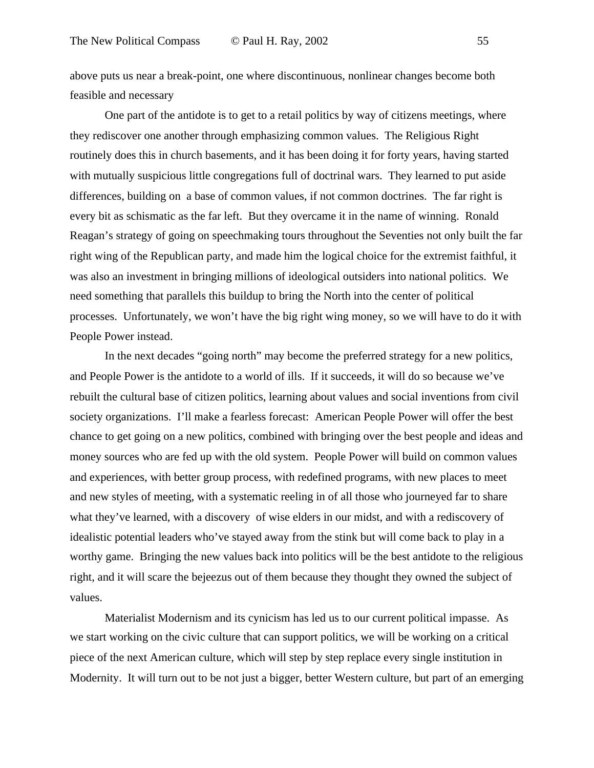above puts us near a break-point, one where discontinuous, nonlinear changes become both feasible and necessary

One part of the antidote is to get to a retail politics by way of citizens meetings, where they rediscover one another through emphasizing common values. The Religious Right routinely does this in church basements, and it has been doing it for forty years, having started with mutually suspicious little congregations full of doctrinal wars. They learned to put aside differences, building on a base of common values, if not common doctrines. The far right is every bit as schismatic as the far left. But they overcame it in the name of winning. Ronald Reagan's strategy of going on speechmaking tours throughout the Seventies not only built the far right wing of the Republican party, and made him the logical choice for the extremist faithful, it was also an investment in bringing millions of ideological outsiders into national politics. We need something that parallels this buildup to bring the North into the center of political processes. Unfortunately, we won't have the big right wing money, so we will have to do it with People Power instead.

In the next decades "going north" may become the preferred strategy for a new politics, and People Power is the antidote to a world of ills. If it succeeds, it will do so because we've rebuilt the cultural base of citizen politics, learning about values and social inventions from civil society organizations. I'll make a fearless forecast: American People Power will offer the best chance to get going on a new politics, combined with bringing over the best people and ideas and money sources who are fed up with the old system. People Power will build on common values and experiences, with better group process, with redefined programs, with new places to meet and new styles of meeting, with a systematic reeling in of all those who journeyed far to share what they've learned, with a discovery of wise elders in our midst, and with a rediscovery of idealistic potential leaders who've stayed away from the stink but will come back to play in a worthy game. Bringing the new values back into politics will be the best antidote to the religious right, and it will scare the bejeezus out of them because they thought they owned the subject of values.

Materialist Modernism and its cynicism has led us to our current political impasse. As we start working on the civic culture that can support politics, we will be working on a critical piece of the next American culture, which will step by step replace every single institution in Modernity. It will turn out to be not just a bigger, better Western culture, but part of an emerging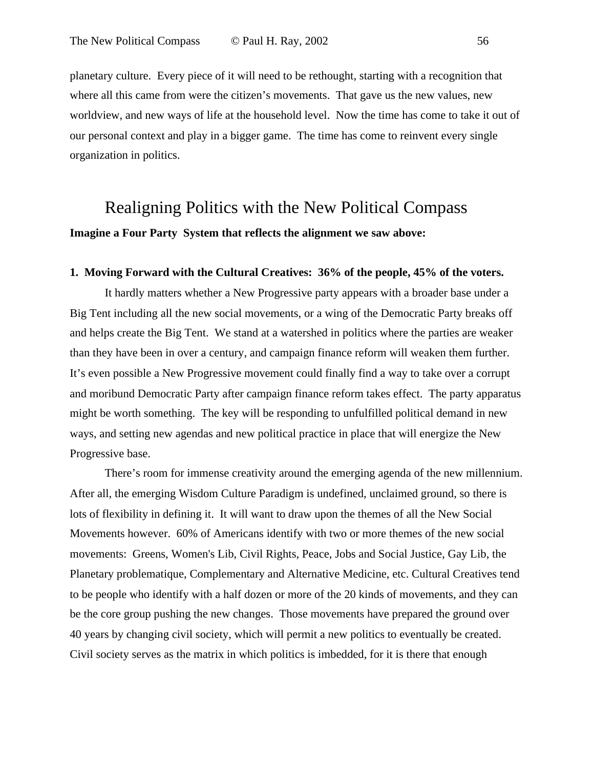planetary culture. Every piece of it will need to be rethought, starting with a recognition that where all this came from were the citizen's movements. That gave us the new values, new worldview, and new ways of life at the household level. Now the time has come to take it out of our personal context and play in a bigger game. The time has come to reinvent every single organization in politics.

# Realigning Politics with the New Political Compass **Imagine a Four Party System that reflects the alignment we saw above:**

### **1. Moving Forward with the Cultural Creatives: 36% of the people, 45% of the voters.**

It hardly matters whether a New Progressive party appears with a broader base under a Big Tent including all the new social movements, or a wing of the Democratic Party breaks off and helps create the Big Tent. We stand at a watershed in politics where the parties are weaker than they have been in over a century, and campaign finance reform will weaken them further. It's even possible a New Progressive movement could finally find a way to take over a corrupt and moribund Democratic Party after campaign finance reform takes effect. The party apparatus might be worth something. The key will be responding to unfulfilled political demand in new ways, and setting new agendas and new political practice in place that will energize the New Progressive base.

There's room for immense creativity around the emerging agenda of the new millennium. After all, the emerging Wisdom Culture Paradigm is undefined, unclaimed ground, so there is lots of flexibility in defining it. It will want to draw upon the themes of all the New Social Movements however. 60% of Americans identify with two or more themes of the new social movements: Greens, Women's Lib, Civil Rights, Peace, Jobs and Social Justice, Gay Lib, the Planetary problematique, Complementary and Alternative Medicine, etc. Cultural Creatives tend to be people who identify with a half dozen or more of the 20 kinds of movements, and they can be the core group pushing the new changes. Those movements have prepared the ground over 40 years by changing civil society, which will permit a new politics to eventually be created. Civil society serves as the matrix in which politics is imbedded, for it is there that enough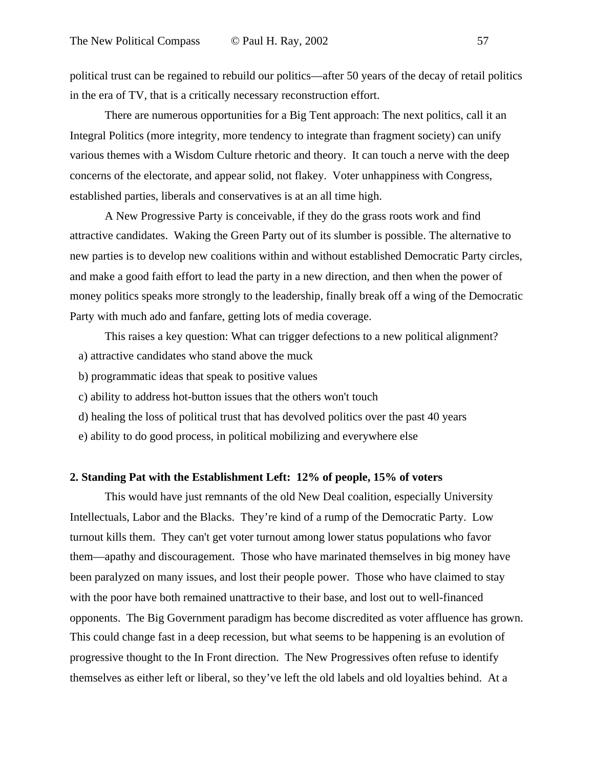political trust can be regained to rebuild our politics—after 50 years of the decay of retail politics in the era of TV, that is a critically necessary reconstruction effort.

There are numerous opportunities for a Big Tent approach: The next politics, call it an Integral Politics (more integrity, more tendency to integrate than fragment society) can unify various themes with a Wisdom Culture rhetoric and theory. It can touch a nerve with the deep concerns of the electorate, and appear solid, not flakey. Voter unhappiness with Congress, established parties, liberals and conservatives is at an all time high.

A New Progressive Party is conceivable, if they do the grass roots work and find attractive candidates. Waking the Green Party out of its slumber is possible. The alternative to new parties is to develop new coalitions within and without established Democratic Party circles, and make a good faith effort to lead the party in a new direction, and then when the power of money politics speaks more strongly to the leadership, finally break off a wing of the Democratic Party with much ado and fanfare, getting lots of media coverage.

This raises a key question: What can trigger defections to a new political alignment? a) attractive candidates who stand above the muck

- b) programmatic ideas that speak to positive values
- c) ability to address hot-button issues that the others won't touch
- d) healing the loss of political trust that has devolved politics over the past 40 years
- e) ability to do good process, in political mobilizing and everywhere else

#### **2. Standing Pat with the Establishment Left: 12% of people, 15% of voters**

This would have just remnants of the old New Deal coalition, especially University Intellectuals, Labor and the Blacks. They're kind of a rump of the Democratic Party. Low turnout kills them. They can't get voter turnout among lower status populations who favor them—apathy and discouragement. Those who have marinated themselves in big money have been paralyzed on many issues, and lost their people power. Those who have claimed to stay with the poor have both remained unattractive to their base, and lost out to well-financed opponents. The Big Government paradigm has become discredited as voter affluence has grown. This could change fast in a deep recession, but what seems to be happening is an evolution of progressive thought to the In Front direction. The New Progressives often refuse to identify themselves as either left or liberal, so they've left the old labels and old loyalties behind. At a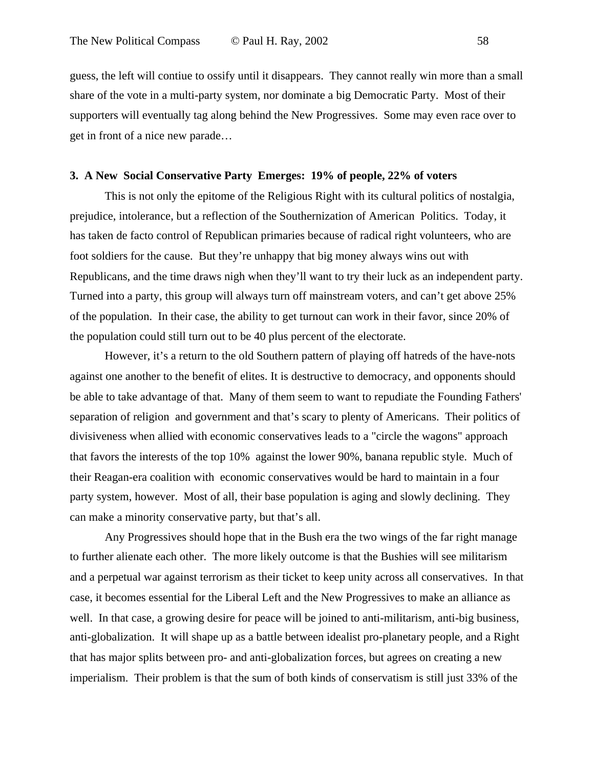guess, the left will contiue to ossify until it disappears. They cannot really win more than a small share of the vote in a multi-party system, nor dominate a big Democratic Party. Most of their supporters will eventually tag along behind the New Progressives. Some may even race over to get in front of a nice new parade…

### **3. A New Social Conservative Party Emerges: 19% of people, 22% of voters**

This is not only the epitome of the Religious Right with its cultural politics of nostalgia, prejudice, intolerance, but a reflection of the Southernization of American Politics. Today, it has taken de facto control of Republican primaries because of radical right volunteers, who are foot soldiers for the cause. But they're unhappy that big money always wins out with Republicans, and the time draws nigh when they'll want to try their luck as an independent party. Turned into a party, this group will always turn off mainstream voters, and can't get above 25% of the population. In their case, the ability to get turnout can work in their favor, since 20% of the population could still turn out to be 40 plus percent of the electorate.

However, it's a return to the old Southern pattern of playing off hatreds of the have-nots against one another to the benefit of elites. It is destructive to democracy, and opponents should be able to take advantage of that. Many of them seem to want to repudiate the Founding Fathers' separation of religion and government and that's scary to plenty of Americans. Their politics of divisiveness when allied with economic conservatives leads to a "circle the wagons" approach that favors the interests of the top 10% against the lower 90%, banana republic style. Much of their Reagan-era coalition with economic conservatives would be hard to maintain in a four party system, however. Most of all, their base population is aging and slowly declining. They can make a minority conservative party, but that's all.

Any Progressives should hope that in the Bush era the two wings of the far right manage to further alienate each other. The more likely outcome is that the Bushies will see militarism and a perpetual war against terrorism as their ticket to keep unity across all conservatives. In that case, it becomes essential for the Liberal Left and the New Progressives to make an alliance as well. In that case, a growing desire for peace will be joined to anti-militarism, anti-big business, anti-globalization. It will shape up as a battle between idealist pro-planetary people, and a Right that has major splits between pro- and anti-globalization forces, but agrees on creating a new imperialism. Their problem is that the sum of both kinds of conservatism is still just 33% of the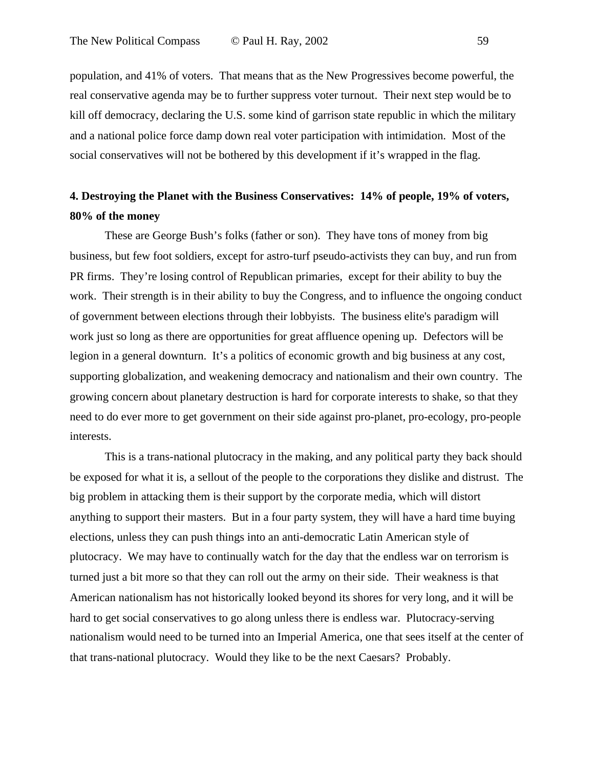population, and 41% of voters. That means that as the New Progressives become powerful, the real conservative agenda may be to further suppress voter turnout. Their next step would be to kill off democracy, declaring the U.S. some kind of garrison state republic in which the military and a national police force damp down real voter participation with intimidation. Most of the social conservatives will not be bothered by this development if it's wrapped in the flag.

### **4. Destroying the Planet with the Business Conservatives: 14% of people, 19% of voters, 80% of the money**

These are George Bush's folks (father or son). They have tons of money from big business, but few foot soldiers, except for astro-turf pseudo-activists they can buy, and run from PR firms. They're losing control of Republican primaries, except for their ability to buy the work. Their strength is in their ability to buy the Congress, and to influence the ongoing conduct of government between elections through their lobbyists. The business elite's paradigm will work just so long as there are opportunities for great affluence opening up. Defectors will be legion in a general downturn. It's a politics of economic growth and big business at any cost, supporting globalization, and weakening democracy and nationalism and their own country. The growing concern about planetary destruction is hard for corporate interests to shake, so that they need to do ever more to get government on their side against pro-planet, pro-ecology, pro-people interests.

This is a trans-national plutocracy in the making, and any political party they back should be exposed for what it is, a sellout of the people to the corporations they dislike and distrust. The big problem in attacking them is their support by the corporate media, which will distort anything to support their masters. But in a four party system, they will have a hard time buying elections, unless they can push things into an anti-democratic Latin American style of plutocracy. We may have to continually watch for the day that the endless war on terrorism is turned just a bit more so that they can roll out the army on their side. Their weakness is that American nationalism has not historically looked beyond its shores for very long, and it will be hard to get social conservatives to go along unless there is endless war. Plutocracy-serving nationalism would need to be turned into an Imperial America, one that sees itself at the center of that trans-national plutocracy. Would they like to be the next Caesars? Probably.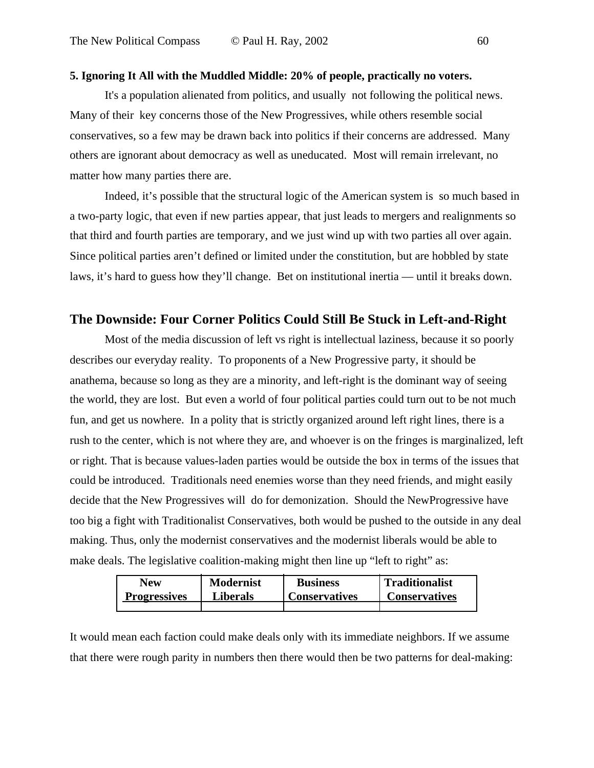### **5. Ignoring It All with the Muddled Middle: 20% of people, practically no voters.**

It's a population alienated from politics, and usually not following the political news. Many of their key concerns those of the New Progressives, while others resemble social conservatives, so a few may be drawn back into politics if their concerns are addressed. Many others are ignorant about democracy as well as uneducated. Most will remain irrelevant, no matter how many parties there are.

Indeed, it's possible that the structural logic of the American system is so much based in a two-party logic, that even if new parties appear, that just leads to mergers and realignments so that third and fourth parties are temporary, and we just wind up with two parties all over again. Since political parties aren't defined or limited under the constitution, but are hobbled by state laws, it's hard to guess how they'll change. Bet on institutional inertia — until it breaks down.

### **The Downside: Four Corner Politics Could Still Be Stuck in Left-and-Right**

Most of the media discussion of left vs right is intellectual laziness, because it so poorly describes our everyday reality. To proponents of a New Progressive party, it should be anathema, because so long as they are a minority, and left-right is the dominant way of seeing the world, they are lost. But even a world of four political parties could turn out to be not much fun, and get us nowhere. In a polity that is strictly organized around left right lines, there is a rush to the center, which is not where they are, and whoever is on the fringes is marginalized, left or right. That is because values-laden parties would be outside the box in terms of the issues that could be introduced. Traditionals need enemies worse than they need friends, and might easily decide that the New Progressives will do for demonization. Should the NewProgressive have too big a fight with Traditionalist Conservatives, both would be pushed to the outside in any deal making. Thus, only the modernist conservatives and the modernist liberals would be able to make deals. The legislative coalition-making might then line up "left to right" as:

| New                 | <b>Modernist</b> | <b>Business</b>      | <b>Traditionalist</b> |
|---------------------|------------------|----------------------|-----------------------|
| <b>Progressives</b> | <b>Liberals</b>  | <b>Conservatives</b> | <b>Conservatives</b>  |
|                     |                  |                      |                       |

It would mean each faction could make deals only with its immediate neighbors. If we assume that there were rough parity in numbers then there would then be two patterns for deal-making: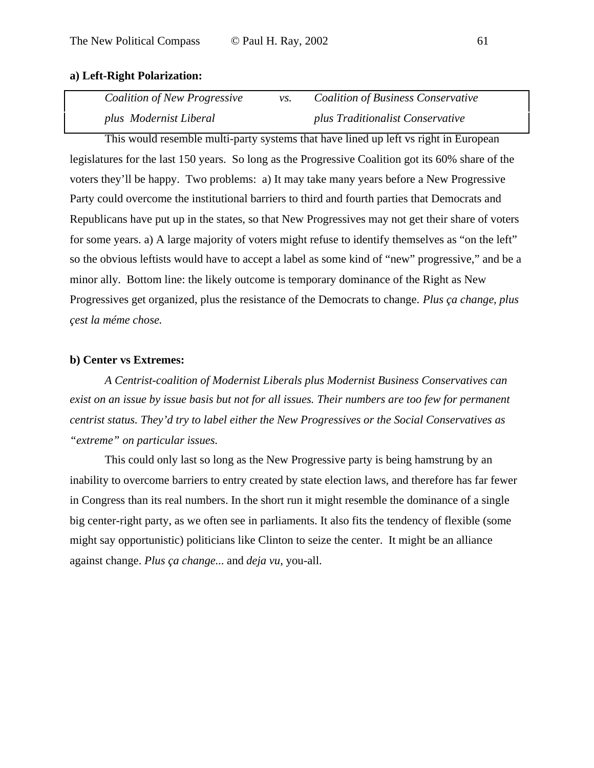### **a) Left-Right Polarization:**

| Coalition of New Progressive | $VS$ . | <b>Coalition of Business Conservative</b> |
|------------------------------|--------|-------------------------------------------|
| plus Modernist Liberal       |        | plus Traditionalist Conservative          |

This would resemble multi-party systems that have lined up left vs right in European legislatures for the last 150 years. So long as the Progressive Coalition got its 60% share of the voters they'll be happy. Two problems: a) It may take many years before a New Progressive Party could overcome the institutional barriers to third and fourth parties that Democrats and Republicans have put up in the states, so that New Progressives may not get their share of voters for some years. a) A large majority of voters might refuse to identify themselves as "on the left" so the obvious leftists would have to accept a label as some kind of "new" progressive," and be a minor ally. Bottom line: the likely outcome is temporary dominance of the Right as New Progressives get organized, plus the resistance of the Democrats to change. *Plus ça change*, *plus çest la méme chose.*

### **b) Center vs Extremes:**

*A Centrist-coalition of Modernist Liberals plus Modernist Business Conservatives can exist on an issue by issue basis but not for all issues. Their numbers are too few for permanent centrist status. They'd try to label either the New Progressives or the Social Conservatives as "extreme" on particular issues.*

This could only last so long as the New Progressive party is being hamstrung by an inability to overcome barriers to entry created by state election laws, and therefore has far fewer in Congress than its real numbers. In the short run it might resemble the dominance of a single big center-right party, as we often see in parliaments. It also fits the tendency of flexible (some might say opportunistic) politicians like Clinton to seize the center. It might be an alliance against change. *Plus ça change*... and *deja vu*, you-all.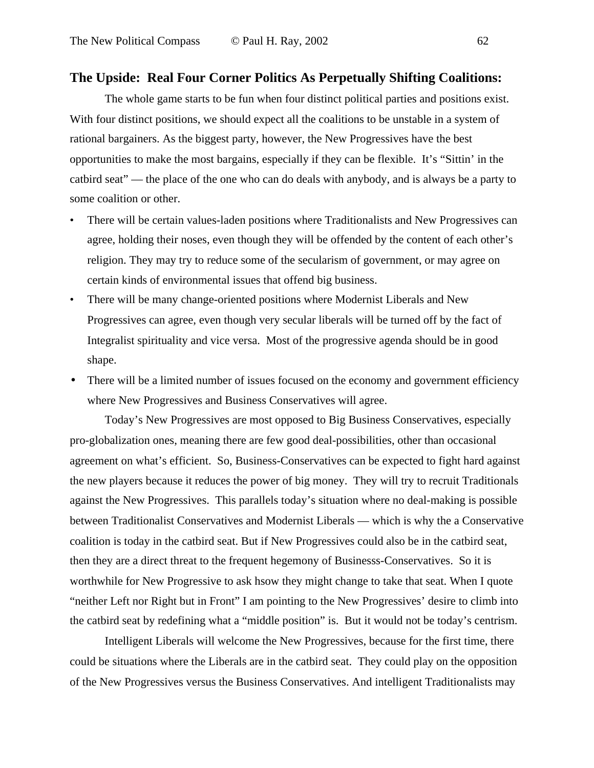### **The Upside: Real Four Corner Politics As Perpetually Shifting Coalitions:**

The whole game starts to be fun when four distinct political parties and positions exist. With four distinct positions, we should expect all the coalitions to be unstable in a system of rational bargainers. As the biggest party, however, the New Progressives have the best opportunities to make the most bargains, especially if they can be flexible. It's "Sittin' in the catbird seat" — the place of the one who can do deals with anybody, and is always be a party to some coalition or other.

- There will be certain values-laden positions where Traditionalists and New Progressives can agree, holding their noses, even though they will be offended by the content of each other's religion. They may try to reduce some of the secularism of government, or may agree on certain kinds of environmental issues that offend big business.
- There will be many change-oriented positions where Modernist Liberals and New Progressives can agree, even though very secular liberals will be turned off by the fact of Integralist spirituality and vice versa. Most of the progressive agenda should be in good shape.
- There will be a limited number of issues focused on the economy and government efficiency where New Progressives and Business Conservatives will agree.

Today's New Progressives are most opposed to Big Business Conservatives, especially pro-globalization ones, meaning there are few good deal-possibilities, other than occasional agreement on what's efficient. So, Business-Conservatives can be expected to fight hard against the new players because it reduces the power of big money. They will try to recruit Traditionals against the New Progressives. This parallels today's situation where no deal-making is possible between Traditionalist Conservatives and Modernist Liberals — which is why the a Conservative coalition is today in the catbird seat. But if New Progressives could also be in the catbird seat, then they are a direct threat to the frequent hegemony of Businesss-Conservatives. So it is worthwhile for New Progressive to ask hsow they might change to take that seat. When I quote "neither Left nor Right but in Front" I am pointing to the New Progressives' desire to climb into the catbird seat by redefining what a "middle position" is. But it would not be today's centrism.

Intelligent Liberals will welcome the New Progressives, because for the first time, there could be situations where the Liberals are in the catbird seat. They could play on the opposition of the New Progressives versus the Business Conservatives. And intelligent Traditionalists may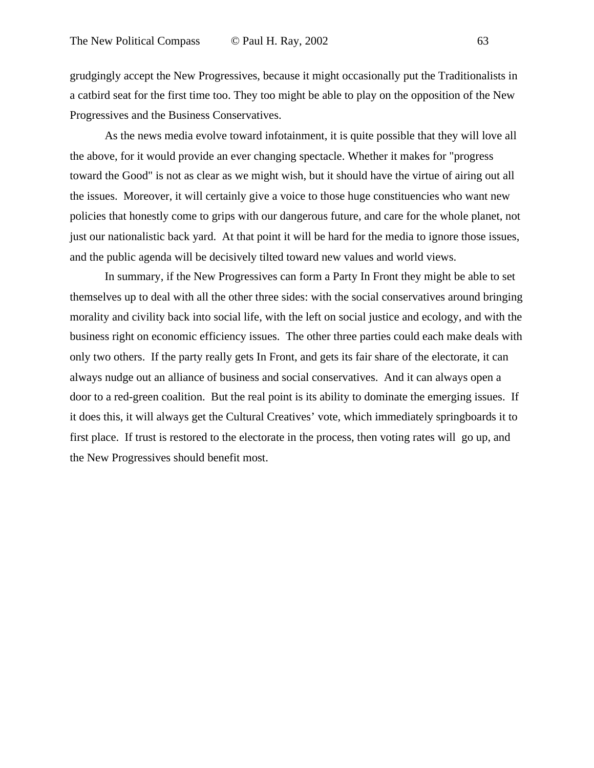grudgingly accept the New Progressives, because it might occasionally put the Traditionalists in a catbird seat for the first time too. They too might be able to play on the opposition of the New Progressives and the Business Conservatives.

As the news media evolve toward infotainment, it is quite possible that they will love all the above, for it would provide an ever changing spectacle. Whether it makes for "progress toward the Good" is not as clear as we might wish, but it should have the virtue of airing out all the issues. Moreover, it will certainly give a voice to those huge constituencies who want new policies that honestly come to grips with our dangerous future, and care for the whole planet, not just our nationalistic back yard. At that point it will be hard for the media to ignore those issues, and the public agenda will be decisively tilted toward new values and world views.

In summary, if the New Progressives can form a Party In Front they might be able to set themselves up to deal with all the other three sides: with the social conservatives around bringing morality and civility back into social life, with the left on social justice and ecology, and with the business right on economic efficiency issues. The other three parties could each make deals with only two others. If the party really gets In Front, and gets its fair share of the electorate, it can always nudge out an alliance of business and social conservatives. And it can always open a door to a red-green coalition. But the real point is its ability to dominate the emerging issues. If it does this, it will always get the Cultural Creatives' vote, which immediately springboards it to first place. If trust is restored to the electorate in the process, then voting rates will go up, and the New Progressives should benefit most.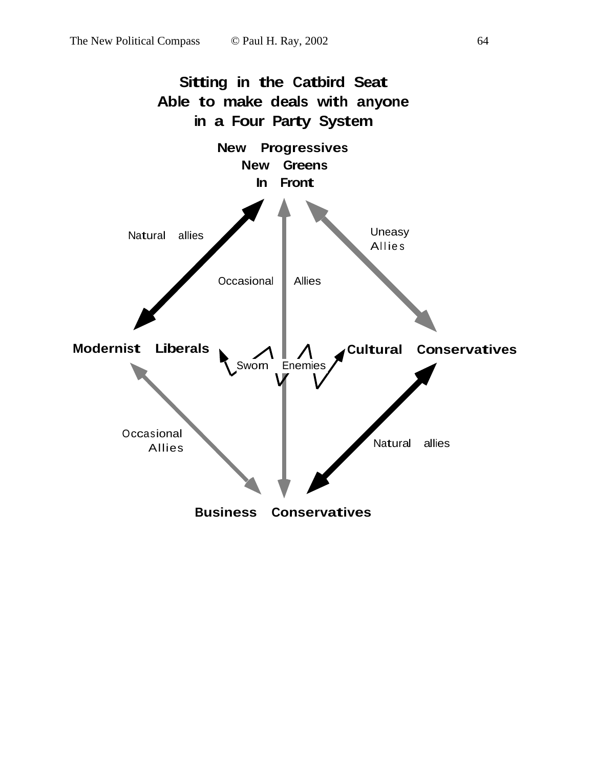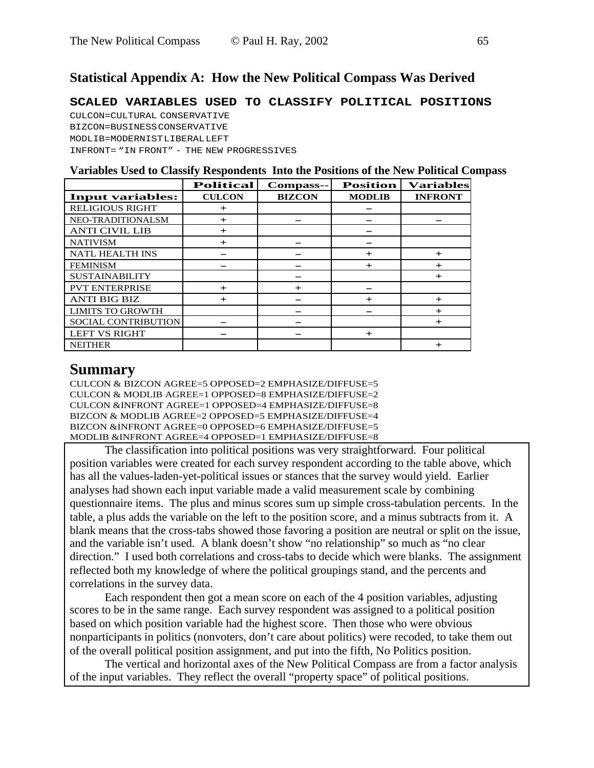### **Statistical Appendix A: How the New Political Compass Was Derived**

**SCALED VARIABLES USED TO CLASSIFY POLITICAL POSITIONS**

CULCON=CULTURAL CONSERVATIVE BIZCON=BUSINESS CONSERVATIVE MODLIB=MODERNIST LIBERAL LEFT INFRONT= "IN FRONT" - THE NEW PROGRESSIVES

|                            | <b>Political</b> | Compass--     | <b>Position</b> | <b>Variables</b> |
|----------------------------|------------------|---------------|-----------------|------------------|
| <b>Input variables:</b>    | <b>CULCON</b>    | <b>BIZCON</b> | <b>MODLIB</b>   | <b>INFRONT</b>   |
| <b>RELIGIOUS RIGHT</b>     | $+$              |               |                 |                  |
| NEO-TRADITIONALSM          | $\pm$            |               |                 |                  |
| <b>ANTI CIVIL LIB</b>      | $+$              |               |                 |                  |
| <b>NATIVISM</b>            | $+$              |               |                 |                  |
| <b>NATL HEALTH INS</b>     |                  |               | $\ddot{}$       | $+$              |
| <b>FEMINISM</b>            |                  |               | $\ddot{}$       | $\div$           |
| <b>SUSTAINABILITY</b>      |                  |               |                 | $+$              |
| <b>PVT ENTERPRISE</b>      | $+$              | $+$           |                 |                  |
| <b>ANTI BIG BIZ</b>        | $+$              |               | $\div$          | $+$              |
| <b>LIMITS TO GROWTH</b>    |                  |               |                 | $\pm$            |
| <b>SOCIAL CONTRIBUTION</b> |                  |               |                 | $+$              |
| <b>LEFT VS RIGHT</b>       |                  |               | $+$             |                  |
| <b>NEITHER</b>             |                  |               |                 | $+$              |

### **Summary**

CULCON & BIZCON AGREE=5 OPPOSED=2 EMPHASIZE/DIFFUSE=5 CULCON & MODLIB AGREE=1 OPPOSED=8 EMPHASIZE/DIFFUSE=2 CULCON &INFRONT AGREE=1 OPPOSED=4 EMPHASIZE/DIFFUSE=8 BIZCON & MODLIB AGREE=2 OPPOSED=5 EMPHASIZE/DIFFUSE=4 BIZCON &INFRONT AGREE=0 OPPOSED=6 EMPHASIZE/DIFFUSE=5 MODLIB &INFRONT AGREE=4 OPPOSED=1 EMPHASIZE/DIFFUSE=8

The classification into political positions was very straightforward. Four political position variables were created for each survey respondent according to the table above, which has all the values-laden-yet-political issues or stances that the survey would yield. Earlier analyses had shown each input variable made a valid measurement scale by combining questionnaire items. The plus and minus scores sum up simple cross-tabulation percents. In the table, a plus adds the variable on the left to the position score, and a minus subtracts from it. A blank means that the cross-tabs showed those favoring a position are neutral or split on the issue, and the variable isn't used. A blank doesn't show "no relationship" so much as "no clear direction." I used both correlations and cross-tabs to decide which were blanks. The assignment reflected both my knowledge of where the political groupings stand, and the percents and correlations in the survey data.

Each respondent then got a mean score on each of the 4 position variables, adjusting scores to be in the same range. Each survey respondent was assigned to a political position based on which position variable had the highest score. Then those who were obvious nonparticipants in politics (nonvoters, don't care about politics) were recoded, to take them out of the overall political position assignment, and put into the fifth, No Politics position.

The vertical and horizontal axes of the New Political Compass are from a factor analysis of the input variables. They reflect the overall "property space" of political positions.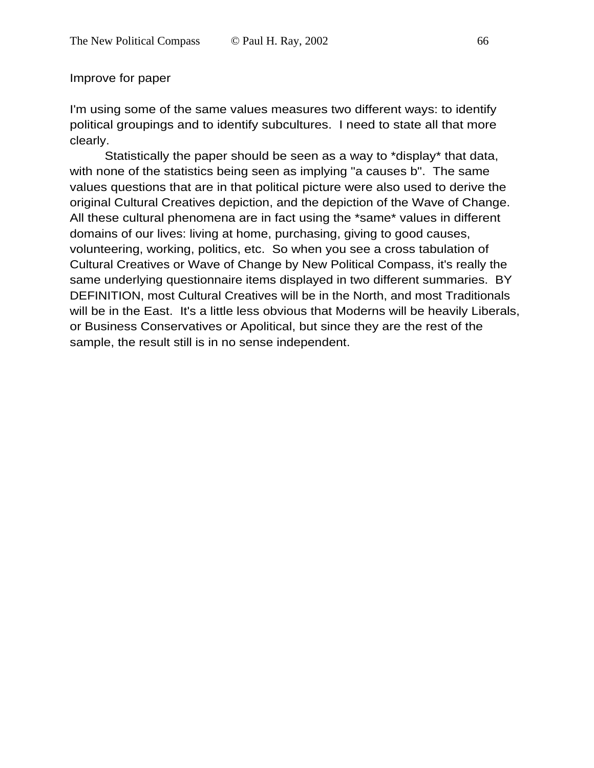### Improve for paper

I'm using some of the same values measures two different ways: to identify political groupings and to identify subcultures. I need to state all that more clearly.

Statistically the paper should be seen as a way to \*display\* that data, with none of the statistics being seen as implying "a causes b". The same values questions that are in that political picture were also used to derive the original Cultural Creatives depiction, and the depiction of the Wave of Change. All these cultural phenomena are in fact using the \*same\* values in different domains of our lives: living at home, purchasing, giving to good causes, volunteering, working, politics, etc. So when you see a cross tabulation of Cultural Creatives or Wave of Change by New Political Compass, it's really the same underlying questionnaire items displayed in two different summaries. BY DEFINITION, most Cultural Creatives will be in the North, and most Traditionals will be in the East. It's a little less obvious that Moderns will be heavily Liberals, or Business Conservatives or Apolitical, but since they are the rest of the sample, the result still is in no sense independent.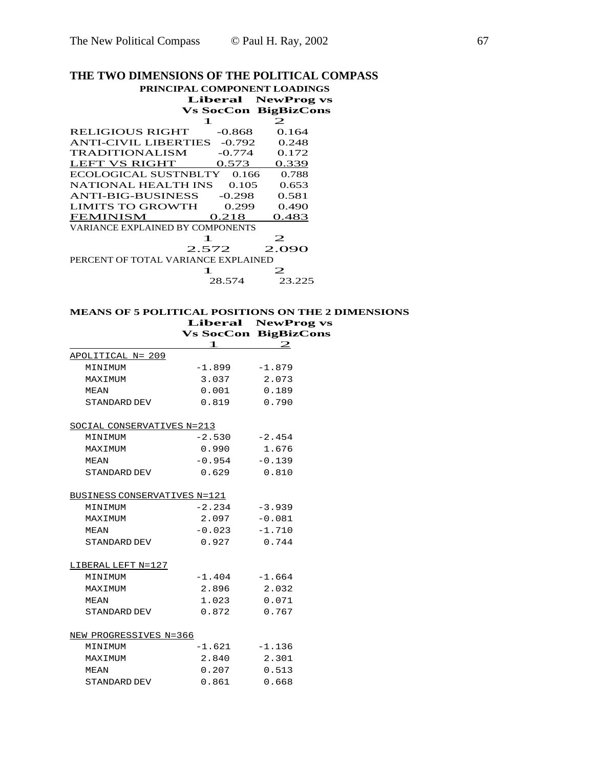# **THE TWO DIMENSIONS OF THE POLITICAL COMPASS**

|                                     |        | PRINCIPAL COMPONENT LOADINGS |  |  |  |
|-------------------------------------|--------|------------------------------|--|--|--|
|                                     |        | <b>Liberal</b> NewProg vs    |  |  |  |
|                                     |        | <b>Vs SocCon BigBizCons</b>  |  |  |  |
| 1                                   |        | 2                            |  |  |  |
| <b>RELIGIOUS RIGHT</b>              |        | $-0.868$ 0.164               |  |  |  |
| ANTI-CIVIL LIBERTIES -0.792 0.248   |        |                              |  |  |  |
| <b>TRADITIONALISM</b>               |        | $-0.774$ 0.172               |  |  |  |
| LEFT VS RIGHT 0.573                 |        | 0.339                        |  |  |  |
| ECOLOGICAL SUSTNBLTY 0.166          |        | 0.788                        |  |  |  |
| NATIONAL HEALTH INS 0.105           |        | 0.653                        |  |  |  |
| ANTI-BIG-BUSINESS -0.298            |        | 0.581                        |  |  |  |
| LIMITS TO GROWTH 0.299              |        | 0.490                        |  |  |  |
| FEMINISM 0.218                      |        | 0.483                        |  |  |  |
| VARIANCE EXPLAINED BY COMPONENTS    |        |                              |  |  |  |
| 1                                   |        | 2                            |  |  |  |
|                                     |        | 2.572 2.090                  |  |  |  |
| PERCENT OF TOTAL VARIANCE EXPLAINED |        |                              |  |  |  |
|                                     |        |                              |  |  |  |
|                                     | 28.574 | 23.225                       |  |  |  |

## **MEANS OF 5 POLITICAL POSITIONS ON THE 2 DIMENSIONS Liberal NewProg vs**

|                              |                 | <b>Vs SocCon BigBizCons</b> |
|------------------------------|-----------------|-----------------------------|
|                              | 1               | $\mathbf 2$                 |
| APOLITICAL N= 209            |                 |                             |
| MINIMUM                      | $-1.899$        | $-1.879$                    |
| MAXIMUM                      | 3.037           | 2.073                       |
| MEAN                         | 0.001           | 0.189                       |
| STANDARD DEV                 | 0.819           | 0.790                       |
| SOCIAL CONSERVATIVES N=213   |                 |                             |
| MINIMUM                      | $-2.530 -2.454$ |                             |
| MAXIMUM                      | 0.990           | 1.676                       |
| MEAN                         | $-0.954$        | $-0.139$                    |
| STANDARD DEV                 | 0.629           | 0.810                       |
| BUSINESS CONSERVATIVES N=121 |                 |                             |
| MINIMUM                      | $-2.234$        | $-3.939$                    |
| MAXIMUM                      | 2.097           | $-0.081$                    |
| MEAN                         | $-0.023 -1.710$ |                             |
| STANDARD DEV                 | 0.927           | 0.744                       |
| LIBERAL LEFT N=127           |                 |                             |
| MINIMUM                      | $-1.404$        | $-1.664$                    |
| MAXIMUM                      | 2.896           | 2.032                       |
| MEAN                         | 1.023           | 0.071                       |
| STANDARD DEV                 | 0.872           | 0.767                       |
| NEW PROGRESSIVES N=366       |                 |                             |
| MINIMUM                      | $-1.621$        | $-1.136$                    |
| MAXIMUM                      | 2.840           | 2.301                       |
| MEAN                         | 0.207           | 0.513                       |
| STANDARD DEV                 | 0.861           | 0.668                       |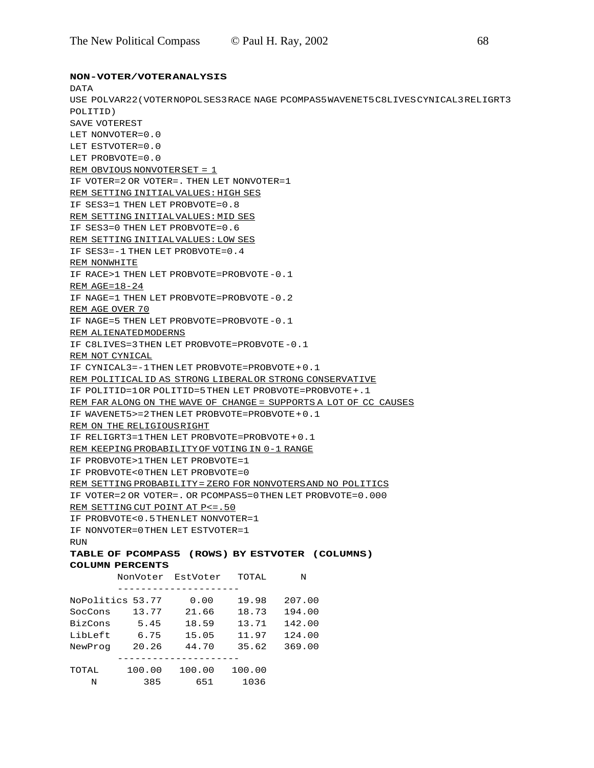**NON-VOTER/VOTER ANALYSIS**

#### DATA USE POLVAR22(VOTER NOPOL SES3 RACE NAGE PCOMPAS5 WAVENET5 C8LIVES CYNICAL3 RELIGRT3 POLITID) SAVE VOTEREST LET NONVOTER=0.0 LET ESTVOTER=0.0 LET PROBVOTE=0.0 REM OBVIOUS NONVOTER SET = 1 IF VOTER=2 OR VOTER=. THEN LET NONVOTER=1

REM SETTING INITIAL VALUES: HIGH SES IF SES3=1 THEN LET PROBVOTE=0.8 REM SETTING INITIAL VALUES: MID SES IF SES3=0 THEN LET PROBVOTE=0.6 REM SETTING INITIAL VALUES: LOW SES IF SES3=-1 THEN LET PROBVOTE=0.4 REM NONWHITE IF RACE>1 THEN LET PROBVOTE=PROBVOTE -0.1 REM  $AGE=18-24$ IF NAGE=1 THEN LET PROBVOTE=PROBVOTE -0.2 REM AGE OVER 70 IF NAGE=5 THEN LET PROBVOTE=PROBVOTE -0.1 REM ALIENATED MODERNS IF C8LIVES=3 THEN LET PROBVOTE=PROBVOTE -0.1 REM NOT CYNICAL IF CYNICAL3=-1 THEN LET PROBVOTE=PROBVOTE + 0.1 REM POLITICAL ID AS STRONG LIBERAL OR STRONG CONSERVATIVE IF POLITID=1 OR POLITID=5 THEN LET PROBVOTE=PROBVOTE +.1 REM FAR ALONG ON THE WAVE OF CHANGE = SUPPORTS A LOT OF CC CAUSES IF WAVENET5>=2 THEN LET PROBVOTE=PROBVOTE + 0.1 REM ON THE RELIGIOUS RIGHT IF RELIGRT3=1 THEN LET PROBVOTE=PROBVOTE + 0.1 REM KEEPING PROBABILITY OF VOTING IN 0-1 RANGE IF PROBVOTE>1 THEN LET PROBVOTE=1 IF PROBVOTE<0 THEN LET PROBVOTE=0 REM SETTING PROBABILITY = ZERO FOR NONVOTERS AND NO POLITICS IF VOTER=2 OR VOTER=. OR PCOMPAS5=0 THEN LET PROBVOTE=0.000 REM SETTING CUT POINT AT P<=.50 IF PROBVOTE<0.5 THEN LET NONVOTER=1 IF NONVOTER=0 THEN LET ESTVOTER=1 **RIIN** 

**TABLE OF PCOMPAS5 (ROWS) BY ESTVOTER (COLUMNS) COLUMN PERCENTS**

|         | NonVoter         | EstVoter | TOTAL  | N      |
|---------|------------------|----------|--------|--------|
|         |                  |          |        |        |
|         | NoPolitics 53.77 | 0.00     | 19.98  | 207.00 |
| SocCons | 13.77            | 21.66    | 18.73  | 194.00 |
| BizCons | 5.45             | 18.59    | 13.71  | 142.00 |
| LibLeft | 6.75             | 15.05    | 11.97  | 124.00 |
| NewProg | 20.26            | 44.70    | 35.62  | 369.00 |
|         |                  |          |        |        |
| TOTAL   | 100.00           | 100.00   | 100.00 |        |
| N       | 385              | 651      | 1036   |        |
|         |                  |          |        |        |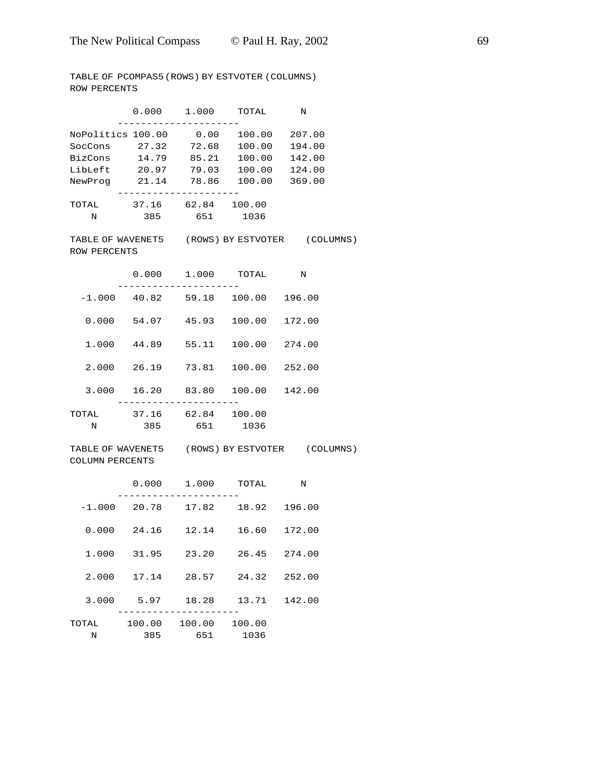TABLE OF PCOMPAS5 (ROWS) BY ESTVOTER (COLUMNS) ROW PERCENTS

|                                               |             | $0.000$ 1.000 TOTAL<br>-----       |                                              | $\mathbf N$                                    |  |
|-----------------------------------------------|-------------|------------------------------------|----------------------------------------------|------------------------------------------------|--|
| NoPolitics 100.00<br>SocCons 27.32<br>BizCons | 14.79       | 72.68<br>85.21                     | $0.00$ $100.00$ $207.00$<br>100.00<br>100.00 | 194.00<br>142.00                               |  |
| LibLeft                                       | 20.97       | 79.03                              | 100.00                                       | 124.00                                         |  |
| NewProg                                       |             | 21.14 78.86 100.00                 |                                              | 369.00                                         |  |
| TOTAL<br>$\mathbb N$                          | 385         | 37.16 62.84 100.00<br>651 1036     |                                              |                                                |  |
| ROW PERCENTS                                  |             |                                    |                                              | TABLE OF WAVENET5 (ROWS) BY ESTVOTER (COLUMNS) |  |
|                                               |             | $0.000$ 1.000 TOTAL                |                                              | Ν                                              |  |
|                                               |             | $-1.000$ 40.82 59.18 100.00 196.00 |                                              |                                                |  |
|                                               | 0.000 54.07 | 45.93                              | 100.00                                       | 172.00                                         |  |
| 1.000                                         | 44.89       | 55.11                              | 100.00 274.00                                |                                                |  |
|                                               | 2.000 26.19 | 73.81                              | 100.00 252.00                                |                                                |  |
|                                               |             | 3.000 16.20 83.80 100.00 142.00    |                                              |                                                |  |
| TOTAL                                         |             | 37.16 62.84 100.00                 |                                              |                                                |  |
| N                                             | 385         | 651                                | 1036                                         |                                                |  |
| COLUMN PERCENTS                               |             |                                    |                                              | TABLE OF WAVENET5 (ROWS) BY ESTVOTER (COLUMNS) |  |
|                                               |             | $0.000$ 1.000 TOTAL                |                                              | Ν                                              |  |
|                                               |             | $-1.000$ 20.78 17.82 18.92 196.00  |                                              |                                                |  |
|                                               |             | $0.000$ 24.16 12.14 16.60 172.00   |                                              |                                                |  |
|                                               |             | 1.000 31.95 23.20 26.45 274.00     |                                              |                                                |  |
|                                               | 2.000 17.14 |                                    | 28.57 24.32                                  | 252.00                                         |  |
| 3.000                                         | 5.97        |                                    | 18.28   13.71                                | 142.00                                         |  |
| TOTAL                                         |             | 100.00 100.00 100.00               |                                              |                                                |  |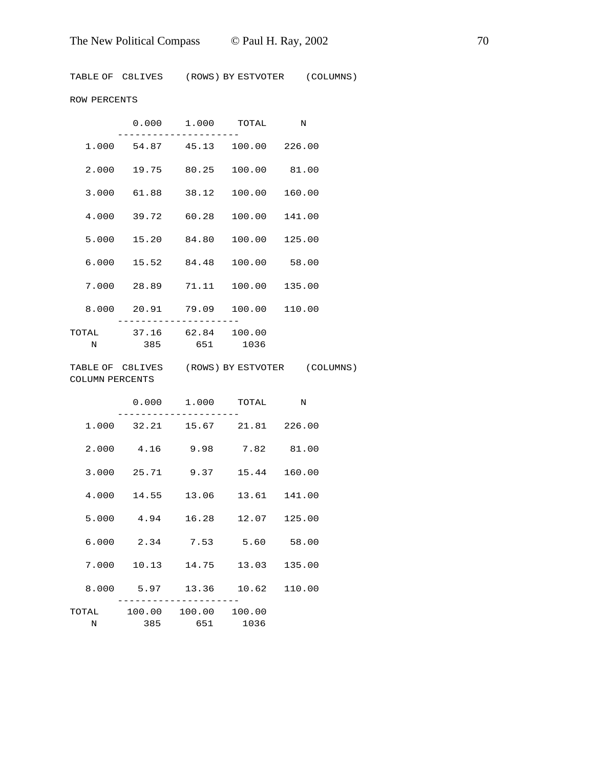TABLE OF C8LIVES (ROWS) BY ESTVOTER (COLUMNS)

ROW PERCENTS

|            |              | 0.000 1.000        | TOTAL                           | $\mathbb N$ |  |
|------------|--------------|--------------------|---------------------------------|-------------|--|
| 1.000      |              |                    | 54.87 45.13 100.00 226.00       |             |  |
| 2.000      |              |                    | 19.75 80.25 100.00 81.00        |             |  |
| 3.000      |              |                    | 61.88 38.12 100.00              | 160.00      |  |
|            |              |                    | 4.000 39.72 60.28 100.00 141.00 |             |  |
|            |              |                    | 5.000 15.20 84.80 100.00 125.00 |             |  |
| 6.000      |              |                    | 15.52 84.48 100.00 58.00        |             |  |
| 7.000      |              |                    | 28.89 71.11 100.00 135.00       |             |  |
|            |              |                    | 8.000 20.91 79.09 100.00 110.00 |             |  |
| TOTAL<br>N | 385 651 1036 | 37.16 62.84 100.00 |                                 |             |  |

TABLE OF C8LIVES (ROWS) BY ESTVOTER (COLUMNS) COLUMN PERCENTS

|             | 0.000 1.000 TOTAL N            |              |              |
|-------------|--------------------------------|--------------|--------------|
|             | 1.000 32.21 15.67 21.81 226.00 |              |              |
| 2.000       | 4.16 9.98 7.82 81.00           |              |              |
| 3.000       | 25.71 9.37                     | 15.44 160.00 |              |
| 4.000       | 14.55 13.06                    |              | 13.61 141.00 |
|             | 5.000 4.94 16.28 12.07 125.00  |              |              |
| 6.000       | 2.34 7.53                      | 5.60 58.00   |              |
| 7.000       | 10.13 14.75 13.03              |              | 135.00       |
|             | 8.000 5.97 13.36 10.62 110.00  |              |              |
|             | TOTAL 100.00 100.00 100.00     |              |              |
| $\mathbf N$ | 385 651 1036                   |              |              |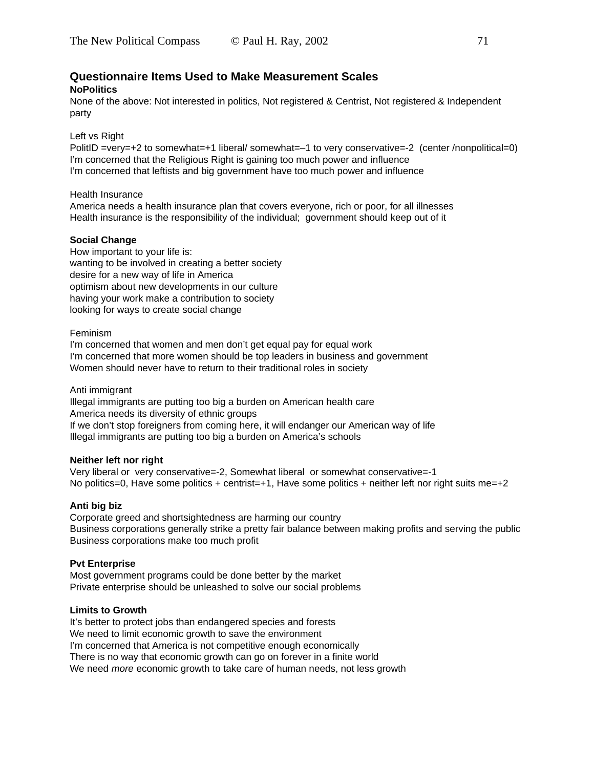### **Questionnaire Items Used to Make Measurement Scales NoPolitics**

None of the above: Not interested in politics, Not registered & Centrist, Not registered & Independent party

Left vs Right

PolitID =very=+2 to somewhat=+1 liberal/ somewhat=–1 to very conservative=-2 (center /nonpolitical=0) I'm concerned that the Religious Right is gaining too much power and influence I'm concerned that leftists and big government have too much power and influence

Health Insurance

America needs a health insurance plan that covers everyone, rich or poor, for all illnesses Health insurance is the responsibility of the individual; government should keep out of it

#### **Social Change**

How important to your life is: wanting to be involved in creating a better society desire for a new way of life in America optimism about new developments in our culture having your work make a contribution to society looking for ways to create social change

#### Feminism

I'm concerned that women and men don't get equal pay for equal work I'm concerned that more women should be top leaders in business and government Women should never have to return to their traditional roles in society

#### Anti immigrant

Illegal immigrants are putting too big a burden on American health care America needs its diversity of ethnic groups If we don't stop foreigners from coming here, it will endanger our American way of life Illegal immigrants are putting too big a burden on America's schools

#### **Neither left nor right**

Very liberal or very conservative=-2, Somewhat liberal or somewhat conservative=-1 No politics=0, Have some politics + centrist=+1, Have some politics + neither left nor right suits me=+2

#### **Anti big biz**

Corporate greed and shortsightedness are harming our country Business corporations generally strike a pretty fair balance between making profits and serving the public Business corporations make too much profit

#### **Pvt Enterprise**

Most government programs could be done better by the market Private enterprise should be unleashed to solve our social problems

#### **Limits to Growth**

It's better to protect jobs than endangered species and forests We need to limit economic growth to save the environment I'm concerned that America is not competitive enough economically There is no way that economic growth can go on forever in a finite world We need *more* economic growth to take care of human needs, not less growth